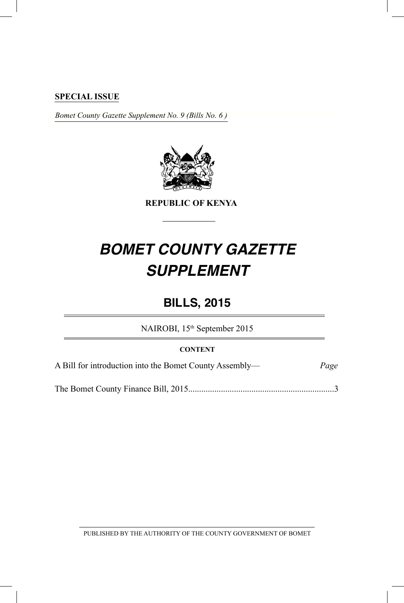#### **SPECIAL ISSUE**

*Bomet County Gazette Supplement No. 9 (Bills No. 6 )*



**REPUBLIC OF KENYA**

# *BOMET COUNTY GAZETTE SUPPLEMENT*

## **BILLS, 2015**

NAIROBI, 15<sup>th</sup> September 2015

#### **CONTENT**

A Bill for introduction into the Bomet County Assembly— *Page*

The Bomet County Finance Bill, 2015...................................................................3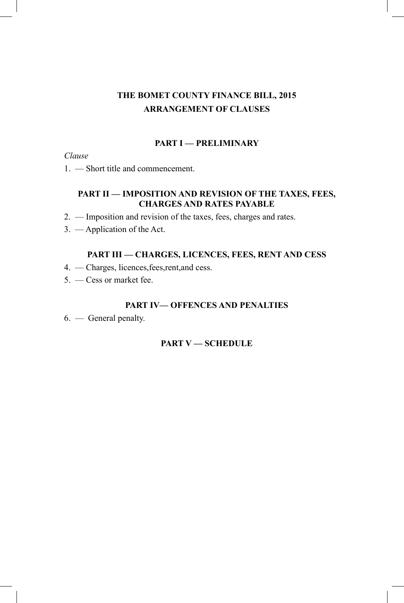## **THE BOMET COUNTY FINANCE BILL, 2015 ARRANGEMENT OF CLAUSES**

#### **PART I — PRELIMINARY**

#### *Clause*

1. — Short title and commencement.

## **PART II — IMPOSITION AND REVISION OF THE TAXES, FEES, CHARGES AND RATES PAYABLE**

- 2. Imposition and revision of the taxes, fees, charges and rates.
- 3. Application of the Act.

## **PART III — CHARGES, LICENCES, FEES, RENT AND CESS**

- 4. Charges, licences,fees,rent,and cess.
- 5. Cess or market fee.

#### **PART IV— OFFENCES AND PENALTIES**

6. — General penalty.

## **PART V — SCHEDULE**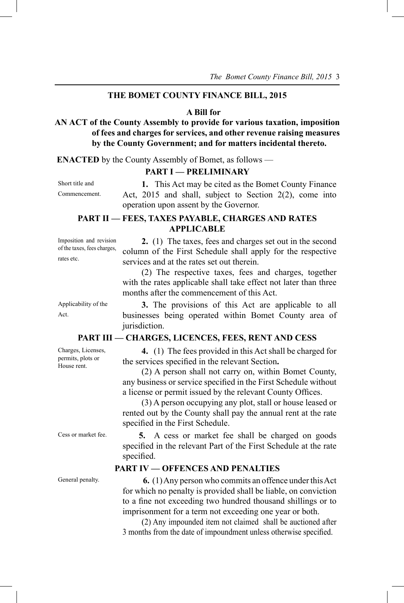#### **THE BOMET COUNTY FINANCE BILL, 2015**

#### **A Bill for**

**AN ACT of the County Assembly to provide for various taxation, imposition of fees and charges for services, and other revenue raising measures by the County Government; and for matters incidental thereto.** 

**ENACTED** by the County Assembly of Bomet, as follows —

#### **PART I — PRELIMINARY**

Short title and Commencement.

**1.** This Act may be cited as the Bomet County Finance Act, 2015 and shall, subject to Section 2(2), come into operation upon assent by the Governor.

#### **PART II — FEES, TAXES PAYABLE, CHARGES AND RATES APPLICABLE**

Imposition and revision of the taxes, fees charges, rates etc.

**2.** (1)The taxes, fees and charges set out in the second column of the First Schedule shall apply for the respective services and at the rates set out therein.

(2) The respective taxes, fees and charges, together with the rates applicable shall take effect not later than three months after the commencement of this Act.

Applicability of the Act.

**3.** The provisions of this Act are applicable to all businesses being operated within Bomet County area of jurisdiction.

#### **PART III — CHARGES, LICENCES, FEES, RENT AND CESS**

**4.** (1) The fees provided in this Act shall be charged for the services specified in the relevant Section**.**

(2) A person shall not carry on, within Bomet County, any business or service specified in the First Schedule without a license or permit issued by the relevant County Offices.

(3) A person occupying any plot, stall or house leased or rented out by the County shall pay the annual rent at the rate specified in the First Schedule.

Cess or market fee. **5.** A cess or market fee shall be charged on goods specified in the relevant Part of the First Schedule at the rate specified.

#### **PART IV — OFFENCES AND PENALTIES**

General penalty. **6. (1)** Any person who commits an offence under this Act for which no penalty is provided shall be liable, on conviction to a fine not exceeding two hundred thousand shillings or to imprisonment for a term not exceeding one year or both.

> (2) Any impounded item not claimed shall be auctioned after 3 months from the date of impoundment unless otherwise specified.

Charges, Licenses, permits, plots or House rent.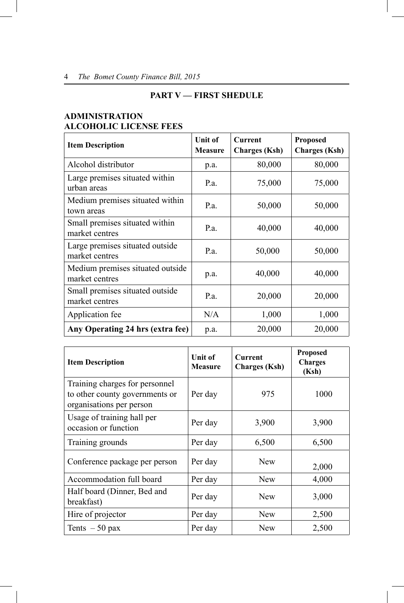#### **PART V — FIRST SHEDULE**

#### **ADMINISTRATION ALCOHOLIC LICENSE FEES**

| <b>Item Description</b>                            | Unit of<br><b>Measure</b> | Current<br><b>Charges</b> (Ksh) | <b>Proposed</b><br><b>Charges</b> (Ksh) |
|----------------------------------------------------|---------------------------|---------------------------------|-----------------------------------------|
| Alcohol distributor                                | p.a.                      | 80,000                          | 80,000                                  |
| Large premises situated within<br>urban areas      | Pa.                       | 75,000                          | 75,000                                  |
| Medium premises situated within<br>town areas      | P.a.                      | 50,000                          | 50,000                                  |
| Small premises situated within<br>market centres   | P.a.                      | 40,000                          | 40,000                                  |
| Large premises situated outside<br>market centres  | P.a.                      | 50,000                          | 50,000                                  |
| Medium premises situated outside<br>market centres | p.a.                      | 40,000                          | 40,000                                  |
| Small premises situated outside<br>market centres  | Pa.                       | 20,000                          | 20,000                                  |
| Application fee                                    | N/A                       | 1,000                           | 1,000                                   |
| Any Operating 24 hrs (extra fee)                   | p.a.                      | 20,000                          | 20,000                                  |

| <b>Item Description</b>                                                                      | <b>Unit of</b><br><b>Measure</b> | <b>Current</b><br><b>Charges</b> (Ksh) | <b>Proposed</b><br><b>Charges</b><br>(Ksh) |
|----------------------------------------------------------------------------------------------|----------------------------------|----------------------------------------|--------------------------------------------|
| Training charges for personnel<br>to other county governments or<br>organisations per person | Per day                          | 975                                    | 1000                                       |
| Usage of training hall per<br>occasion or function                                           | Per day                          | 3,900                                  | 3,900                                      |
| Training grounds                                                                             | Per day                          | 6,500                                  | 6,500                                      |
| Conference package per person                                                                | Per day                          | <b>New</b>                             | 2,000                                      |
| Accommodation full board                                                                     | Per day                          | <b>New</b>                             | 4,000                                      |
| Half board (Dinner, Bed and<br>breakfast)                                                    | Per day                          | <b>New</b>                             | 3,000                                      |
| Hire of projector                                                                            | Per day                          | <b>New</b>                             | 2,500                                      |
| Tents $-50$ pax                                                                              | Per day                          | <b>New</b>                             | 2,500                                      |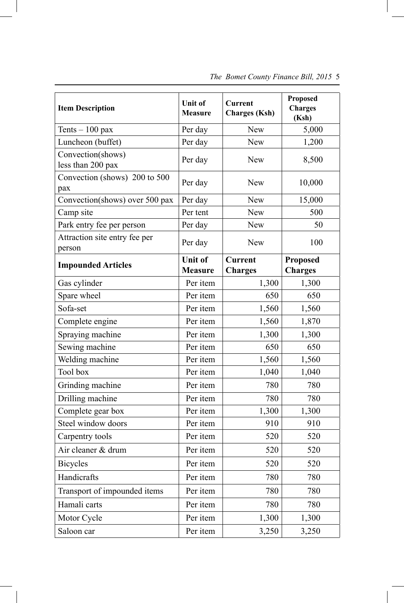| <b>Item Description</b>                 | Unit of<br><b>Measure</b>        | <b>Current</b><br><b>Charges</b> (Ksh) | <b>Proposed</b><br><b>Charges</b><br>(Ksh) |
|-----------------------------------------|----------------------------------|----------------------------------------|--------------------------------------------|
| Tents $-100$ pax                        | Per day                          | <b>New</b>                             | 5,000                                      |
| Luncheon (buffet)                       | Per day                          | <b>New</b>                             | 1,200                                      |
| Convection(shows)<br>less than 200 pax  | Per day                          | <b>New</b>                             | 8,500                                      |
| Convection (shows) 200 to 500<br>pax    | Per day                          | <b>New</b>                             | 10,000                                     |
| Convection(shows) over 500 pax          | Per day                          | <b>New</b>                             | 15,000                                     |
| Camp site                               | Per tent                         | New                                    | 500                                        |
| Park entry fee per person               | Per day                          | New                                    | 50                                         |
| Attraction site entry fee per<br>person | Per day                          | New                                    | 100                                        |
| <b>Impounded Articles</b>               | <b>Unit of</b><br><b>Measure</b> | <b>Current</b><br><b>Charges</b>       | <b>Proposed</b><br><b>Charges</b>          |
| Gas cylinder                            | Per item                         | 1,300                                  | 1,300                                      |
| Spare wheel                             | Per item                         | 650                                    | 650                                        |
| Sofa-set                                | Per item                         | 1,560                                  | 1,560                                      |
| Complete engine                         | Per item                         | 1,560                                  | 1,870                                      |
| Spraying machine                        | Per item                         | 1,300                                  | 1,300                                      |
| Sewing machine                          | Per item                         | 650                                    | 650                                        |
| Welding machine                         | Per item                         | 1,560                                  | 1,560                                      |
| Tool box                                | Per item                         | 1,040                                  | 1,040                                      |
| Grinding machine                        | Per item                         | 780                                    | 780                                        |
| Drilling machine                        | Per item                         | 780                                    | 780                                        |
| Complete gear box                       | Per item                         | 1,300                                  | 1,300                                      |
| Steel window doors                      | Per item                         | 910                                    | 910                                        |
| Carpentry tools                         | Per item                         | 520                                    | 520                                        |
| Air cleaner & drum                      | Per item                         | 520                                    | 520                                        |
| <b>Bicycles</b>                         | Per item                         | 520                                    | 520                                        |
| Handicrafts                             | Per item                         | 780                                    | 780                                        |
| Transport of impounded items            | Per item                         | 780                                    | 780                                        |
| Hamali carts                            | Per item                         | 780                                    | 780                                        |
| Motor Cycle                             | Per item                         | 1,300                                  | 1,300                                      |
| Saloon car                              | Per item                         | 3,250                                  | 3,250                                      |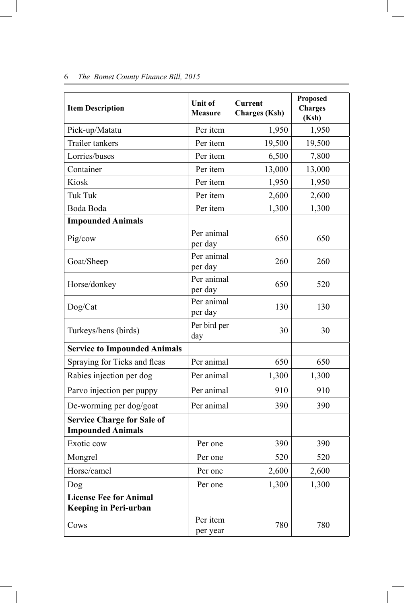| <b>Item Description</b>                                       | Unit of<br><b>Measure</b> | Current<br><b>Charges</b> (Ksh) | <b>Proposed</b><br><b>Charges</b><br>(Ksh) |
|---------------------------------------------------------------|---------------------------|---------------------------------|--------------------------------------------|
| Pick-up/Matatu                                                | Per item                  | 1,950                           | 1,950                                      |
| Trailer tankers                                               | Per item                  | 19,500                          | 19,500                                     |
| Lorries/buses                                                 | Per item                  | 6,500                           | 7,800                                      |
| Container                                                     | Per item                  | 13,000                          | 13,000                                     |
| Kiosk                                                         | Per item                  | 1,950                           | 1,950                                      |
| <b>Tuk Tuk</b>                                                | Per item                  | 2,600                           | 2,600                                      |
| Boda Boda                                                     | Per item                  | 1,300                           | 1,300                                      |
| <b>Impounded Animals</b>                                      |                           |                                 |                                            |
| Pig/cow                                                       | Per animal<br>per day     | 650                             | 650                                        |
| Goat/Sheep                                                    | Per animal<br>per day     | 260                             | 260                                        |
| Horse/donkey                                                  | Per animal<br>per day     | 650                             | 520                                        |
| Dog/Cat                                                       | Per animal<br>per day     | 130                             | 130                                        |
| Turkeys/hens (birds)                                          | Per bird per<br>day       | 30                              | 30                                         |
| <b>Service to Impounded Animals</b>                           |                           |                                 |                                            |
| Spraying for Ticks and fleas                                  | Per animal                | 650                             | 650                                        |
| Rabies injection per dog                                      | Per animal                | 1,300                           | 1,300                                      |
| Parvo injection per puppy                                     | Per animal                | 910                             | 910                                        |
| De-worming per dog/goat                                       | Per animal                | 390                             | 390                                        |
| <b>Service Charge for Sale of</b><br><b>Impounded Animals</b> |                           |                                 |                                            |
| Exotic cow                                                    | Per one                   | 390                             | 390                                        |
| Mongrel                                                       | Per one                   | 520                             | 520                                        |
| Horse/camel                                                   | Per one                   | 2,600                           | 2,600                                      |
| Dog                                                           | Per one                   | 1,300                           | 1,300                                      |
| <b>License Fee for Animal</b><br>Keeping in Peri-urban        |                           |                                 |                                            |
| Cows                                                          | Per item<br>per year      | 780                             | 780                                        |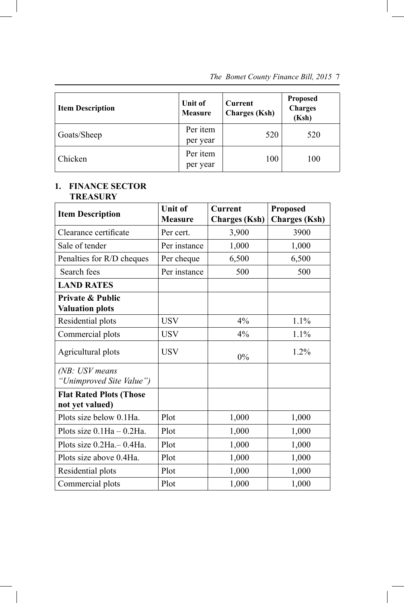| <b>Item Description</b> | Unit of<br><b>Measure</b> | Current<br><b>Charges</b> (Ksh) | <b>Proposed</b><br><b>Charges</b><br>(Ksh) |
|-------------------------|---------------------------|---------------------------------|--------------------------------------------|
| Goats/Sheep             | Per item<br>per year      | 520                             | 520                                        |
| Chicken                 | Per item<br>per year      | 100                             | 100                                        |

#### **1. FINANCE SECTOR TREASURY**

 $\overline{\phantom{a}}$ 

 $\overline{\phantom{a}}$ 

| <b>Item Description</b>                    | <b>Unit of</b><br><b>Measure</b> | <b>Current</b><br><b>Charges</b> (Ksh) | <b>Proposed</b><br><b>Charges</b> (Ksh) |
|--------------------------------------------|----------------------------------|----------------------------------------|-----------------------------------------|
| Clearance certificate                      | Per cert.                        | 3,900                                  | 3900                                    |
| Sale of tender                             | Per instance                     | 1,000                                  | 1,000                                   |
| Penalties for R/D cheques                  | Per cheque                       | 6,500                                  | 6,500                                   |
| Search fees                                | Per instance                     | 500                                    | 500                                     |
| <b>LAND RATES</b>                          |                                  |                                        |                                         |
| Private & Public<br><b>Valuation plots</b> |                                  |                                        |                                         |
| Residential plots                          | <b>USV</b>                       | 4%                                     | 1.1%                                    |
| Commercial plots                           | <b>USV</b>                       | 4%                                     | 1.1%                                    |
| Agricultural plots                         | <b>USV</b>                       | $0\%$                                  | 1.2%                                    |
| (NB: USV means<br>"Unimproved Site Value") |                                  |                                        |                                         |
| <b>Flat Rated Plots (Those</b>             |                                  |                                        |                                         |
| not yet valued)                            |                                  |                                        |                                         |
| Plots size below 0.1Ha.                    | Plot                             | 1,000                                  | 1,000                                   |
| Plots size $0.1Ha - 0.2Ha$ .               | Plot                             | 1,000                                  | 1,000                                   |
| Plots size 0.2Ha. - 0.4Ha.                 | Plot                             | 1,000                                  | 1,000                                   |
| Plots size above 0.4Ha.                    | Plot                             | 1,000                                  | 1,000                                   |
| Residential plots                          | Plot                             | 1,000                                  | 1,000                                   |
| Commercial plots                           | Plot                             | 1,000                                  | 1,000                                   |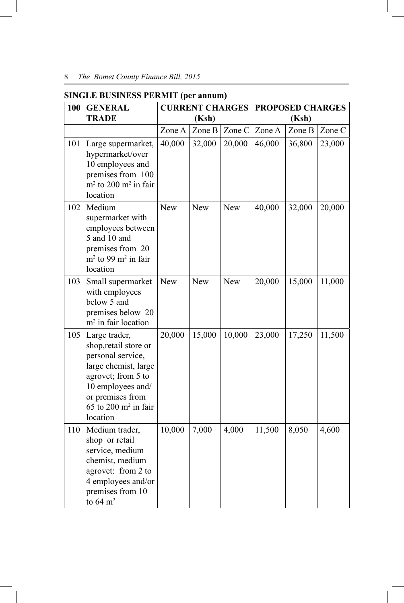| 100 | <b>GENERAL</b><br><b>TRADE</b>                                                                                                                                                                         |            | <b>CURRENT CHARGES</b><br>(Ksh) |            | <b>PROPOSED CHARGES</b><br>(Ksh) |        |        |  |
|-----|--------------------------------------------------------------------------------------------------------------------------------------------------------------------------------------------------------|------------|---------------------------------|------------|----------------------------------|--------|--------|--|
|     |                                                                                                                                                                                                        | Zone A     | Zone B                          | Zone C     | Zone A                           | Zone B | Zone C |  |
| 101 | Large supermarket,<br>hypermarket/over<br>10 employees and<br>premises from 100<br>$m2$ to 200 m <sup>2</sup> in fair<br>location                                                                      | 40,000     | 32,000                          | 20,000     | 46,000                           | 36,800 | 23,000 |  |
| 102 | Medium<br>supermarket with<br>employees between<br>5 and 10 and<br>premises from 20<br>$m2$ to 99 m <sup>2</sup> in fair<br>location                                                                   | <b>New</b> | New                             | <b>New</b> | 40,000                           | 32,000 | 20,000 |  |
| 103 | Small supermarket<br>with employees<br>below 5 and<br>premises below 20<br>$m2$ in fair location                                                                                                       | New        | New                             | <b>New</b> | 20,000                           | 15,000 | 11,000 |  |
| 105 | Large trader,<br>shop, retail store or<br>personal service,<br>large chemist, large<br>agrovet; from 5 to<br>10 employees and/<br>or premises from<br>$65$ to $200$ m <sup>2</sup> in fair<br>location | 20,000     | 15,000                          | 10,000     | 23,000                           | 17,250 | 11,500 |  |
| 110 | Medium trader,<br>shop or retail<br>service, medium<br>chemist, medium<br>agrovet: from 2 to<br>4 employees and/or<br>premises from 10<br>to $64 \text{ m}^2$                                          | 10,000     | 7,000                           | 4,000      | 11,500                           | 8,050  | 4,600  |  |

#### **SINGLE BUSINESS PERMIT (per annum)**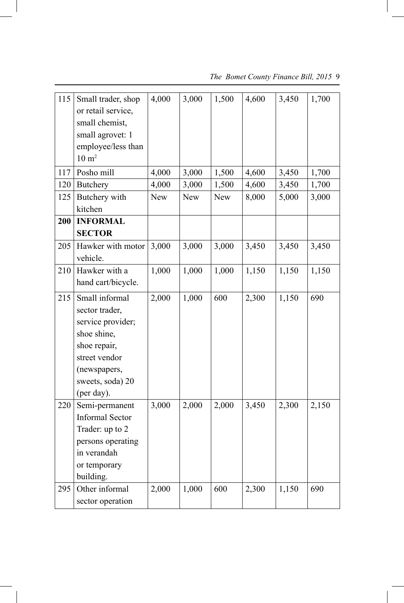| 115 | Small trader, shop<br>or retail service,<br>small chemist,<br>small agrovet: 1<br>employee/less than<br>$10 \text{ m}^2$                                | 4,000      | 3,000      | 1,500      | 4,600 | 3,450 | 1,700 |
|-----|---------------------------------------------------------------------------------------------------------------------------------------------------------|------------|------------|------------|-------|-------|-------|
| 117 | Posho mill                                                                                                                                              | 4,000      | 3,000      | 1,500      | 4,600 | 3,450 | 1,700 |
| 120 | <b>Butchery</b>                                                                                                                                         | 4,000      | 3,000      | 1,500      | 4,600 | 3,450 | 1,700 |
| 125 | Butchery with<br>kitchen                                                                                                                                | <b>New</b> | <b>New</b> | <b>New</b> | 8,000 | 5,000 | 3,000 |
| 200 | <b>INFORMAL</b>                                                                                                                                         |            |            |            |       |       |       |
|     | <b>SECTOR</b>                                                                                                                                           |            |            |            |       |       |       |
| 205 | Hawker with motor<br>vehicle.                                                                                                                           | 3,000      | 3,000      | 3,000      | 3,450 | 3,450 | 3,450 |
| 210 | Hawker with a                                                                                                                                           | 1,000      | 1,000      | 1,000      | 1,150 | 1,150 | 1,150 |
|     | hand cart/bicycle.                                                                                                                                      |            |            |            |       |       |       |
| 215 | Small informal<br>sector trader,<br>service provider;<br>shoe shine,<br>shoe repair,<br>street vendor<br>(newspapers,<br>sweets, soda) 20<br>(per day). | 2,000      | 1,000      | 600        | 2,300 | 1,150 | 690   |
| 220 | Semi-permanent<br><b>Informal Sector</b><br>Trader: up to 2<br>persons operating<br>in verandah<br>or temporary<br>building.                            | 3,000      | 2,000      | 2,000      | 3,450 | 2,300 | 2,150 |
| 295 | Other informal<br>sector operation                                                                                                                      | 2,000      | 1,000      | 600        | 2,300 | 1,150 | 690   |

 $\begin{array}{c} \hline \end{array}$ 

 *The Bomet County Finance Bill, 2015* 9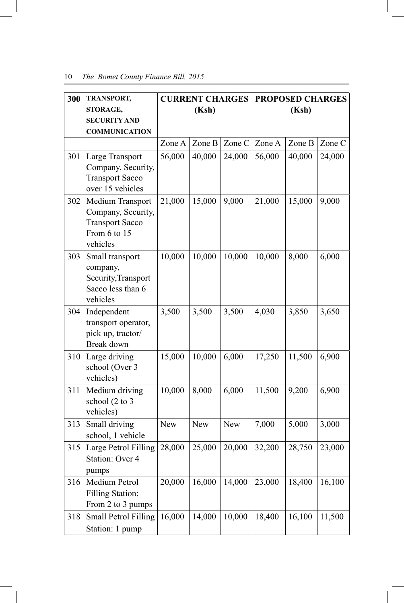| 300 | TRANSPORT,                                                                                   | <b>CURRENT CHARGES</b> |        | <b>PROPOSED CHARGES</b> |        |        |        |  |
|-----|----------------------------------------------------------------------------------------------|------------------------|--------|-------------------------|--------|--------|--------|--|
|     | STORAGE,                                                                                     |                        | (Ksh)  |                         |        | (Ksh)  |        |  |
|     | <b>SECURITY AND</b>                                                                          |                        |        |                         |        |        |        |  |
|     | <b>COMMUNICATION</b>                                                                         |                        |        |                         |        |        |        |  |
|     |                                                                                              | Zone A                 | Zone B | Zone C                  | Zone A | Zone B | Zone C |  |
| 301 | Large Transport<br>Company, Security,<br><b>Transport Sacco</b><br>over 15 vehicles          | 56,000                 | 40,000 | 24,000                  | 56,000 | 40,000 | 24,000 |  |
| 302 | Medium Transport<br>Company, Security,<br><b>Transport Sacco</b><br>From 6 to 15<br>vehicles | 21,000                 | 15,000 | 9,000                   | 21,000 | 15,000 | 9,000  |  |
| 303 | Small transport<br>company,<br>Security, Transport<br>Sacco less than 6<br>vehicles          | 10,000                 | 10,000 | 10,000                  | 10,000 | 8,000  | 6,000  |  |
| 304 | Independent<br>transport operator,<br>pick up, tractor/<br>Break down                        | 3,500                  | 3,500  | 3,500                   | 4,030  | 3,850  | 3,650  |  |
| 310 | Large driving<br>school (Over 3<br>vehicles)                                                 | 15,000                 | 10,000 | 6,000                   | 17,250 | 11,500 | 6,900  |  |
| 311 | Medium driving<br>school (2 to 3<br>vehicles)                                                | 10,000                 | 8,000  | 6,000                   | 11,500 | 9,200  | 6,900  |  |
| 313 | Small driving<br>school, 1 vehicle                                                           | <b>New</b>             | New    | New                     | 7,000  | 5,000  | 3,000  |  |
| 315 | Large Petrol Filling<br>Station: Over 4<br>pumps                                             | 28,000                 | 25,000 | 20,000                  | 32,200 | 28,750 | 23,000 |  |
| 316 | Medium Petrol<br><b>Filling Station:</b><br>From 2 to 3 pumps                                | 20,000                 | 16,000 | 14,000                  | 23,000 | 18,400 | 16,100 |  |
| 318 | <b>Small Petrol Filling</b><br>Station: 1 pump                                               | 16,000                 | 14,000 | 10,000                  | 18,400 | 16,100 | 11,500 |  |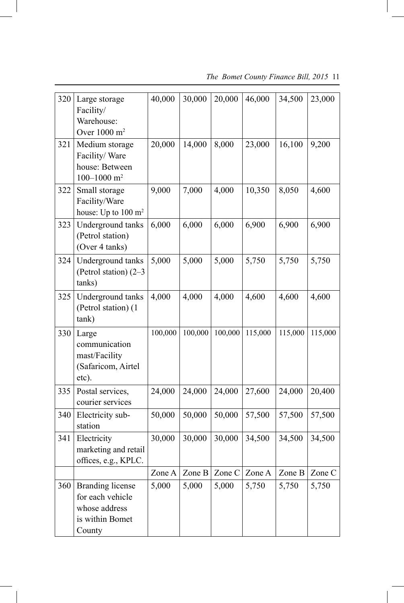| 320 | Large storage<br>Facility/<br>Warehouse:<br>Over 1000 m <sup>2</sup>                      | 40,000  | 30,000  | 20,000  | 46,000  | 34,500  | 23,000  |
|-----|-------------------------------------------------------------------------------------------|---------|---------|---------|---------|---------|---------|
| 321 | Medium storage<br>Facility/Ware<br>house: Between<br>100-1000 $m2$                        | 20,000  | 14,000  | 8,000   | 23,000  | 16,100  | 9,200   |
| 322 | Small storage<br>Facility/Ware<br>house: Up to 100 m <sup>2</sup>                         | 9,000   | 7,000   | 4,000   | 10,350  | 8,050   | 4,600   |
| 323 | Underground tanks<br>(Petrol station)<br>(Over 4 tanks)                                   | 6,000   | 6,000   | 6,000   | 6,900   | 6,900   | 6,900   |
| 324 | Underground tanks<br>(Petrol station) (2-3<br>tanks)                                      | 5,000   | 5,000   | 5,000   | 5,750   | 5,750   | 5,750   |
| 325 | Underground tanks<br>(Petrol station) (1<br>tank)                                         | 4,000   | 4,000   | 4,000   | 4,600   | 4,600   | 4,600   |
| 330 | Large<br>communication<br>mast/Facility<br>(Safaricom, Airtel<br>etc).                    | 100,000 | 100,000 | 100,000 | 115,000 | 115,000 | 115,000 |
| 335 | Postal services,<br>courier services                                                      | 24,000  | 24,000  | 24,000  | 27,600  | 24,000  | 20,400  |
| 340 | Electricity sub-<br>station                                                               | 50,000  | 50,000  | 50,000  | 57,500  | 57,500  | 57,500  |
| 341 | Electricity<br>marketing and retail<br>offices, e.g., KPLC.                               | 30,000  | 30,000  | 30,000  | 34,500  | 34,500  | 34,500  |
|     |                                                                                           | Zone A  | Zone B  | Zone C  | Zone A  | Zone B  | Zone C  |
| 360 | <b>Branding license</b><br>for each vehicle<br>whose address<br>is within Bomet<br>County | 5,000   | 5,000   | 5,000   | 5,750   | 5,750   | 5,750   |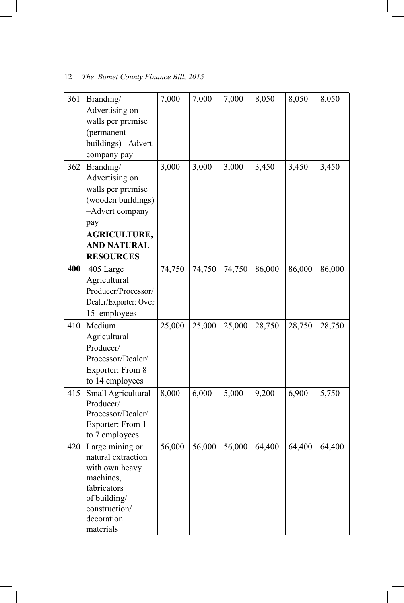| 361 | Branding/             | 7,000  | 7,000  | 7,000  | 8,050  | 8,050  | 8,050  |
|-----|-----------------------|--------|--------|--------|--------|--------|--------|
|     | Advertising on        |        |        |        |        |        |        |
|     | walls per premise     |        |        |        |        |        |        |
|     | (permanent            |        |        |        |        |        |        |
|     | buildings) - Advert   |        |        |        |        |        |        |
|     | company pay           |        |        |        |        |        |        |
| 362 | Branding/             | 3,000  | 3,000  | 3,000  | 3,450  | 3,450  | 3,450  |
|     | Advertising on        |        |        |        |        |        |        |
|     | walls per premise     |        |        |        |        |        |        |
|     | (wooden buildings)    |        |        |        |        |        |        |
|     | -Advert company       |        |        |        |        |        |        |
|     | pay                   |        |        |        |        |        |        |
|     | <b>AGRICULTURE,</b>   |        |        |        |        |        |        |
|     | <b>AND NATURAL</b>    |        |        |        |        |        |        |
|     | <b>RESOURCES</b>      |        |        |        |        |        |        |
| 400 | 405 Large             | 74,750 | 74,750 | 74,750 | 86,000 | 86,000 | 86,000 |
|     | Agricultural          |        |        |        |        |        |        |
|     | Producer/Processor/   |        |        |        |        |        |        |
|     | Dealer/Exporter: Over |        |        |        |        |        |        |
|     | 15 employees          |        |        |        |        |        |        |
| 410 | Medium                | 25,000 | 25,000 | 25,000 | 28,750 | 28,750 | 28,750 |
|     | Agricultural          |        |        |        |        |        |        |
|     | Producer/             |        |        |        |        |        |        |
|     | Processor/Dealer/     |        |        |        |        |        |        |
|     | Exporter: From 8      |        |        |        |        |        |        |
|     | to 14 employees       |        |        |        |        |        |        |
| 415 | Small Agricultural    | 8,000  | 6,000  | 5,000  | 9,200  | 6,900  | 5,750  |
|     | Producer/             |        |        |        |        |        |        |
|     | Processor/Dealer/     |        |        |        |        |        |        |
|     | Exporter: From 1      |        |        |        |        |        |        |
|     | to 7 employees        |        |        |        |        |        |        |
| 420 | Large mining or       | 56,000 | 56,000 | 56,000 | 64,400 | 64,400 | 64,400 |
|     | natural extraction    |        |        |        |        |        |        |
|     | with own heavy        |        |        |        |        |        |        |
|     | machines,             |        |        |        |        |        |        |
|     | fabricators           |        |        |        |        |        |        |
|     | of building/          |        |        |        |        |        |        |
|     | construction/         |        |        |        |        |        |        |
|     | decoration            |        |        |        |        |        |        |
|     | materials             |        |        |        |        |        |        |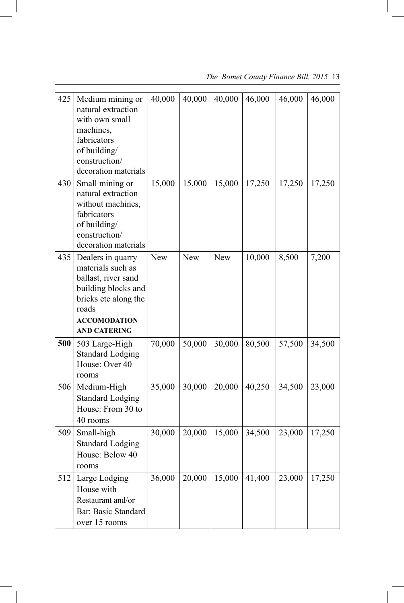| 425 | Medium mining or<br>natural extraction<br>with own small<br>machines,<br>fabricators<br>of building/<br>construction/<br>decoration materials | 40,000     | 40,000     | 40,000     | 46,000 | 46,000 | 46,000 |
|-----|-----------------------------------------------------------------------------------------------------------------------------------------------|------------|------------|------------|--------|--------|--------|
| 430 | Small mining or<br>natural extraction<br>without machines,<br>fabricators<br>of building/<br>construction/<br>decoration materials            | 15,000     | 15,000     | 15,000     | 17,250 | 17,250 | 17,250 |
| 435 | Dealers in quarry<br>materials such as<br>ballast, river sand<br>building blocks and<br>bricks etc along the<br>roads<br><b>ACCOMODATION</b>  | <b>New</b> | <b>New</b> | <b>New</b> | 10,000 | 8,500  | 7,200  |
|     | <b>AND CATERING</b>                                                                                                                           |            |            |            |        |        |        |
| 500 | 503 Large-High<br><b>Standard Lodging</b><br>House: Over 40<br>rooms                                                                          | 70,000     | 50,000     | 30,000     | 80,500 | 57,500 | 34,500 |
| 506 | Medium-High<br><b>Standard Lodging</b><br>House: From 30 to<br>40 rooms                                                                       | 35,000     | 30,000     | 20,000     | 40,250 | 34,500 | 23,000 |
| 509 | Small-high<br><b>Standard Lodging</b><br>House: Below 40<br>rooms                                                                             | 30,000     | 20,000     | 15,000     | 34,500 | 23,000 | 17,250 |
| 512 | Large Lodging<br>House with<br>Restaurant and/or<br>Bar: Basic Standard<br>over 15 rooms                                                      | 36,000     | 20,000     | 15,000     | 41,400 | 23,000 | 17,250 |

 *The Bomet County Finance Bill, 2015* 13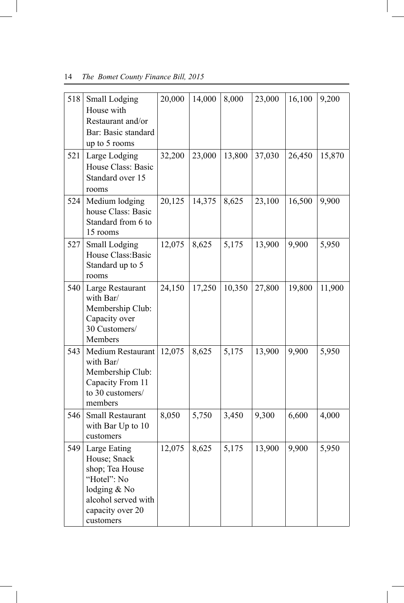| 518 | Small Lodging<br>House with<br>Restaurant and/or<br>Bar: Basic standard<br>up to 5 rooms                                                   | 20,000 | 14,000 | 8,000  | 23,000 | 16,100 | 9,200  |
|-----|--------------------------------------------------------------------------------------------------------------------------------------------|--------|--------|--------|--------|--------|--------|
| 521 | Large Lodging<br>House Class: Basic<br>Standard over 15<br>rooms                                                                           | 32,200 | 23,000 | 13,800 | 37,030 | 26,450 | 15,870 |
| 524 | Medium lodging<br>house Class: Basic<br>Standard from 6 to<br>15 rooms                                                                     | 20,125 | 14,375 | 8,625  | 23,100 | 16,500 | 9,900  |
| 527 | Small Lodging<br>House Class: Basic<br>Standard up to 5<br>rooms                                                                           | 12,075 | 8,625  | 5,175  | 13,900 | 9,900  | 5,950  |
| 540 | Large Restaurant<br>with Bar/<br>Membership Club:<br>Capacity over<br>30 Customers/<br>Members                                             | 24,150 | 17,250 | 10,350 | 27,800 | 19,800 | 11,900 |
| 543 | Medium Restaurant<br>with Bar/<br>Membership Club:<br>Capacity From 11<br>to 30 customers/<br>members                                      | 12,075 | 8,625  | 5,175  | 13,900 | 9,900  | 5,950  |
| 546 | <b>Small Restaurant</b><br>with Bar Up to 10<br>customers                                                                                  | 8,050  | 5,750  | 3,450  | 9,300  | 6,600  | 4,000  |
|     | 549 Large Eating<br>House; Snack<br>shop; Tea House<br>"Hotel": No<br>lodging & No<br>alcohol served with<br>capacity over 20<br>customers | 12,075 | 8,625  | 5,175  | 13,900 | 9,900  | 5,950  |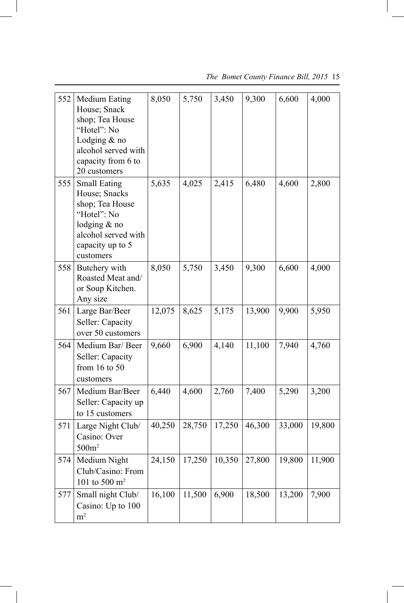| 552 | <b>Medium Eating</b><br>House; Snack<br>shop; Tea House<br>"Hotel": No<br>Lodging $&$ no<br>alcohol served with<br>capacity from 6 to<br>20 customers | 8,050  | 5,750  | 3,450  | 9,300  | 6,600  | 4,000  |
|-----|-------------------------------------------------------------------------------------------------------------------------------------------------------|--------|--------|--------|--------|--------|--------|
| 555 | <b>Small Eating</b><br>House; Snacks<br>shop; Tea House<br>"Hotel": No<br>lodging $&$ no<br>alcohol served with<br>capacity up to 5<br>customers      | 5,635  | 4,025  | 2,415  | 6,480  | 4,600  | 2,800  |
| 558 | Butchery with<br>Roasted Meat and/<br>or Soup Kitchen.<br>Any size                                                                                    | 8,050  | 5,750  | 3,450  | 9,300  | 6,600  | 4,000  |
| 561 | Large Bar/Beer<br>Seller: Capacity<br>over 50 customers                                                                                               | 12,075 | 8,625  | 5,175  | 13,900 | 9,900  | 5,950  |
| 564 | Medium Bar/ Beer<br>Seller: Capacity<br>from $16$ to $50$<br>customers                                                                                | 9,660  | 6,900  | 4,140  | 11,100 | 7,940  | 4,760  |
| 567 | Medium Bar/Beer<br>Seller: Capacity up<br>to 15 customers                                                                                             | 6,440  | 4,600  | 2,760  | 7,400  | 5,290  | 3,200  |
| 571 | Large Night Club/<br>Casino: Over<br>500m <sup>2</sup>                                                                                                | 40,250 | 28,750 | 17,250 | 46,300 | 33,000 | 19,800 |
| 574 | Medium Night<br>Club/Casino: From<br>101 to 500 $m^2$                                                                                                 | 24,150 | 17,250 | 10,350 | 27,800 | 19,800 | 11,900 |
| 577 | Small night Club/<br>Casino: Up to 100<br>m <sup>2</sup>                                                                                              | 16,100 | 11,500 | 6,900  | 18,500 | 13,200 | 7,900  |

 *The Bomet County Finance Bill, 2015* 15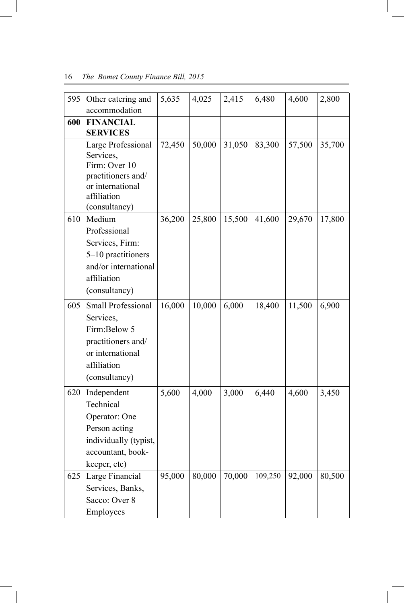| 595 | Other catering and<br>accommodation                                                                                        | 5,635  | 4,025  | 2,415  | 6,480   | 4,600  | 2,800  |
|-----|----------------------------------------------------------------------------------------------------------------------------|--------|--------|--------|---------|--------|--------|
| 600 | <b>FINANCIAL</b><br><b>SERVICES</b>                                                                                        |        |        |        |         |        |        |
|     | Large Professional<br>Services,<br>Firm: Over 10<br>practitioners and/<br>or international<br>affiliation<br>(consultancy) | 72,450 | 50,000 | 31,050 | 83,300  | 57,500 | 35,700 |
| 610 | Medium<br>Professional<br>Services, Firm:<br>5-10 practitioners<br>and/or international<br>affiliation<br>(consultancy)    | 36,200 | 25,800 | 15,500 | 41,600  | 29,670 | 17,800 |
| 605 | Small Professional<br>Services,<br>Firm:Below 5<br>practitioners and/<br>or international<br>affiliation<br>(consultancy)  | 16,000 | 10,000 | 6,000  | 18,400  | 11,500 | 6,900  |
| 620 | Independent<br>Technical<br>Operator: One<br>Person acting<br>individually (typist,<br>accountant, book-<br>keeper, etc)   | 5,600  | 4,000  | 3,000  | 6,440   | 4,600  | 3,450  |
| 625 | Large Financial<br>Services, Banks,<br>Sacco: Over 8<br>Employees                                                          | 95,000 | 80,000 | 70,000 | 109,250 | 92,000 | 80,500 |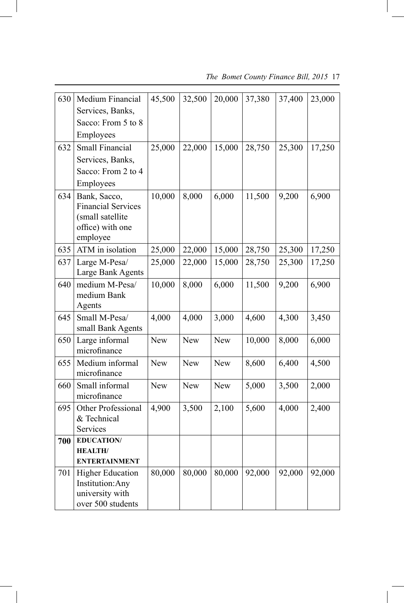| 630 | Medium Financial                   | 45,500     | 32,500     | 20,000     | 37,380 | 37,400 | 23,000 |
|-----|------------------------------------|------------|------------|------------|--------|--------|--------|
|     | Services, Banks,                   |            |            |            |        |        |        |
|     | Sacco: From 5 to 8                 |            |            |            |        |        |        |
|     | Employees                          |            |            |            |        |        |        |
| 632 | <b>Small Financial</b>             | 25,000     | 22,000     | 15,000     | 28,750 | 25,300 | 17,250 |
|     | Services, Banks,                   |            |            |            |        |        |        |
|     | Sacco: From 2 to 4                 |            |            |            |        |        |        |
|     | Employees                          |            |            |            |        |        |        |
| 634 | Bank, Sacco,                       | 10,000     | 8,000      | 6,000      | 11,500 | 9,200  | 6,900  |
|     | <b>Financial Services</b>          |            |            |            |        |        |        |
|     | (small satellite                   |            |            |            |        |        |        |
|     | office) with one                   |            |            |            |        |        |        |
|     | employee                           |            |            |            |        |        |        |
| 635 | ATM in isolation                   | 25,000     | 22,000     | 15,000     | 28,750 | 25,300 | 17,250 |
| 637 | Large M-Pesa/                      | 25,000     | 22,000     | 15,000     | 28,750 | 25,300 | 17,250 |
|     | Large Bank Agents                  |            |            |            |        |        |        |
| 640 | medium M-Pesa/                     | 10,000     | 8,000      | 6,000      | 11,500 | 9,200  | 6,900  |
|     | medium Bank                        |            |            |            |        |        |        |
|     | Agents                             |            |            |            |        |        |        |
| 645 | Small M-Pesa/<br>small Bank Agents | 4,000      | 4,000      | 3,000      | 4,600  | 4,300  | 3,450  |
|     | Large informal                     | <b>New</b> | <b>New</b> | <b>New</b> | 10,000 |        |        |
| 650 | microfinance                       |            |            |            |        | 8,000  | 6,000  |
| 655 | Medium informal                    | <b>New</b> | <b>New</b> | <b>New</b> | 8,600  | 6,400  | 4,500  |
|     | microfinance                       |            |            |            |        |        |        |
| 660 | Small informal                     | <b>New</b> | New        | <b>New</b> | 5,000  | 3,500  | 2,000  |
|     | microfinance                       |            |            |            |        |        |        |
| 695 | Other Professional                 | 4,900      | 3,500      | 2,100      | 5,600  | 4,000  | 2,400  |
|     | & Technical                        |            |            |            |        |        |        |
|     | <b>Services</b>                    |            |            |            |        |        |        |
| 700 | <b>EDUCATION/</b>                  |            |            |            |        |        |        |
|     | <b>HEALTH/</b>                     |            |            |            |        |        |        |
|     | <b>ENTERTAINMENT</b>               |            |            |            |        |        |        |
| 701 | <b>Higher Education</b>            | 80,000     | 80,000     | 80,000     | 92,000 | 92,000 | 92,000 |
|     | Institution: Any                   |            |            |            |        |        |        |
|     | university with                    |            |            |            |        |        |        |
|     | over 500 students                  |            |            |            |        |        |        |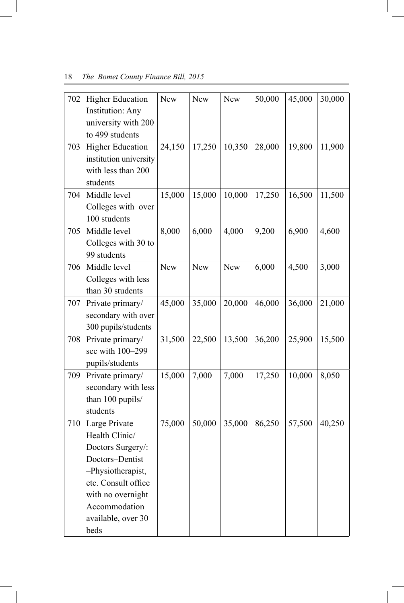| 702 | <b>Higher Education</b><br><b>Institution: Any</b><br>university with 200<br>to 499 students                                                                                            | New    | <b>New</b> | <b>New</b> | 50,000 | 45,000 | 30,000 |
|-----|-----------------------------------------------------------------------------------------------------------------------------------------------------------------------------------------|--------|------------|------------|--------|--------|--------|
| 703 | <b>Higher Education</b><br>institution university<br>with less than 200<br>students                                                                                                     | 24,150 | 17,250     | 10,350     | 28,000 | 19,800 | 11,900 |
| 704 | Middle level<br>Colleges with over<br>100 students                                                                                                                                      | 15,000 | 15,000     | 10,000     | 17,250 | 16,500 | 11,500 |
| 705 | Middle level<br>Colleges with 30 to<br>99 students                                                                                                                                      | 8,000  | 6,000      | 4,000      | 9,200  | 6,900  | 4,600  |
| 706 | Middle level<br>Colleges with less<br>than 30 students                                                                                                                                  | New    | New        | New        | 6,000  | 4,500  | 3,000  |
| 707 | Private primary/<br>secondary with over<br>300 pupils/students                                                                                                                          | 45,000 | 35,000     | 20,000     | 46,000 | 36,000 | 21,000 |
| 708 | Private primary/<br>sec with 100-299<br>pupils/students                                                                                                                                 | 31,500 | 22,500     | 13,500     | 36,200 | 25,900 | 15,500 |
| 709 | Private primary/<br>secondary with less<br>than 100 pupils/<br>students                                                                                                                 | 15,000 | 7,000      | 7,000      | 17,250 | 10,000 | 8,050  |
| 710 | Large Private<br>Health Clinic/<br>Doctors Surgery/:<br>Doctors-Dentist<br>-Physiotherapist,<br>etc. Consult office<br>with no overnight<br>Accommodation<br>available, over 30<br>beds | 75,000 | 50,000     | 35,000     | 86,250 | 57,500 | 40,250 |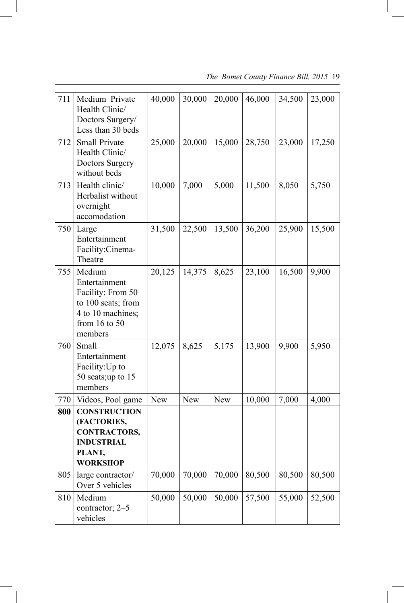| 711 | Medium Private<br>Health Clinic/<br>Doctors Surgery/<br>Less than 30 beds                                           | 40,000     | 30,000     | 20,000     | 46,000 | 34,500 | 23,000 |
|-----|---------------------------------------------------------------------------------------------------------------------|------------|------------|------------|--------|--------|--------|
| 712 | <b>Small Private</b><br>Health Clinic/<br><b>Doctors Surgery</b><br>without beds                                    | 25,000     | 20,000     | 15,000     | 28,750 | 23,000 | 17,250 |
| 713 | Health clinic/<br>Herbalist without<br>overnight<br>accomodation                                                    | 10,000     | 7,000      | 5,000      | 11,500 | 8,050  | 5,750  |
| 750 | Large<br>Entertainment<br>Facility:Cinema-<br>Theatre                                                               | 31,500     | 22,500     | 13,500     | 36,200 | 25,900 | 15,500 |
| 755 | Medium<br>Entertainment<br>Facility: From 50<br>to 100 seats; from<br>4 to 10 machines;<br>from 16 to 50<br>members | 20,125     | 14,375     | 8,625      | 23,100 | 16,500 | 9,900  |
| 760 | Small<br>Entertainment<br>Facility: Up to<br>50 seats; up to 15<br>members                                          | 12,075     | 8,625      | 5,175      | 13,900 | 9,900  | 5,950  |
| 770 | Videos, Pool game                                                                                                   | <b>New</b> | <b>New</b> | <b>New</b> | 10,000 | 7,000  | 4,000  |
| 800 | <b>CONSTRUCTION</b><br>(FACTORIES,<br><b>CONTRACTORS,</b><br><b>INDUSTRIAL</b><br>PLANT,<br><b>WORKSHOP</b>         |            |            |            |        |        |        |
| 805 | large contractor/<br>Over 5 vehicles                                                                                | 70,000     | 70,000     | 70,000     | 80,500 | 80,500 | 80,500 |
| 810 | Medium<br>contractor; 2-5<br>vehicles                                                                               | 50,000     | 50,000     | 50,000     | 57,500 | 55,000 | 52,500 |

 *The Bomet County Finance Bill, 2015* 19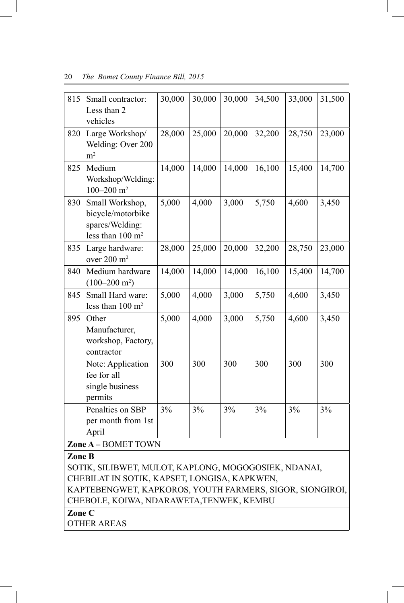| 815    | Small contractor:<br>Less than 2<br>vehicles                                            | 30,000 | 30,000 | 30,000 | 34,500 | 33,000 | 31,500 |
|--------|-----------------------------------------------------------------------------------------|--------|--------|--------|--------|--------|--------|
| 820    | Large Workshop/<br>Welding: Over 200<br>m <sup>2</sup>                                  | 28,000 | 25,000 | 20,000 | 32,200 | 28,750 | 23,000 |
| 825    | Medium<br>Workshop/Welding:<br>100-200 $m2$                                             | 14,000 | 14,000 | 14,000 | 16,100 | 15,400 | 14,700 |
| 830    | Small Workshop,<br>bicycle/motorbike<br>spares/Welding:<br>less than 100 m <sup>2</sup> | 5,000  | 4,000  | 3,000  | 5,750  | 4,600  | 3,450  |
| 835    | Large hardware:<br>over 200 m <sup>2</sup>                                              | 28,000 | 25,000 | 20,000 | 32,200 | 28,750 | 23,000 |
| 840    | Medium hardware<br>$(100-200 \text{ m}^2)$                                              | 14,000 | 14,000 | 14,000 | 16,100 | 15,400 | 14,700 |
| 845    | Small Hard ware:<br>less than 100 m <sup>2</sup>                                        | 5,000  | 4,000  | 3,000  | 5,750  | 4,600  | 3,450  |
| 895    | Other<br>Manufacturer,<br>workshop, Factory,<br>contractor                              | 5,000  | 4,000  | 3,000  | 5,750  | 4,600  | 3,450  |
|        | Note: Application<br>fee for all<br>single business<br>permits                          | 300    | 300    | 300    | 300    | 300    | 300    |
|        | Penalties on SBP<br>per month from 1st<br>April                                         | 3%     | 3%     | 3%     | 3%     | 3%     | 3%     |
|        | Zone A - BOMET TOWN                                                                     |        |        |        |        |        |        |
| Zone B |                                                                                         |        |        |        |        |        |        |
|        | SOTIK, SILIBWET, MULOT, KAPLONG, MOGOGOSIEK, NDANAI,                                    |        |        |        |        |        |        |
|        | CHEBILAT IN SOTIK, KAPSET, LONGISA, KAPKWEN,                                            |        |        |        |        |        |        |
|        | KAPTEBENGWET, KAPKOROS, YOUTH FARMERS, SIGOR, SIONGIROI,                                |        |        |        |        |        |        |
|        | CHEBOLE, KOIWA, NDARAWETA, TENWEK, KEMBU                                                |        |        |        |        |        |        |
|        | Zone C                                                                                  |        |        |        |        |        |        |

OTHER AREAS

 $\overline{\phantom{a}}$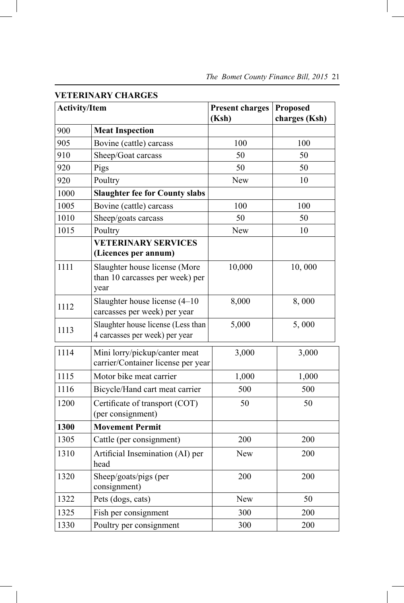| <b>VETERINARY CHARGES</b> |                                                                          |                                 |                                  |  |  |
|---------------------------|--------------------------------------------------------------------------|---------------------------------|----------------------------------|--|--|
| <b>Activity/Item</b>      |                                                                          | <b>Present charges</b><br>(Ksh) | <b>Proposed</b><br>charges (Ksh) |  |  |
| 900                       | <b>Meat Inspection</b>                                                   |                                 |                                  |  |  |
| 905                       | Bovine (cattle) carcass                                                  | 100                             | 100                              |  |  |
| 910                       | Sheep/Goat carcass                                                       | 50                              | 50                               |  |  |
| 920                       | Pigs                                                                     | 50                              | 50                               |  |  |
| 920                       | Poultry                                                                  | <b>New</b>                      | 10                               |  |  |
| 1000                      | <b>Slaughter fee for County slabs</b>                                    |                                 |                                  |  |  |
| 1005                      | Bovine (cattle) carcass                                                  | 100                             | 100                              |  |  |
| 1010                      | Sheep/goats carcass                                                      | 50                              | 50                               |  |  |
| 1015                      | Poultry                                                                  | <b>New</b>                      | 10                               |  |  |
|                           | <b>VETERINARY SERVICES</b><br>(Licences per annum)                       |                                 |                                  |  |  |
| 1111                      | Slaughter house license (More<br>than 10 carcasses per week) per<br>year | 10,000                          | 10,000                           |  |  |
| 1112                      | Slaughter house license $(4-10)$<br>carcasses per week) per year         | 8,000                           | 8,000                            |  |  |
| 1113                      | Slaughter house license (Less than<br>4 carcasses per week) per year     | 5,000                           | 5,000                            |  |  |
| 1114                      | Mini lorry/pickup/canter meat<br>carrier/Container license per year      | 3,000                           | 3,000                            |  |  |
| 1115                      | Motor bike meat carrier                                                  | 1,000                           | 1,000                            |  |  |
| 1116                      | Bicycle/Hand cart meat carrier                                           | 500                             | 500                              |  |  |
| 1200                      | Certificate of transport (COT)<br>(per consignment)                      | 50                              | 50                               |  |  |
| 1300                      | <b>Movement Permit</b>                                                   |                                 |                                  |  |  |
| 1305                      | Cattle (per consignment)                                                 | 200                             | 200                              |  |  |
| 1310                      | Artificial Insemination (AI) per<br>head                                 | <b>New</b>                      | 200                              |  |  |
| 1320                      | Sheep/goats/pigs (per<br>consignment)                                    | 200                             | 200                              |  |  |
| 1322                      | Pets (dogs, cats)                                                        | <b>New</b>                      | 50                               |  |  |
| 1325                      | Fish per consignment                                                     | 300                             | 200                              |  |  |
| 1330                      | Poultry per consignment                                                  | 300                             | 200                              |  |  |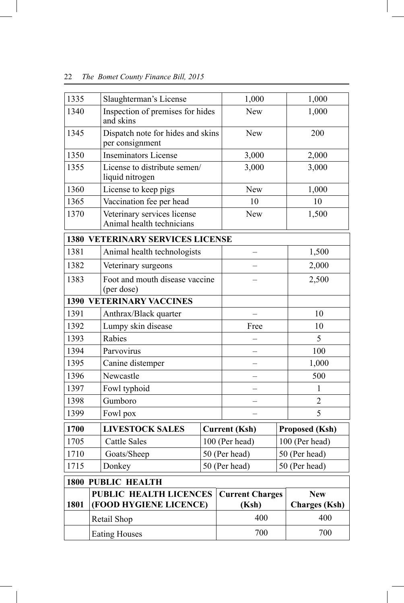| 1335 | Slaughterman's License                                   | 1,000                  | 1,000                 |
|------|----------------------------------------------------------|------------------------|-----------------------|
| 1340 | Inspection of premises for hides<br>and skins            | <b>New</b>             | 1,000                 |
| 1345 | Dispatch note for hides and skins<br>per consignment     | <b>New</b>             | 200                   |
| 1350 | <b>Inseminators License</b>                              | 3,000                  | 2,000                 |
| 1355 | License to distribute semen/<br>liquid nitrogen          | 3,000                  | 3,000                 |
| 1360 | License to keep pigs                                     | <b>New</b>             | 1,000                 |
| 1365 | Vaccination fee per head                                 | 10                     | 10                    |
| 1370 | Veterinary services license<br>Animal health technicians | New                    | 1,500                 |
|      | <b>1380 VETERINARY SERVICES LICENSE</b>                  |                        |                       |
| 1381 | Animal health technologists                              |                        | 1,500                 |
| 1382 | Veterinary surgeons                                      |                        | 2,000                 |
| 1383 | Foot and mouth disease vaccine<br>(per dose)             |                        | 2,500                 |
|      | <b>1390 VETERINARY VACCINES</b>                          |                        |                       |
| 1391 | Anthrax/Black quarter                                    |                        | 10                    |
| 1392 | Lumpy skin disease                                       | Free                   | 10                    |
| 1393 | Rabies                                                   |                        | 5                     |
| 1394 | Parvovirus                                               |                        | 100                   |
| 1395 | Canine distemper                                         |                        | 1,000                 |
| 1396 | Newcastle                                                |                        | 500                   |
| 1397 | Fowl typhoid                                             |                        | 1                     |
| 1398 | Gumboro                                                  |                        | $\overline{2}$        |
| 1399 | Fowl pox                                                 |                        | 5                     |
| 1700 | <b>LIVESTOCK SALES</b>                                   | <b>Current (Ksh)</b>   | <b>Proposed (Ksh)</b> |
| 1705 | <b>Cattle Sales</b>                                      | 100 (Per head)         | 100 (Per head)        |
| 1710 | Goats/Sheep                                              | 50 (Per head)          | 50 (Per head)         |
| 1715 | Donkey                                                   | 50 (Per head)          | 50 (Per head)         |
|      | <b>1800 PUBLIC HEALTH</b>                                |                        |                       |
|      | PUBLIC HEALTH LICENCES                                   | <b>Current Charges</b> | <b>New</b>            |
| 1801 | (FOOD HYGIENE LICENCE)                                   | (Ksh)                  | <b>Charges</b> (Ksh)  |
|      | Retail Shop                                              | 400                    | 400                   |
|      | <b>Eating Houses</b>                                     | 700                    | 700                   |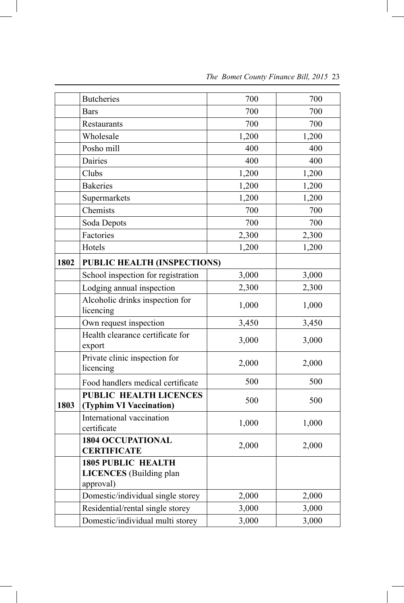|      | <b>Butcheries</b>                                                        | 700   | 700   |
|------|--------------------------------------------------------------------------|-------|-------|
|      | <b>Bars</b>                                                              | 700   | 700   |
|      | Restaurants                                                              | 700   | 700   |
|      | Wholesale                                                                | 1,200 | 1,200 |
|      | Posho mill                                                               | 400   | 400   |
|      | Dairies                                                                  | 400   | 400   |
|      | Clubs                                                                    | 1,200 | 1,200 |
|      | <b>Bakeries</b>                                                          | 1,200 | 1,200 |
|      | Supermarkets                                                             | 1,200 | 1,200 |
|      | Chemists                                                                 | 700   | 700   |
|      | Soda Depots                                                              | 700   | 700   |
|      | Factories                                                                | 2,300 | 2,300 |
|      | Hotels                                                                   | 1,200 | 1,200 |
| 1802 | PUBLIC HEALTH (INSPECTIONS)                                              |       |       |
|      | School inspection for registration                                       | 3,000 | 3,000 |
|      | Lodging annual inspection                                                | 2,300 | 2,300 |
|      | Alcoholic drinks inspection for<br>licencing                             | 1,000 | 1,000 |
|      | Own request inspection                                                   | 3,450 | 3,450 |
|      | Health clearance certificate for<br>export                               | 3,000 | 3,000 |
|      | Private clinic inspection for<br>licencing                               | 2,000 | 2,000 |
|      | Food handlers medical certificate                                        | 500   | 500   |
| 1803 | PUBLIC HEALTH LICENCES<br>(Typhim VI Vaccination)                        | 500   | 500   |
|      | International vaccination<br>certificate                                 | 1,000 | 1,000 |
|      | <b>1804 OCCUPATIONAL</b><br><b>CERTIFICATE</b>                           | 2,000 | 2,000 |
|      | <b>1805 PUBLIC HEALTH</b><br><b>LICENCES</b> (Building plan<br>approval) |       |       |
|      | Domestic/individual single storey                                        | 2,000 | 2,000 |
|      | Residential/rental single storey                                         | 3,000 | 3,000 |
|      | Domestic/individual multi storey                                         | 3,000 | 3,000 |

 $\overline{\phantom{a}}$ 

 *The Bomet County Finance Bill, 2015* 23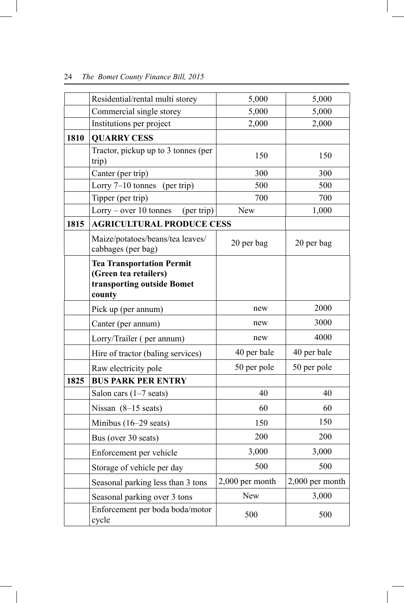|      | Residential/rental multi storey                                                                   | 5,000           | 5,000           |
|------|---------------------------------------------------------------------------------------------------|-----------------|-----------------|
|      | Commercial single storey                                                                          | 5,000           | 5,000           |
|      | Institutions per project                                                                          | 2,000           | 2,000           |
| 1810 | <b>QUARRY CESS</b>                                                                                |                 |                 |
|      | Tractor, pickup up to 3 tonnes (per<br>trip)                                                      | 150             | 150             |
|      | Canter (per trip)                                                                                 | 300             | 300             |
|      | Lorry $7-10$ tonnes (per trip)                                                                    | 500             | 500             |
|      | Tipper (per trip)                                                                                 | 700             | 700             |
|      | $Lorry - over 10 tonnes$<br>(per trip)                                                            | <b>New</b>      | 1,000           |
| 1815 | <b>AGRICULTURAL PRODUCE CESS</b>                                                                  |                 |                 |
|      | Maize/potatoes/beans/tea leaves/<br>cabbages (per bag)                                            | 20 per bag      | 20 per bag      |
|      | <b>Tea Transportation Permit</b><br>(Green tea retailers)<br>transporting outside Bomet<br>county |                 |                 |
|      | Pick up (per annum)                                                                               | new             | 2000            |
|      | Canter (per annum)                                                                                | new             | 3000            |
|      | Lorry/Trailer (per annum)                                                                         | new             | 4000            |
|      | Hire of tractor (baling services)                                                                 | 40 per bale     | 40 per bale     |
|      | Raw electricity pole                                                                              | 50 per pole     | 50 per pole     |
| 1825 | <b>BUS PARK PER ENTRY</b>                                                                         |                 |                 |
|      | Salon cars $(1-7 \text{ seats})$                                                                  | 40              | 40              |
|      | Nissan $(8-15 \text{ seats})$                                                                     | 60              | 60              |
|      | Minibus $(16-29 \text{ seats})$                                                                   | 150             | 150             |
|      | Bus (over 30 seats)                                                                               | 200             | 200             |
|      | Enforcement per vehicle                                                                           | 3,000           | 3,000           |
|      | Storage of vehicle per day                                                                        | 500             | 500             |
|      | Seasonal parking less than 3 tons                                                                 | 2,000 per month | 2,000 per month |
|      | Seasonal parking over 3 tons                                                                      | <b>New</b>      | 3,000           |
|      | Enforcement per boda boda/motor<br>cycle                                                          | 500             | 500             |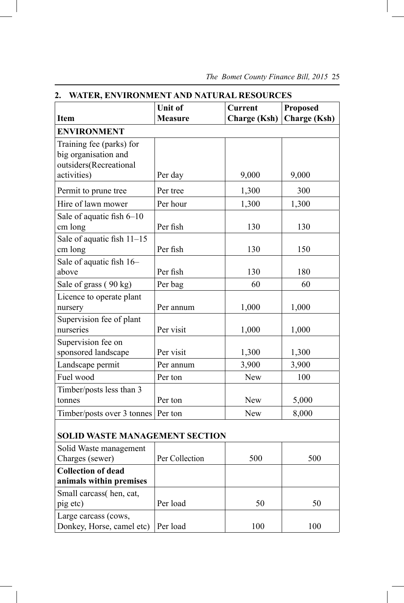|                                       | Unit of        | <b>Current</b>      | <b>Proposed</b>     |  |
|---------------------------------------|----------------|---------------------|---------------------|--|
| <b>Item</b>                           | <b>Measure</b> | <b>Charge (Ksh)</b> | <b>Charge</b> (Ksh) |  |
| <b>ENVIRONMENT</b>                    |                |                     |                     |  |
| Training fee (parks) for              |                |                     |                     |  |
| big organisation and                  |                |                     |                     |  |
| outsiders(Recreational                |                |                     |                     |  |
| activities)                           | Per day        | 9,000               | 9,000               |  |
| Permit to prune tree                  | Per tree       | 1,300               | 300                 |  |
| Hire of lawn mower                    | Per hour       | 1,300               | 1,300               |  |
| Sale of aquatic fish 6-10             |                |                     |                     |  |
| cm long                               | Per fish       | 130                 | 130                 |  |
| Sale of aquatic fish 11-15            |                |                     |                     |  |
| cm long                               | Per fish       | 130                 | 150                 |  |
| Sale of aquatic fish 16-              |                |                     |                     |  |
| above                                 | Per fish       | 130                 | 180                 |  |
| Sale of grass (90 kg)                 | Per bag        | 60                  | 60                  |  |
| Licence to operate plant              |                |                     |                     |  |
| nursery                               | Per annum      | 1,000               | 1,000               |  |
| Supervision fee of plant              |                |                     |                     |  |
| nurseries                             | Per visit      | 1,000               | 1,000               |  |
| Supervision fee on                    |                |                     |                     |  |
| sponsored landscape                   | Per visit      | 1,300               | 1,300               |  |
| Landscape permit                      | Per annum      | 3,900               | 3,900               |  |
| Fuel wood                             | Per ton        | <b>New</b>          | 100                 |  |
| Timber/posts less than 3              |                |                     |                     |  |
| tonnes                                | Per ton        | New                 | 5,000               |  |
| Timber/posts over 3 tonnes   Per ton  |                | <b>New</b>          | 8,000               |  |
|                                       |                |                     |                     |  |
| <b>SOLID WASTE MANAGEMENT SECTION</b> |                |                     |                     |  |
| Solid Waste management                |                |                     |                     |  |
| Charges (sewer)                       | Per Collection | 500                 | 500                 |  |
| <b>Collection of dead</b>             |                |                     |                     |  |
| animals within premises               |                |                     |                     |  |
| Small carcass(hen, cat,               |                |                     |                     |  |
| pig etc)                              | Per load       | 50                  | 50                  |  |
| Large carcass (cows,                  |                |                     |                     |  |
| Donkey, Horse, camel etc)             | Per load       | 100                 | 100                 |  |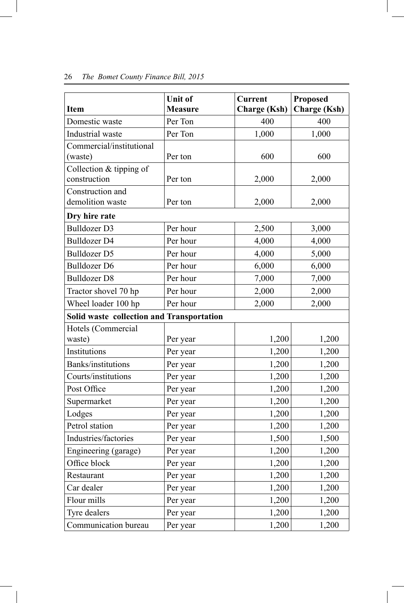| <b>Item</b>                               | Unit of<br><b>Measure</b> | <b>Current</b><br><b>Charge (Ksh)</b> | <b>Proposed</b><br><b>Charge (Ksh)</b> |
|-------------------------------------------|---------------------------|---------------------------------------|----------------------------------------|
| Domestic waste                            | Per Ton                   | 400                                   | 400                                    |
| Industrial waste                          | Per Ton                   | 1,000                                 | 1,000                                  |
| Commercial/institutional<br>(waste)       | Per ton                   | 600                                   | 600                                    |
| Collection & tipping of<br>construction   | Per ton                   | 2,000                                 | 2,000                                  |
| Construction and<br>demolition waste      | Per ton                   | 2,000                                 | 2,000                                  |
| Dry hire rate                             |                           |                                       |                                        |
| <b>Bulldozer D3</b>                       | Per hour                  | 2,500                                 | 3,000                                  |
| <b>Bulldozer D4</b>                       | Per hour                  | 4,000                                 | 4,000                                  |
| <b>Bulldozer D5</b>                       | Per hour                  | 4,000                                 | 5,000                                  |
| <b>Bulldozer D6</b>                       | Per hour                  | 6,000                                 | 6,000                                  |
| <b>Bulldozer D8</b>                       | Per hour                  | 7,000                                 | 7,000                                  |
| Tractor shovel 70 hp                      | Per hour                  | 2,000                                 | 2,000                                  |
| Wheel loader 100 hp                       | Per hour                  | 2,000                                 | 2,000                                  |
| Solid waste collection and Transportation |                           |                                       |                                        |
| Hotels (Commercial                        |                           |                                       |                                        |
| waste)                                    | Per year                  | 1,200                                 | 1,200                                  |
| Institutions                              | Per year                  | 1,200                                 | 1,200                                  |
| Banks/institutions                        | Per year                  | 1,200                                 | 1,200                                  |
| Courts/institutions                       | Per year                  | 1,200                                 | 1,200                                  |
| Post Office                               | Per year                  | 1,200                                 | 1,200                                  |
| Supermarket                               | Per year                  | 1,200                                 | 1,200                                  |
| Lodges                                    | Per year                  | 1,200                                 | 1,200                                  |
| Petrol station                            | Per year                  | 1,200                                 | 1,200                                  |
| Industries/factories                      | Per year                  | 1,500                                 | 1,500                                  |
| Engineering (garage)                      | Per year                  | 1,200                                 | 1,200                                  |
| Office block                              | Per year                  | 1,200                                 | 1,200                                  |
| Restaurant                                | Per year                  | 1,200                                 | 1,200                                  |
| Car dealer                                | Per year                  | 1,200                                 | 1,200                                  |
| Flour mills                               | Per year                  | 1,200                                 | 1,200                                  |
| Tyre dealers                              | Per year                  | 1,200                                 | 1,200                                  |
| Communication bureau                      | Per year                  | 1,200                                 | 1,200                                  |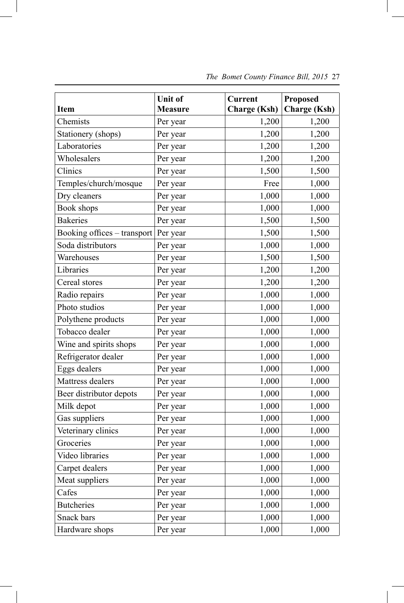|                             | <b>Unit of</b> | <b>Current</b>      | <b>Proposed</b>     |
|-----------------------------|----------------|---------------------|---------------------|
| <b>Item</b>                 | <b>Measure</b> | <b>Charge (Ksh)</b> | <b>Charge</b> (Ksh) |
| Chemists                    | Per year       | 1,200               | 1,200               |
| Stationery (shops)          | Per year       | 1,200               | 1,200               |
| Laboratories                | Per year       | 1,200               | 1,200               |
| Wholesalers                 | Per year       | 1,200               | 1,200               |
| Clinics                     | Per year       | 1,500               | 1,500               |
| Temples/church/mosque       | Per year       | Free                | 1,000               |
| Dry cleaners                | Per year       | 1,000               | 1,000               |
| Book shops                  | Per year       | 1,000               | 1,000               |
| <b>Bakeries</b>             | Per year       | 1,500               | 1,500               |
| Booking offices - transport | Per year       | 1,500               | 1,500               |
| Soda distributors           | Per year       | 1,000               | 1,000               |
| Warehouses                  | Per year       | 1,500               | 1,500               |
| Libraries                   | Per year       | 1,200               | 1,200               |
| Cereal stores               | Per year       | 1,200               | 1,200               |
| Radio repairs               | Per year       | 1,000               | 1,000               |
| Photo studios               | Per year       | 1,000               | 1,000               |
| Polythene products          | Per year       | 1,000               | 1,000               |
| Tobacco dealer              | Per year       | 1,000               | 1,000               |
| Wine and spirits shops      | Per year       | 1,000               | 1,000               |
| Refrigerator dealer         | Per year       | 1,000               | 1,000               |
| Eggs dealers                | Per year       | 1,000               | 1,000               |
| Mattress dealers            | Per year       | 1,000               | 1,000               |
| Beer distributor depots     | Per year       | 1,000               | 1,000               |
| Milk depot                  | Per year       | 1,000               | 1,000               |
| Gas suppliers               | Per year       | 1,000               | 1,000               |
| Veterinary clinics          | Per year       | 1,000               | 1,000               |
| Groceries                   | Per year       | 1,000               | 1,000               |
| Video libraries             | Per year       | 1,000               | 1,000               |
| Carpet dealers              | Per year       | 1,000               | 1,000               |
| Meat suppliers              | Per year       | 1,000               | 1,000               |
| Cafes                       | Per year       | 1,000               | 1,000               |
| <b>Butcheries</b>           | Per year       | 1,000               | 1,000               |
| Snack bars                  | Per year       | 1,000               | 1,000               |
| Hardware shops              | Per year       | 1,000               | 1,000               |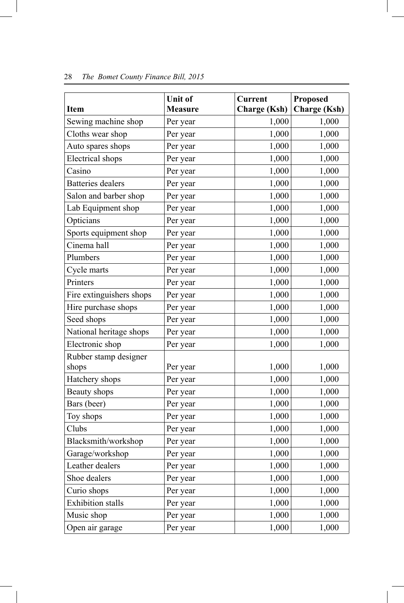|                          | Unit of        | <b>Current</b>      | <b>Proposed</b>     |
|--------------------------|----------------|---------------------|---------------------|
| <b>Item</b>              | <b>Measure</b> | <b>Charge (Ksh)</b> | <b>Charge (Ksh)</b> |
| Sewing machine shop      | Per year       | 1,000               | 1,000               |
| Cloths wear shop         | Per year       | 1,000               | 1,000               |
| Auto spares shops        | Per year       | 1,000               | 1,000               |
| <b>Electrical</b> shops  | Per year       | 1,000               | 1,000               |
| Casino                   | Per year       | 1,000               | 1,000               |
| <b>Batteries</b> dealers | Per year       | 1,000               | 1,000               |
| Salon and barber shop    | Per year       | 1,000               | 1,000               |
| Lab Equipment shop       | Per year       | 1,000               | 1,000               |
| Opticians                | Per year       | 1,000               | 1,000               |
| Sports equipment shop    | Per year       | 1,000               | 1,000               |
| Cinema hall              | Per year       | 1,000               | 1,000               |
| Plumbers                 | Per year       | 1,000               | 1,000               |
| Cycle marts              | Per year       | 1,000               | 1,000               |
| Printers                 | Per year       | 1,000               | 1,000               |
| Fire extinguishers shops | Per year       | 1,000               | 1,000               |
| Hire purchase shops      | Per year       | 1,000               | 1,000               |
| Seed shops               | Per year       | 1,000               | 1,000               |
| National heritage shops  | Per year       | 1,000               | 1,000               |
| Electronic shop          | Per year       | 1,000               | 1,000               |
| Rubber stamp designer    |                |                     |                     |
| shops                    | Per year       | 1,000               | 1,000               |
| Hatchery shops           | Per year       | 1,000               | 1,000               |
| Beauty shops             | Per year       | 1,000               | 1,000               |
| Bars (beer)              | Per year       | 1,000               | 1,000               |
| Toy shops                | Per year       | 1,000               | 1,000               |
| Clubs                    | Per year       | 1,000               | 1,000               |
| Blacksmith/workshop      | Per year       | 1,000               | 1,000               |
| Garage/workshop          | Per year       | 1,000               | 1,000               |
| Leather dealers          | Per year       | 1,000               | 1,000               |
| Shoe dealers             | Per year       | 1,000               | 1,000               |
| Curio shops              | Per year       | 1,000               | 1,000               |
| <b>Exhibition</b> stalls | Per year       | 1,000               | 1,000               |
| Music shop               | Per year       | 1,000               | 1,000               |
| Open air garage          | Per year       | 1,000               | 1,000               |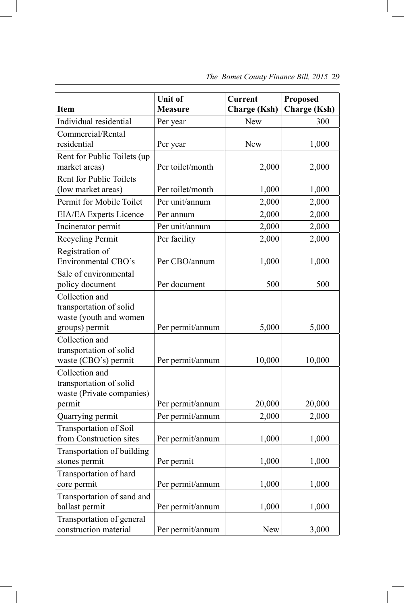| <b>Item</b>                                                                           | Unit of<br><b>Measure</b> | <b>Current</b><br><b>Charge (Ksh)</b> | <b>Proposed</b><br><b>Charge</b> (Ksh) |
|---------------------------------------------------------------------------------------|---------------------------|---------------------------------------|----------------------------------------|
| Individual residential                                                                | Per year                  | <b>New</b>                            | 300                                    |
| Commercial/Rental<br>residential                                                      | Per year                  | <b>New</b>                            | 1,000                                  |
| Rent for Public Toilets (up<br>market areas)                                          | Per toilet/month          | 2,000                                 | 2,000                                  |
| Rent for Public Toilets<br>(low market areas)                                         | Per toilet/month          | 1,000                                 | 1,000                                  |
| Permit for Mobile Toilet                                                              | Per unit/annum            | 2,000                                 | 2,000                                  |
| EIA/EA Experts Licence                                                                | Per annum                 | 2,000                                 | 2,000                                  |
| Incinerator permit                                                                    | Per unit/annum            | 2,000                                 | 2,000                                  |
| Recycling Permit                                                                      | Per facility              | 2,000                                 | 2,000                                  |
| Registration of<br><b>Environmental CBO's</b>                                         | Per CBO/annum             | 1,000                                 | 1,000                                  |
| Sale of environmental<br>policy document                                              | Per document              | 500                                   | 500                                    |
| Collection and<br>transportation of solid<br>waste (youth and women<br>groups) permit | Per permit/annum          | 5,000                                 | 5,000                                  |
| Collection and<br>transportation of solid<br>waste (CBO's) permit                     | Per permit/annum          | 10,000                                | 10,000                                 |
| Collection and<br>transportation of solid<br>waste (Private companies)<br>permit      | Per permit/annum          | 20,000                                | 20,000                                 |
| Quarrying permit                                                                      | Per permit/annum          | 2,000                                 | 2,000                                  |
| <b>Transportation of Soil</b><br>from Construction sites                              | Per permit/annum          | 1,000                                 | 1,000                                  |
| Transportation of building<br>stones permit                                           | Per permit                | 1,000                                 | 1,000                                  |
| Transportation of hard<br>core permit                                                 | Per permit/annum          | 1,000                                 | 1,000                                  |
| Transportation of sand and<br>ballast permit                                          | Per permit/annum          | 1,000                                 | 1,000                                  |
| Transportation of general<br>construction material                                    | Per permit/annum          | New                                   | 3,000                                  |

 *The Bomet County Finance Bill, 2015* 29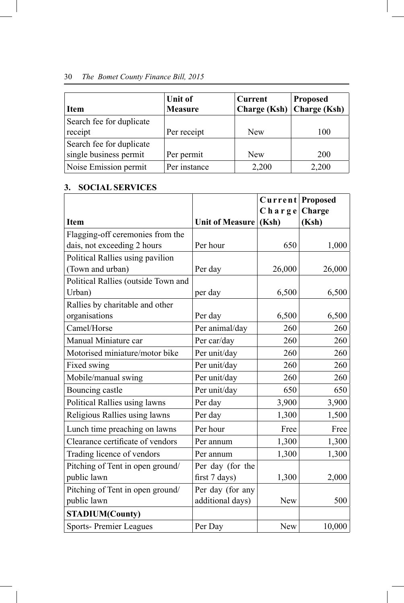| <b>Item</b>                                        | Unit of<br><b>Measure</b> | <b>Current</b><br>Charge $(Ksh)$ | <b>Proposed</b><br><b>Charge (Ksh)</b> |
|----------------------------------------------------|---------------------------|----------------------------------|----------------------------------------|
| Search fee for duplicate<br>receipt                | Per receipt               | <b>New</b>                       | 100                                    |
| Search fee for duplicate<br>single business permit | Per permit                | <b>New</b>                       | 200                                    |
| Noise Emission permit                              | Per instance              | 2,200                            | 2,200                                  |

#### **3. SOCIAL SERVICES**

|                                     |                        | Current Proposed |        |
|-------------------------------------|------------------------|------------------|--------|
|                                     |                        | $Ch$ arge        | Charge |
| <b>Item</b>                         | <b>Unit of Measure</b> | (Ksh)            | (Ksh)  |
| Flagging-off ceremonies from the    |                        |                  |        |
| dais, not exceeding 2 hours         | Per hour               | 650              | 1,000  |
| Political Rallies using pavilion    |                        |                  |        |
| (Town and urban)                    | Per day                | 26,000           | 26,000 |
| Political Rallies (outside Town and |                        |                  |        |
| Urban)                              | per day                | 6,500            | 6,500  |
| Rallies by charitable and other     |                        |                  |        |
| organisations                       | Per day                | 6,500            | 6,500  |
| Camel/Horse                         | Per animal/day         | 260              | 260    |
| Manual Miniature car                | Per car/day            | 260              | 260    |
| Motorised miniature/motor bike      | Per unit/day           | 260              | 260    |
| Fixed swing                         | Per unit/day           | 260              | 260    |
| Mobile/manual swing                 | Per unit/day           | 260              | 260    |
| Bouncing castle                     | Per unit/day           | 650              | 650    |
| Political Rallies using lawns       | Per day                | 3,900            | 3,900  |
| Religious Rallies using lawns       | Per day                | 1,300            | 1,500  |
| Lunch time preaching on lawns       | Per hour               | Free             | Free   |
| Clearance certificate of vendors    | Per annum              | 1,300            | 1,300  |
| Trading licence of vendors          | Per annum              | 1,300            | 1,300  |
| Pitching of Tent in open ground/    | Per day (for the       |                  |        |
| public lawn                         | first 7 days)          | 1,300            | 2,000  |
| Pitching of Tent in open ground/    | Per day (for any       |                  |        |
| public lawn                         | additional days)       | New              | 500    |
| <b>STADIUM(County)</b>              |                        |                  |        |
| <b>Sports-Premier Leagues</b>       | Per Day                | New              | 10,000 |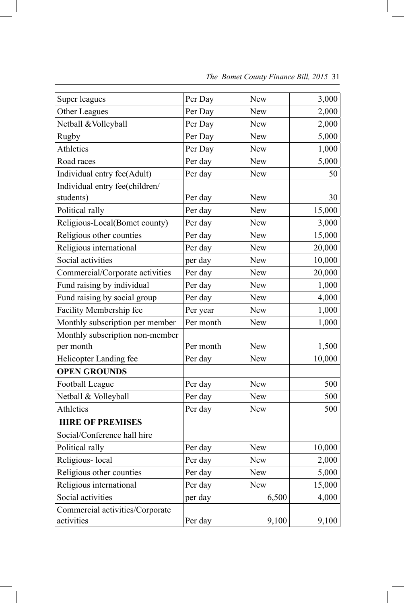| Super leagues                   | Per Day   | New        | 3,000  |
|---------------------------------|-----------|------------|--------|
| Other Leagues                   | Per Day   | <b>New</b> | 2,000  |
| Netball & Volleyball            | Per Day   | <b>New</b> | 2,000  |
| Rugby                           | Per Day   | New        | 5,000  |
| Athletics                       | Per Day   | <b>New</b> | 1,000  |
| Road races                      | Per day   | <b>New</b> | 5,000  |
| Individual entry fee(Adult)     | Per day   | New        | 50     |
| Individual entry fee(children/  |           |            |        |
| students)                       | Per day   | New        | 30     |
| Political rally                 | Per day   | <b>New</b> | 15,000 |
| Religious-Local(Bomet county)   | Per day   | <b>New</b> | 3,000  |
| Religious other counties        | Per day   | New        | 15,000 |
| Religious international         | Per day   | <b>New</b> | 20,000 |
| Social activities               | per day   | New        | 10,000 |
| Commercial/Corporate activities | Per day   | New        | 20,000 |
| Fund raising by individual      | Per day   | New        | 1,000  |
| Fund raising by social group    | Per day   | New        | 4,000  |
| Facility Membership fee         | Per year  | New        | 1,000  |
| Monthly subscription per member | Per month | New        | 1,000  |
| Monthly subscription non-member |           |            |        |
| per month                       | Per month | New        | 1,500  |
| Helicopter Landing fee          | Per day   | New        | 10,000 |
| <b>OPEN GROUNDS</b>             |           |            |        |
| Football League                 | Per day   | New        | 500    |
| Netball & Volleyball            | Per day   | <b>New</b> | 500    |
| Athletics                       | Per day   | New        | 500    |
| <b>HIRE OF PREMISES</b>         |           |            |        |
| Social/Conference hall hire     |           |            |        |
| Political rally                 | Per day   | New        | 10,000 |
| Religious-local                 | Per day   | New        | 2,000  |
| Religious other counties        | Per day   | <b>New</b> | 5,000  |
| Religious international         | Per day   | <b>New</b> | 15,000 |
| Social activities               | per day   | 6,500      | 4,000  |
| Commercial activities/Corporate |           |            |        |
| activities                      | Per day   | 9,100      | 9,100  |

 $\overline{\phantom{a}}$ 

 *The Bomet County Finance Bill, 2015* 31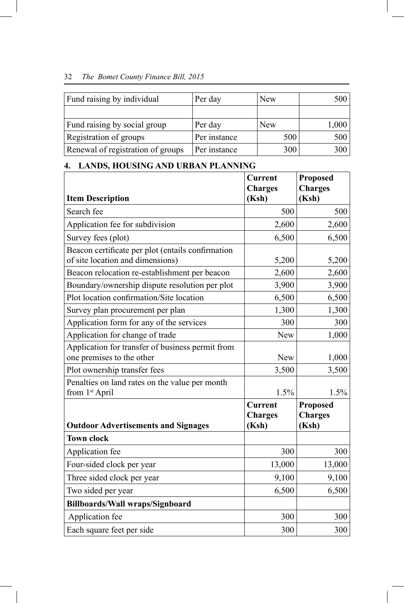| Fund raising by individual        | Per day      | <b>New</b> | 500   |
|-----------------------------------|--------------|------------|-------|
|                                   |              |            |       |
| Fund raising by social group      | Per day      | <b>New</b> | 1,000 |
| Registration of groups            | Per instance | 500        | 500   |
| Renewal of registration of groups | Per instance | 300        | 300   |

## **4. LANDS, HOUSING AND URBAN PLANNING**

|                                                                                       | <b>Current</b>          | <b>Proposed</b>         |
|---------------------------------------------------------------------------------------|-------------------------|-------------------------|
| <b>Item Description</b>                                                               | <b>Charges</b><br>(Ksh) | <b>Charges</b><br>(Ksh) |
| Search fee                                                                            | 500                     | 500                     |
| Application fee for subdivision                                                       | 2,600                   | 2,600                   |
|                                                                                       |                         |                         |
| Survey fees (plot)                                                                    | 6,500                   | 6,500                   |
| Beacon certificate per plot (entails confirmation<br>of site location and dimensions) | 5,200                   | 5,200                   |
| Beacon relocation re-establishment per beacon                                         | 2,600                   | 2,600                   |
| Boundary/ownership dispute resolution per plot                                        | 3,900                   | 3,900                   |
| Plot location confirmation/Site location                                              | 6,500                   | 6,500                   |
| Survey plan procurement per plan                                                      | 1,300                   | 1,300                   |
| Application form for any of the services                                              | 300                     | 300                     |
| Application for change of trade                                                       | <b>New</b>              | 1,000                   |
| Application for transfer of business permit from                                      |                         |                         |
| one premises to the other                                                             | <b>New</b>              | 1,000                   |
| Plot ownership transfer fees                                                          | 3,500                   | 3,500                   |
| Penalties on land rates on the value per month                                        |                         |                         |
| from 1 <sup>st</sup> April                                                            | 1.5%                    | 1.5%                    |
|                                                                                       | <b>Current</b>          | <b>Proposed</b>         |
|                                                                                       | <b>Charges</b>          | <b>Charges</b>          |
| <b>Outdoor Advertisements and Signages</b>                                            | (Ksh)                   | (Ksh)                   |
| <b>Town clock</b>                                                                     |                         |                         |
| Application fee                                                                       | 300                     | 300                     |
| Four-sided clock per year                                                             | 13,000                  | 13,000                  |
| Three sided clock per year                                                            | 9,100                   | 9,100                   |
| Two sided per year                                                                    | 6,500                   | 6,500                   |
| <b>Billboards/Wall wraps/Signboard</b>                                                |                         |                         |
| Application fee                                                                       | 300                     | 300                     |
| Each square feet per side                                                             | 300                     | 300                     |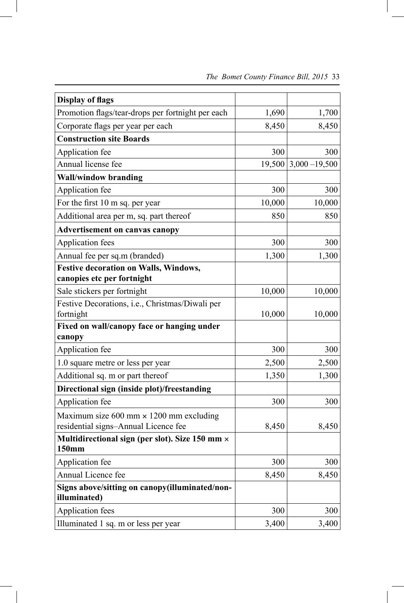| <b>Display of flags</b>                                        |        |                  |
|----------------------------------------------------------------|--------|------------------|
| Promotion flags/tear-drops per fortnight per each              | 1,690  | 1,700            |
| Corporate flags per year per each                              | 8,450  | 8,450            |
| <b>Construction site Boards</b>                                |        |                  |
| Application fee                                                | 300    | 300              |
| Annual license fee                                             | 19,500 | $3,000 - 19,500$ |
| <b>Wall/window branding</b>                                    |        |                  |
| Application fee                                                | 300    | 300              |
| For the first 10 m sq. per year                                | 10,000 | 10,000           |
| Additional area per m, sq. part thereof                        | 850    | 850              |
| <b>Advertisement on canvas canopy</b>                          |        |                  |
| Application fees                                               | 300    | 300              |
| Annual fee per sq.m (branded)                                  | 1,300  | 1,300            |
| <b>Festive decoration on Walls, Windows,</b>                   |        |                  |
| canopies etc per fortnight                                     |        |                  |
| Sale stickers per fortnight                                    | 10,000 | 10,000           |
| Festive Decorations, i.e., Christmas/Diwali per                |        |                  |
| fortnight                                                      | 10,000 | 10,000           |
| Fixed on wall/canopy face or hanging under                     |        |                  |
| canopy                                                         |        |                  |
| Application fee                                                | 300    | 300              |
| 1.0 square metre or less per year                              | 2,500  | 2,500            |
| Additional sq. m or part thereof                               | 1,350  | 1,300            |
| Directional sign (inside plot)/freestanding                    |        |                  |
| Application fee                                                | 300    | 300              |
| Maximum size $600$ mm $\times$ 1200 mm excluding               |        |                  |
| residential signs-Annual Licence fee                           | 8,450  | 8,450            |
| Multidirectional sign (per slot). Size 150 mm ×<br>150mm       |        |                  |
| Application fee                                                | 300    | 300              |
| Annual Licence fee                                             | 8,450  | 8,450            |
| Signs above/sitting on canopy(illuminated/non-<br>illuminated) |        |                  |
| <b>Application fees</b>                                        | 300    | 300              |
| Illuminated 1 sq. m or less per year                           | 3,400  | 3,400            |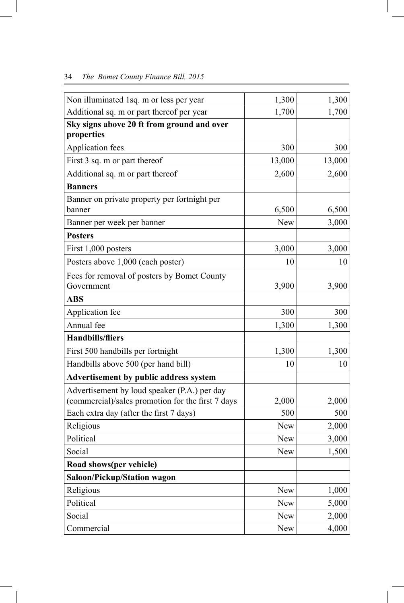| Non illuminated 1sq. m or less per year                                                           | 1,300      | 1,300  |
|---------------------------------------------------------------------------------------------------|------------|--------|
| Additional sq. m or part thereof per year                                                         | 1,700      | 1,700  |
| Sky signs above 20 ft from ground and over                                                        |            |        |
| properties                                                                                        |            |        |
| Application fees                                                                                  | 300        | 300    |
| First 3 sq. m or part thereof                                                                     | 13,000     | 13,000 |
| Additional sq. m or part thereof                                                                  | 2,600      | 2,600  |
| <b>Banners</b>                                                                                    |            |        |
| Banner on private property per fortnight per<br>banner                                            | 6,500      | 6,500  |
| Banner per week per banner                                                                        | <b>New</b> | 3,000  |
| <b>Posters</b>                                                                                    |            |        |
| First 1,000 posters                                                                               | 3,000      | 3,000  |
| Posters above 1,000 (each poster)                                                                 | 10         | 10     |
| Fees for removal of posters by Bomet County                                                       |            |        |
| Government                                                                                        | 3,900      | 3,900  |
| <b>ABS</b>                                                                                        |            |        |
| Application fee                                                                                   | 300        | 300    |
| Annual fee                                                                                        | 1,300      | 1,300  |
| <b>Handbills/fliers</b>                                                                           |            |        |
| First 500 handbills per fortnight                                                                 | 1,300      | 1,300  |
| Handbills above 500 (per hand bill)                                                               | 10         | 10     |
| <b>Advertisement by public address system</b>                                                     |            |        |
| Advertisement by loud speaker (P.A.) per day<br>(commercial)/sales promotion for the first 7 days | 2,000      | 2,000  |
| Each extra day (after the first 7 days)                                                           | 500        | 500    |
| Religious                                                                                         | <b>New</b> | 2,000  |
| Political                                                                                         | New        | 3,000  |
| Social                                                                                            | New        | 1,500  |
| Road shows(per vehicle)                                                                           |            |        |
| <b>Saloon/Pickup/Station wagon</b>                                                                |            |        |
| Religious                                                                                         | New        | 1,000  |
| Political                                                                                         | New        | 5,000  |
| Social                                                                                            | New        | 2,000  |
| Commercial                                                                                        | New        | 4,000  |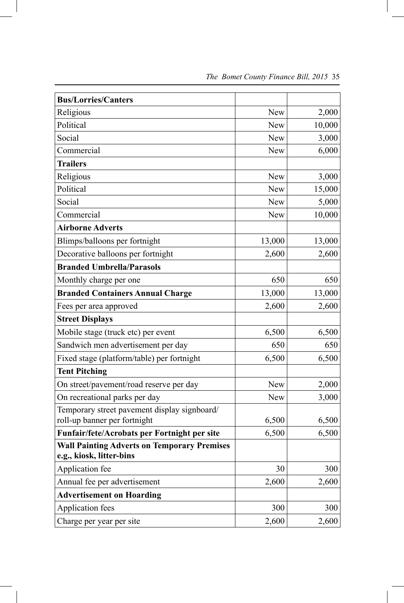| <b>Bus/Lorries/Canters</b>                                                     |        |        |
|--------------------------------------------------------------------------------|--------|--------|
| Religious                                                                      | New    | 2,000  |
| Political                                                                      | New    | 10,000 |
| Social                                                                         | New    | 3,000  |
| Commercial                                                                     | New    | 6,000  |
| <b>Trailers</b>                                                                |        |        |
| Religious                                                                      | New    | 3,000  |
| Political                                                                      | New    | 15,000 |
| Social                                                                         | New    | 5,000  |
| Commercial                                                                     | New    | 10,000 |
| <b>Airborne Adverts</b>                                                        |        |        |
| Blimps/balloons per fortnight                                                  | 13,000 | 13,000 |
| Decorative balloons per fortnight                                              | 2,600  | 2,600  |
| <b>Branded Umbrella/Parasols</b>                                               |        |        |
| Monthly charge per one                                                         | 650    | 650    |
| <b>Branded Containers Annual Charge</b>                                        | 13,000 | 13,000 |
| Fees per area approved                                                         | 2,600  | 2,600  |
| <b>Street Displays</b>                                                         |        |        |
| Mobile stage (truck etc) per event                                             | 6,500  | 6,500  |
| Sandwich men advertisement per day                                             | 650    | 650    |
| Fixed stage (platform/table) per fortnight                                     | 6,500  | 6,500  |
| <b>Tent Pitching</b>                                                           |        |        |
| On street/pavement/road reserve per day                                        | New    | 2,000  |
| On recreational parks per day                                                  | New    | 3,000  |
| Temporary street pavement display signboard/                                   |        |        |
| roll-up banner per fortnight                                                   | 6,500  | 6,500  |
| Funfair/fete/Acrobats per Fortnight per site                                   | 6,500  | 6,500  |
| <b>Wall Painting Adverts on Temporary Premises</b><br>e.g., kiosk, litter-bins |        |        |
| Application fee                                                                | 30     | 300    |
| Annual fee per advertisement                                                   | 2,600  | 2,600  |
| <b>Advertisement on Hoarding</b>                                               |        |        |
| Application fees                                                               | 300    | 300    |
| Charge per year per site                                                       | 2,600  | 2,600  |

 $\overline{\phantom{a}}$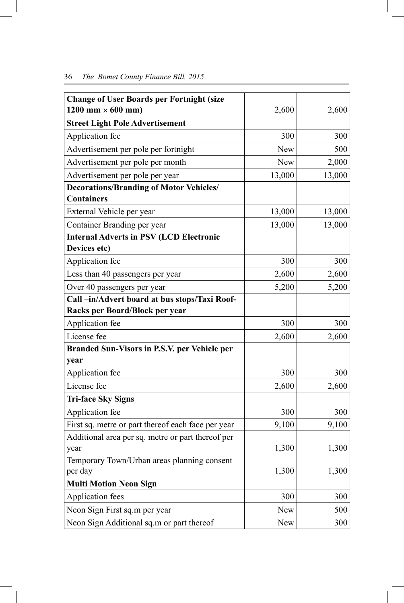| <b>Change of User Boards per Fortnight (size</b>   |            |        |
|----------------------------------------------------|------------|--------|
| $1200$ mm $\times$ 600 mm)                         | 2,600      | 2,600  |
| <b>Street Light Pole Advertisement</b>             |            |        |
| Application fee                                    | 300        | 300    |
| Advertisement per pole per fortnight               | <b>New</b> | 500    |
| Advertisement per pole per month                   | <b>New</b> | 2,000  |
| Advertisement per pole per year                    | 13,000     | 13,000 |
| <b>Decorations/Branding of Motor Vehicles/</b>     |            |        |
| <b>Containers</b>                                  |            |        |
| External Vehicle per year                          | 13,000     | 13,000 |
| Container Branding per year                        | 13,000     | 13,000 |
| <b>Internal Adverts in PSV (LCD Electronic</b>     |            |        |
| Devices etc)                                       |            |        |
| Application fee                                    | 300        | 300    |
| Less than 40 passengers per year                   | 2,600      | 2,600  |
| Over 40 passengers per year                        | 5,200      | 5,200  |
| Call-in/Advert board at bus stops/Taxi Roof-       |            |        |
| Racks per Board/Block per year                     |            |        |
| Application fee                                    | 300        | 300    |
| License fee                                        | 2,600      | 2,600  |
| Branded Sun-Visors in P.S.V. per Vehicle per       |            |        |
| year                                               |            |        |
| Application fee                                    | 300        | 300    |
| License fee                                        | 2,600      | 2,600  |
| <b>Tri-face Sky Signs</b>                          |            |        |
| Application fee                                    | 300        | 300    |
| First sq. metre or part thereof each face per year | 9,100      | 9,100  |
| Additional area per sq. metre or part thereof per  |            |        |
| year                                               | 1,300      | 1,300  |
| Temporary Town/Urban areas planning consent        |            |        |
| per day                                            | 1,300      | 1,300  |
| <b>Multi Motion Neon Sign</b>                      |            |        |
| Application fees                                   | 300        | 300    |
| Neon Sign First sq.m per year                      | New        | 500    |
| Neon Sign Additional sq.m or part thereof          | <b>New</b> | 300    |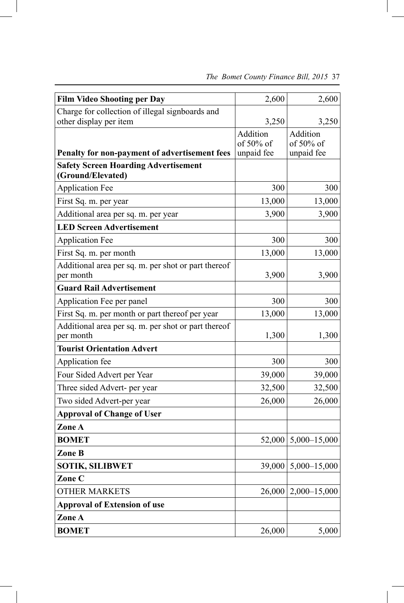| <b>Film Video Shooting per Day</b>                  | 2,600                   | 2,600                      |
|-----------------------------------------------------|-------------------------|----------------------------|
| Charge for collection of illegal signboards and     |                         |                            |
| other display per item                              | 3,250                   | 3,250                      |
|                                                     | Addition                | Addition                   |
| Penalty for non-payment of advertisement fees       | of 50% of<br>unpaid fee | of $50\%$ of<br>unpaid fee |
| <b>Safety Screen Hoarding Advertisement</b>         |                         |                            |
| (Ground/Elevated)                                   |                         |                            |
| <b>Application Fee</b>                              | 300                     | 300                        |
| First Sq. m. per year                               | 13,000                  | 13,000                     |
| Additional area per sq. m. per year                 | 3,900                   | 3,900                      |
| <b>LED Screen Advertisement</b>                     |                         |                            |
| <b>Application Fee</b>                              | 300                     | 300                        |
| First Sq. m. per month                              | 13,000                  | 13,000                     |
| Additional area per sq. m. per shot or part thereof |                         |                            |
| per month                                           | 3,900                   | 3,900                      |
| <b>Guard Rail Advertisement</b>                     |                         |                            |
| Application Fee per panel                           | 300                     | 300                        |
| First Sq. m. per month or part thereof per year     | 13,000                  | 13,000                     |
| Additional area per sq. m. per shot or part thereof |                         |                            |
| per month                                           | 1,300                   | 1,300                      |
| <b>Tourist Orientation Advert</b>                   |                         |                            |
| Application fee                                     | 300                     | 300                        |
| Four Sided Advert per Year                          | 39,000                  | 39,000                     |
| Three sided Advert- per year                        | 32,500                  | 32,500                     |
| Two sided Advert-per year                           | 26,000                  | 26,000                     |
| <b>Approval of Change of User</b>                   |                         |                            |
| Zone A                                              |                         |                            |
| <b>BOMET</b>                                        |                         | 52,000   5,000 - 15,000    |
| Zone B                                              |                         |                            |
| <b>SOTIK, SILIBWET</b>                              | 39,000                  | $5,000 - 15,000$           |
| Zone C                                              |                         |                            |
| <b>OTHER MARKETS</b>                                | 26,000                  | $2,000 - 15,000$           |
| <b>Approval of Extension of use</b>                 |                         |                            |
| Zone A                                              |                         |                            |
| <b>BOMET</b>                                        | 26,000                  | 5,000                      |

 *The Bomet County Finance Bill, 2015* 37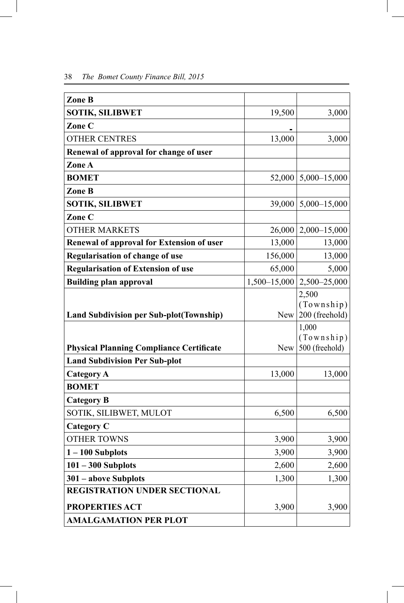| Zone B                                          |              |                              |
|-------------------------------------------------|--------------|------------------------------|
| <b>SOTIK, SILIBWET</b>                          | 19,500       | 3,000                        |
| Zone C                                          |              |                              |
| <b>OTHER CENTRES</b>                            | 13,000       | 3,000                        |
| Renewal of approval for change of user          |              |                              |
| Zone A                                          |              |                              |
| <b>BOMET</b>                                    |              | $52,000$   5,000-15,000      |
| Zone B                                          |              |                              |
| <b>SOTIK, SILIBWET</b>                          | 39,000       | $5,000 - 15,000$             |
| Zone C                                          |              |                              |
| <b>OTHER MARKETS</b>                            | 26,000       | $2,000 - 15,000$             |
| Renewal of approval for Extension of user       | 13,000       | 13,000                       |
| Regularisation of change of use                 | 156,000      | 13,000                       |
| <b>Regularisation of Extension of use</b>       | 65,000       | 5,000                        |
| <b>Building plan approval</b>                   | 1,500-15,000 | 2,500-25,000                 |
|                                                 |              | 2,500                        |
|                                                 |              | (Township)<br>200 (freehold) |
| <b>Land Subdivision per Sub-plot (Township)</b> | New          | 1,000                        |
|                                                 |              | (Township)                   |
| <b>Physical Planning Compliance Certificate</b> | New          | 500 (freehold)               |
| <b>Land Subdivision Per Sub-plot</b>            |              |                              |
| <b>Category A</b>                               | 13,000       | 13,000                       |
| <b>BOMET</b>                                    |              |                              |
| <b>Category B</b>                               |              |                              |
| SOTIK, SILIBWET, MULOT                          | 6,500        | 6,500                        |
| <b>Category C</b>                               |              |                              |
| <b>OTHER TOWNS</b>                              | 3,900        | 3,900                        |
| $1 - 100$ Subplots                              | 3,900        | 3,900                        |
| $101 - 300$ Subplots                            | 2,600        | 2,600                        |
| 301 - above Subplots                            | 1,300        | 1,300                        |
| <b>REGISTRATION UNDER SECTIONAL</b>             |              |                              |
| PROPERTIES ACT                                  | 3,900        | 3,900                        |
| <b>AMALGAMATION PER PLOT</b>                    |              |                              |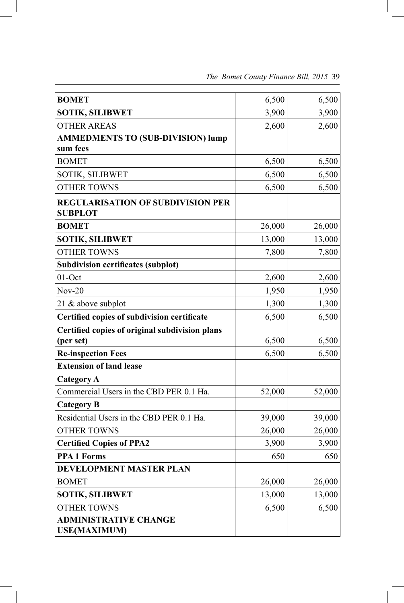| <b>BOMET</b>                                               | 6,500  | 6,500  |
|------------------------------------------------------------|--------|--------|
| <b>SOTIK, SILIBWET</b>                                     | 3,900  | 3,900  |
| <b>OTHER AREAS</b>                                         | 2,600  | 2,600  |
| <b>AMMEDMENTS TO (SUB-DIVISION) lump</b>                   |        |        |
| sum fees                                                   |        |        |
| <b>BOMET</b>                                               | 6,500  | 6,500  |
| <b>SOTIK, SILIBWET</b>                                     | 6,500  | 6,500  |
| <b>OTHER TOWNS</b>                                         | 6,500  | 6,500  |
| <b>REGULARISATION OF SUBDIVISION PER</b><br><b>SUBPLOT</b> |        |        |
| <b>BOMET</b>                                               | 26,000 | 26,000 |
| <b>SOTIK, SILIBWET</b>                                     | 13,000 | 13,000 |
| <b>OTHER TOWNS</b>                                         | 7,800  | 7,800  |
| <b>Subdivision certificates (subplot)</b>                  |        |        |
| $01$ -Oct                                                  | 2,600  | 2,600  |
| $Nov-20$                                                   | 1,950  | 1,950  |
| 21 & above subplot                                         | 1,300  | 1,300  |
| Certified copies of subdivision certificate                | 6,500  | 6,500  |
| Certified copies of original subdivision plans             |        |        |
| (per set)                                                  | 6,500  | 6,500  |
| <b>Re-inspection Fees</b>                                  | 6,500  | 6,500  |
| <b>Extension of land lease</b>                             |        |        |
| <b>Category A</b>                                          |        |        |
| Commercial Users in the CBD PER 0.1 Ha.                    | 52,000 | 52,000 |
| <b>Category B</b>                                          |        |        |
| Residential Users in the CBD PER 0.1 Ha.                   | 39,000 | 39,000 |
| <b>OTHER TOWNS</b>                                         | 26,000 | 26,000 |
| <b>Certified Copies of PPA2</b>                            | 3,900  | 3,900  |
| <b>PPA 1 Forms</b>                                         | 650    | 650    |
| DEVELOPMENT MASTER PLAN                                    |        |        |
| <b>BOMET</b>                                               | 26,000 | 26,000 |
| <b>SOTIK, SILIBWET</b>                                     | 13,000 | 13,000 |
| <b>OTHER TOWNS</b>                                         | 6,500  | 6,500  |
| <b>ADMINISTRATIVE CHANGE</b><br><b>USE(MAXIMUM)</b>        |        |        |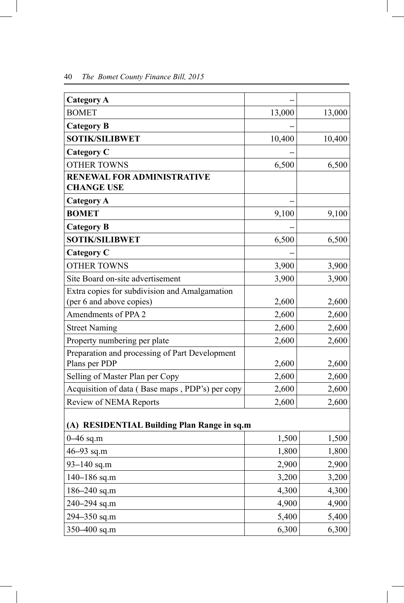| <b>Category A</b>                                               |        |        |
|-----------------------------------------------------------------|--------|--------|
| <b>BOMET</b>                                                    | 13,000 | 13,000 |
| <b>Category B</b>                                               |        |        |
| <b>SOTIK/SILIBWET</b>                                           | 10,400 | 10,400 |
| <b>Category C</b>                                               |        |        |
| <b>OTHER TOWNS</b>                                              | 6,500  | 6,500  |
| RENEWAL FOR ADMINISTRATIVE<br><b>CHANGE USE</b>                 |        |        |
| <b>Category A</b>                                               |        |        |
| <b>BOMET</b>                                                    | 9,100  | 9,100  |
| <b>Category B</b>                                               |        |        |
| <b>SOTIK/SILIBWET</b>                                           | 6,500  | 6,500  |
| <b>Category C</b>                                               |        |        |
| <b>OTHER TOWNS</b>                                              | 3,900  | 3,900  |
| Site Board on-site advertisement                                | 3,900  | 3,900  |
| Extra copies for subdivision and Amalgamation                   |        |        |
| (per 6 and above copies)                                        | 2,600  | 2,600  |
| Amendments of PPA 2                                             | 2,600  | 2,600  |
| <b>Street Naming</b>                                            | 2,600  | 2,600  |
| Property numbering per plate                                    | 2,600  | 2,600  |
| Preparation and processing of Part Development<br>Plans per PDP | 2,600  | 2,600  |
| Selling of Master Plan per Copy                                 | 2,600  | 2,600  |
| Acquisition of data (Base maps, PDP's) per copy                 | 2,600  | 2,600  |
| Review of NEMA Reports                                          | 2,600  | 2,600  |
| (A) RESIDENTIAL Building Plan Range in sq.m                     |        |        |
| 0-46 sq.m                                                       | 1,500  | 1,500  |
| 46-93 sq.m                                                      | 1,800  | 1,800  |
| 93-140 sq.m                                                     | 2,900  | 2,900  |
| 140-186 sq.m                                                    | 3,200  | 3,200  |
| 186-240 sq.m                                                    | 4,300  | 4,300  |
| 240-294 sq.m                                                    | 4,900  | 4,900  |

294–350 sq.m 5,400 5,400 350–400 sq.m 6,300 6,300

 $\bigg|$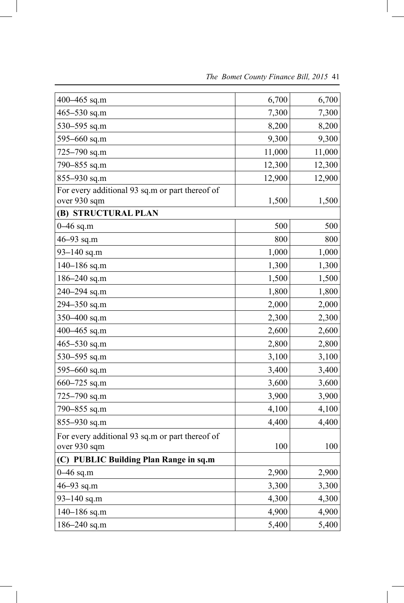| 400-465 sq.m                                                    | 6,700  | 6,700  |
|-----------------------------------------------------------------|--------|--------|
| 465-530 sq.m                                                    | 7,300  | 7,300  |
| 530-595 sq.m                                                    | 8,200  | 8,200  |
| 595-660 sq.m                                                    | 9,300  | 9,300  |
| $725 - 790$ sq.m                                                | 11,000 | 11,000 |
| 790-855 sq.m                                                    | 12,300 | 12,300 |
| 855-930 sq.m                                                    | 12,900 | 12,900 |
| For every additional 93 sq.m or part thereof of                 |        |        |
| over 930 sqm                                                    | 1,500  | 1,500  |
| (B) STRUCTURAL PLAN                                             |        |        |
| $0 - 46$ sq.m                                                   | 500    | 500    |
| 46 $-93$ sq.m                                                   | 800    | 800    |
| $93 - 140$ sq.m                                                 | 1,000  | 1,000  |
| $140 - 186$ sq.m                                                | 1,300  | 1,300  |
| 186-240 sq.m                                                    | 1,500  | 1,500  |
| 240-294 sq.m                                                    | 1,800  | 1,800  |
| 294-350 sq.m                                                    | 2,000  | 2,000  |
| 350-400 sq.m                                                    | 2,300  | 2,300  |
| 400-465 sq.m                                                    | 2,600  | 2,600  |
| $465 - 530$ sq.m                                                | 2,800  | 2,800  |
| 530-595 sq.m                                                    | 3,100  | 3,100  |
| 595-660 sq.m                                                    | 3,400  | 3,400  |
| 660-725 sq.m                                                    | 3,600  | 3,600  |
| $725 - 790$ sq.m                                                | 3,900  | 3,900  |
| 790-855 sq.m                                                    | 4,100  | 4,100  |
| 855-930 sq.m                                                    | 4,400  | 4,400  |
| For every additional 93 sq.m or part thereof of<br>over 930 sqm | 100    | 100    |
| (C) PUBLIC Building Plan Range in sq.m                          |        |        |
| $0 - 46$ sq.m                                                   | 2,900  | 2,900  |
| 46-93 sq.m                                                      | 3,300  | 3,300  |
| $93 - 140$ sq.m                                                 | 4,300  | 4,300  |
| 140-186 sq.m                                                    | 4,900  | 4,900  |
| 186-240 sq.m                                                    | 5,400  | 5,400  |

 $\overline{\phantom{a}}$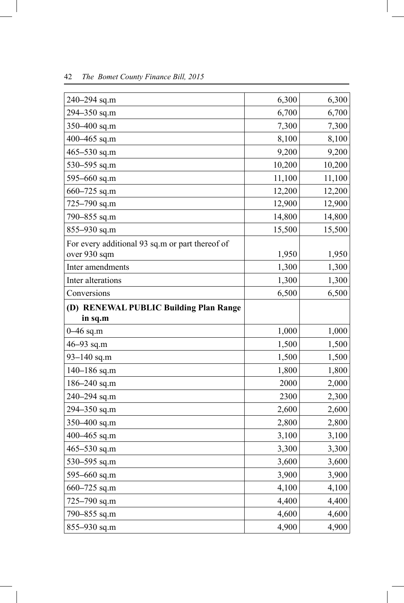| 240-294 sq.m                                    | 6,300  | 6,300  |
|-------------------------------------------------|--------|--------|
| 294-350 sq.m                                    | 6,700  | 6,700  |
| 350-400 sq.m                                    | 7,300  | 7,300  |
| 400-465 sq.m                                    | 8,100  | 8,100  |
| $465 - 530$ sq.m                                | 9,200  | 9,200  |
| 530–595 sq.m                                    | 10,200 | 10,200 |
| 595-660 sq.m                                    | 11,100 | 11,100 |
| 660-725 sq.m                                    | 12,200 | 12,200 |
| 725-790 sq.m                                    | 12,900 | 12,900 |
| 790-855 sq.m                                    | 14,800 | 14,800 |
| 855-930 sq.m                                    | 15,500 | 15,500 |
| For every additional 93 sq.m or part thereof of |        |        |
| over 930 sqm                                    | 1,950  | 1,950  |
| Inter amendments                                | 1,300  | 1,300  |
| Inter alterations                               | 1,300  | 1,300  |
| Conversions                                     | 6,500  | 6,500  |
| (D) RENEWAL PUBLIC Building Plan Range          |        |        |
| in sq.m                                         |        |        |
| $0 - 46$ sq.m                                   | 1,000  | 1,000  |
| 46-93 sq.m                                      | 1,500  | 1,500  |
| $93 - 140$ sq.m                                 | 1,500  | 1,500  |
| 140-186 sq.m                                    | 1,800  | 1,800  |
| $186 - 240$ sq.m                                | 2000   | 2,000  |
| 240-294 sq.m                                    | 2300   | 2,300  |
| 294-350 sq.m                                    | 2,600  | 2,600  |
| 350-400 sq.m                                    | 2,800  | 2,800  |
| 400-465 sq.m                                    | 3,100  | 3,100  |
| 465-530 sq.m                                    | 3,300  | 3,300  |
| 530-595 sq.m                                    | 3,600  | 3,600  |
| 595-660 sq.m                                    | 3,900  | 3,900  |
| $660 - 725$ sq.m                                | 4,100  | 4,100  |
| 725–790 sq.m                                    | 4,400  | 4,400  |
| 790-855 sq.m                                    | 4,600  | 4,600  |
| 855-930 sq.m                                    | 4,900  | 4,900  |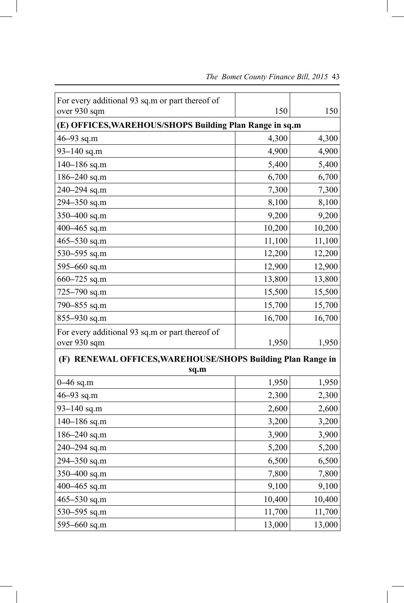| For every additional 93 sq.m or part thereof of                     |        |        |
|---------------------------------------------------------------------|--------|--------|
| over 930 sqm                                                        | 150    | 150    |
| (E) OFFICES, WAREHOUS/SHOPS Building Plan Range in sq.m             |        |        |
| $46 - 93$ sq.m                                                      | 4,300  | 4,300  |
| $93 - 140$ sq.m                                                     | 4,900  | 4,900  |
| $140 - 186$ sq.m                                                    | 5,400  | 5,400  |
| 186-240 sq.m                                                        | 6,700  | 6,700  |
| 240-294 sq.m                                                        | 7,300  | 7,300  |
| 294-350 sq.m                                                        | 8,100  | 8,100  |
| 350-400 sq.m                                                        | 9,200  | 9,200  |
| 400-465 sq.m                                                        | 10,200 | 10,200 |
| $465 - 530$ sq.m                                                    | 11,100 | 11,100 |
| 530-595 sq.m                                                        | 12,200 | 12,200 |
| 595-660 sq.m                                                        | 12,900 | 12,900 |
| 660-725 sq.m                                                        | 13,800 | 13,800 |
| 725-790 sq.m                                                        | 15,500 | 15,500 |
| 790-855 sq.m                                                        | 15,700 | 15,700 |
| 855-930 sq.m                                                        | 16,700 | 16,700 |
| For every additional 93 sq.m or part thereof of<br>over 930 sqm     | 1,950  | 1,950  |
|                                                                     |        |        |
| (F) RENEWAL OFFICES, WAREHOUSE/SHOPS Building Plan Range in<br>sq.m |        |        |
| $0 - 46$ sq.m                                                       | 1,950  | 1,950  |
| 46-93 sq.m                                                          | 2,300  | 2,300  |
| 93-140 sq.m                                                         | 2,600  | 2,600  |
| 140-186 sq.m                                                        | 3,200  | 3,200  |
| 186-240 sq.m                                                        | 3,900  | 3,900  |
| 240-294 sq.m                                                        | 5,200  | 5,200  |
| 294-350 sq.m                                                        | 6,500  | 6,500  |
| 350-400 sq.m                                                        | 7,800  | 7,800  |
| 400-465 sq.m                                                        | 9,100  | 9,100  |
| $465 - 530$ sq.m                                                    | 10,400 | 10,400 |
| 530-595 sq.m                                                        | 11,700 | 11,700 |
| 595-660 sq.m                                                        | 13,000 | 13,000 |

 $\overline{\phantom{a}}$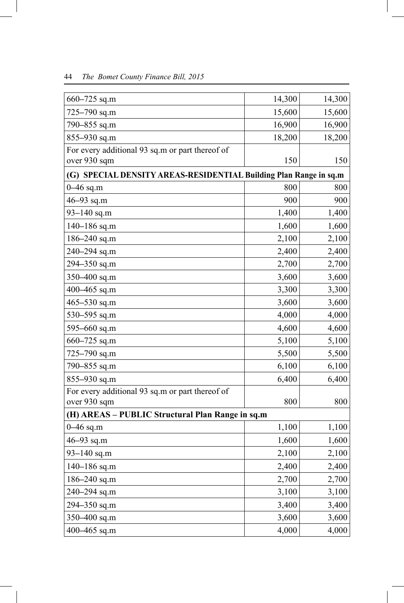| $660 - 725$ sq.m                                                  | 14,300 | 14,300 |
|-------------------------------------------------------------------|--------|--------|
| 725-790 sq.m                                                      | 15,600 | 15,600 |
| 790-855 sq.m                                                      | 16,900 | 16,900 |
| 855-930 sq.m                                                      | 18,200 | 18,200 |
| For every additional 93 sq.m or part thereof of                   |        |        |
| over 930 sqm                                                      | 150    | 150    |
| (G) SPECIAL DENSITY AREAS-RESIDENTIAL Building Plan Range in sq.m |        |        |
| $0 - 46$ sq.m                                                     | 800    | 800    |
| 46 $-93$ sq.m                                                     | 900    | 900    |
| 93-140 sq.m                                                       | 1,400  | 1,400  |
| $140 - 186$ sq.m                                                  | 1,600  | 1,600  |
| $186 - 240$ sq.m                                                  | 2,100  | 2,100  |
| 240-294 sq.m                                                      | 2,400  | 2,400  |
| 294-350 sq.m                                                      | 2,700  | 2,700  |
| 350-400 sq.m                                                      | 3,600  | 3,600  |
| 400-465 sq.m                                                      | 3,300  | 3,300  |
| $465 - 530$ sq.m                                                  | 3,600  | 3,600  |
| 530-595 sq.m                                                      | 4,000  | 4,000  |
| 595-660 sq.m                                                      | 4,600  | 4,600  |
| 660-725 sq.m                                                      | 5,100  | 5,100  |
| 725-790 sq.m                                                      | 5,500  | 5,500  |
| 790-855 sq.m                                                      | 6,100  | 6,100  |
| 855-930 sq.m                                                      | 6,400  | 6,400  |
| For every additional 93 sq.m or part thereof of                   |        |        |
| over 930 sqm                                                      | 800    | 800    |
| (H) AREAS - PUBLIC Structural Plan Range in sq.m                  |        |        |
| $0 - 46$ sq.m                                                     | 1,100  | 1,100  |
| 46-93 sq.m                                                        | 1,600  | 1,600  |
| 93-140 sq.m                                                       | 2,100  | 2,100  |
| $140 - 186$ sq.m                                                  | 2,400  | 2,400  |
| 186-240 sq.m                                                      | 2,700  | 2,700  |
| 240-294 sq.m                                                      | 3,100  | 3,100  |
| 294-350 sq.m                                                      | 3,400  | 3,400  |
| 350-400 sq.m                                                      | 3,600  | 3,600  |
| 400-465 sq.m                                                      | 4,000  | 4,000  |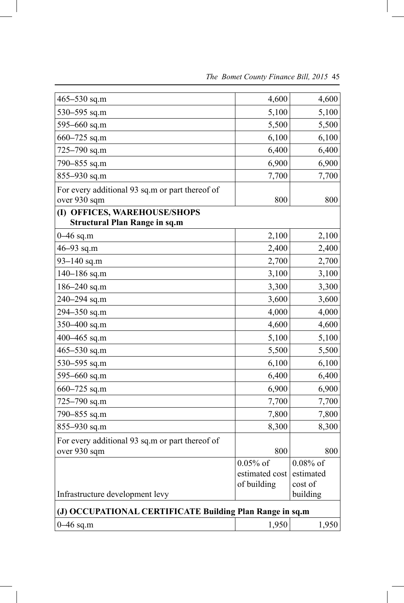| 465-530 sq.m                                             | 4,600          | 4,600       |
|----------------------------------------------------------|----------------|-------------|
| 530-595 sq.m                                             | 5,100          | 5,100       |
| 595-660 sq.m                                             | 5,500          | 5,500       |
| $660 - 725$ sq.m                                         | 6,100          | 6,100       |
| 725-790 sq.m                                             | 6,400          | 6,400       |
| 790-855 sq.m                                             | 6,900          | 6,900       |
| 855-930 sq.m                                             | 7,700          | 7,700       |
| For every additional 93 sq.m or part thereof of          |                |             |
| over 930 sqm                                             | 800            | 800         |
| (I) OFFICES, WAREHOUSE/SHOPS                             |                |             |
| <b>Structural Plan Range in sq.m</b>                     |                |             |
| $0 - 46$ sq.m                                            | 2,100          | 2,100       |
| 46-93 sq.m                                               | 2,400          | 2,400       |
| 93-140 sq.m                                              | 2,700          | 2,700       |
| $140 - 186$ sq.m                                         | 3,100          | 3,100       |
| 186-240 sq.m                                             | 3,300          | 3,300       |
| 240-294 sq.m                                             | 3,600          | 3,600       |
| $294 - 350$ sq.m                                         | 4,000          | 4,000       |
| 350-400 sq.m                                             | 4,600          | 4,600       |
| 400-465 sq.m                                             | 5,100          | 5,100       |
| $465 - 530$ sq.m                                         | 5,500          | 5,500       |
| 530-595 sq.m                                             | 6,100          | 6,100       |
| 595-660 sq.m                                             | 6,400          | 6,400       |
| $660 - 725$ sq.m                                         | 6,900          | 6,900       |
| 725-790 sq.m                                             | 7,700          | 7,700       |
| 790-855 sq.m                                             | 7,800          | 7,800       |
| 855-930 sq.m                                             | 8,300          | 8,300       |
| For every additional 93 sq.m or part thereof of          |                |             |
| over 930 sqm                                             | 800            | 800         |
|                                                          | $0.05\%$ of    | $0.08\%$ of |
|                                                          | estimated cost | estimated   |
|                                                          | of building    | cost of     |
| Infrastructure development levy                          |                | building    |
| (J) OCCUPATIONAL CERTIFICATE Building Plan Range in sq.m |                |             |
| $0 - 46$ sq.m                                            | 1,950          | 1,950       |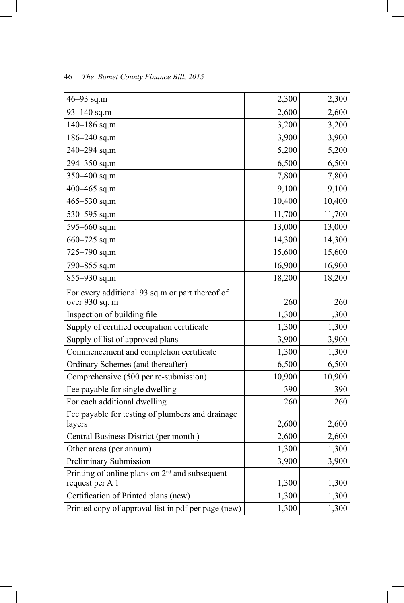| 46-93 sq.m                                                          | 2,300  | 2,300  |
|---------------------------------------------------------------------|--------|--------|
| 93-140 sq.m                                                         | 2,600  | 2,600  |
| $140 - 186$ sq.m                                                    | 3,200  | 3,200  |
| $186 - 240$ sq.m                                                    | 3,900  | 3,900  |
| 240-294 sq.m                                                        | 5,200  | 5,200  |
| 294-350 sq.m                                                        | 6,500  | 6,500  |
| 350-400 sq.m                                                        | 7,800  | 7,800  |
| 400-465 sq.m                                                        | 9,100  | 9,100  |
| $465 - 530$ sq.m                                                    | 10,400 | 10,400 |
| 530-595 sq.m                                                        | 11,700 | 11,700 |
| 595 $-660$ sq.m                                                     | 13,000 | 13,000 |
| 660-725 sq.m                                                        | 14,300 | 14,300 |
| 725-790 sq.m                                                        | 15,600 | 15,600 |
| 790–855 sq.m                                                        | 16,900 | 16,900 |
| $855 - 930$ sq.m                                                    | 18,200 | 18,200 |
| For every additional 93 sq.m or part thereof of                     |        |        |
| over 930 sq. m                                                      | 260    | 260    |
| Inspection of building file                                         | 1,300  | 1,300  |
| Supply of certified occupation certificate                          | 1,300  | 1,300  |
| Supply of list of approved plans                                    | 3,900  | 3,900  |
| Commencement and completion certificate                             | 1,300  | 1,300  |
| Ordinary Schemes (and thereafter)                                   | 6,500  | 6,500  |
| Comprehensive (500 per re-submission)                               | 10,900 | 10,900 |
| Fee payable for single dwelling                                     | 390    | 390    |
| For each additional dwelling                                        | 260    | 260    |
| Fee payable for testing of plumbers and drainage                    |        |        |
| layers                                                              | 2,600  | 2,600  |
| Central Business District (per month)                               | 2,600  | 2,600  |
| Other areas (per annum)                                             | 1,300  | 1,300  |
| Preliminary Submission                                              | 3,900  | 3,900  |
| Printing of online plans on $2nd$ and subsequent<br>request per A 1 | 1,300  | 1,300  |
| Certification of Printed plans (new)                                | 1,300  | 1,300  |
| Printed copy of approval list in pdf per page (new)                 | 1,300  | 1,300  |
|                                                                     |        |        |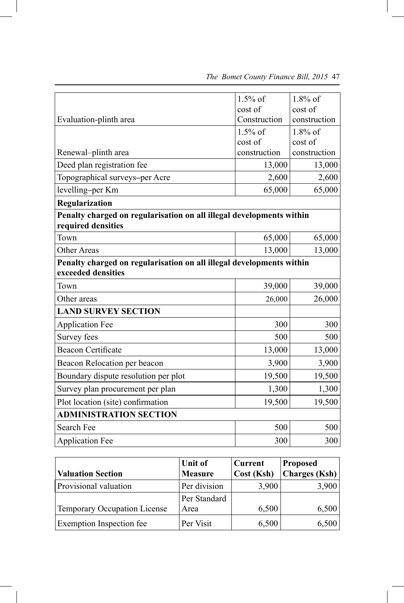|                                                                      | $1.5\%$ of   | $1.8\%$ of   |
|----------------------------------------------------------------------|--------------|--------------|
|                                                                      | cost of      | cost of      |
| Evaluation-plinth area                                               | Construction | construction |
|                                                                      | $1.5\%$ of   | $1.8\%$ of   |
|                                                                      | cost of      | cost of      |
| Renewal-plinth area                                                  | construction | construction |
| Deed plan registration fee                                           | 13,000       | 13,000       |
| Topographical surveys-per Acre                                       | 2,600        | 2,600        |
| levelling-per Km                                                     | 65,000       | 65,000       |
| Regularization                                                       |              |              |
| Penalty charged on regularisation on all illegal developments within |              |              |
| required densities                                                   |              |              |
| Town                                                                 | 65,000       | 65,000       |
| <b>Other Areas</b>                                                   | 13,000       | 13,000       |
| Penalty charged on regularisation on all illegal developments within |              |              |
| exceeded densities                                                   |              |              |
| Town                                                                 | 39,000       | 39,000       |
| Other areas                                                          | 26,000       | 26,000       |
| <b>LAND SURVEY SECTION</b>                                           |              |              |
| <b>Application Fee</b>                                               | 300          | 300          |
| Survey fees                                                          | 500          | 500          |
| <b>Beacon Certificate</b>                                            | 13,000       | 13,000       |
| Beacon Relocation per beacon                                         | 3,900        | 3,900        |
| Boundary dispute resolution per plot                                 | 19,500       | 19,500       |
| Survey plan procurement per plan                                     | 1,300        | 1,300        |
| Plot location (site) confirmation                                    | 19,500       | 19,500       |
| <b>ADMINISTRATION SECTION</b>                                        |              |              |
| Search Fee                                                           | 500          | 500          |
| <b>Application Fee</b>                                               | 300          | 300          |

|                                     | Unit of        | <b>Current</b> | <b>Proposed</b> |
|-------------------------------------|----------------|----------------|-----------------|
| <b>Valuation Section</b>            | <b>Measure</b> | Cost (Ksh)     | Charges (Ksh)   |
| Provisional valuation               | Per division   | 3,900          | 3,900           |
|                                     | Per Standard   |                |                 |
| <b>Temporary Occupation License</b> | Area           | 6,500          | 6,500           |
| <b>Exemption Inspection fee</b>     | Per Visit      | 6,500          | 6,500           |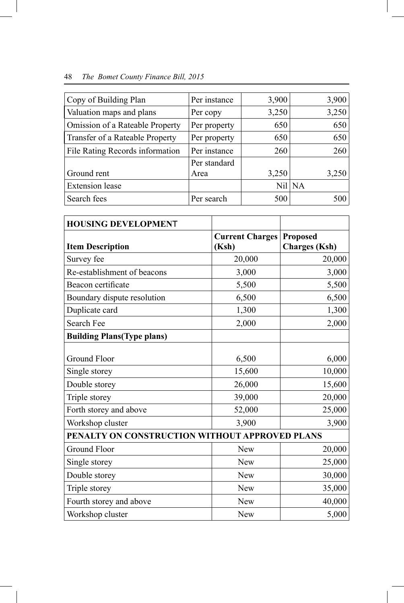| Copy of Building Plan           | Per instance | 3,900 | 3,900    |
|---------------------------------|--------------|-------|----------|
| Valuation maps and plans        | Per copy     | 3,250 | 3,250    |
| Omission of a Rateable Property | Per property | 650   | 650      |
| Transfer of a Rateable Property | Per property | 650   | 650      |
| File Rating Records information | Per instance | 260   | 260      |
|                                 | Per standard |       |          |
| Ground rent                     | Area         | 3,250 | 3,250    |
| <b>Extension</b> lease          |              |       | $Nil$ NA |
| Search fees                     | Per search   | 500   | 500      |

| <b>HOUSING DEVELOPMENT</b>                     |                                 |                                         |
|------------------------------------------------|---------------------------------|-----------------------------------------|
| <b>Item Description</b>                        | <b>Current Charges</b><br>(Ksh) | <b>Proposed</b><br><b>Charges</b> (Ksh) |
| Survey fee                                     | 20,000                          | 20,000                                  |
| Re-establishment of beacons                    | 3,000                           | 3,000                                   |
| Beacon certificate                             | 5,500                           | 5,500                                   |
| Boundary dispute resolution                    | 6,500                           | 6,500                                   |
| Duplicate card                                 | 1,300                           | 1,300                                   |
| Search Fee                                     | 2,000                           | 2,000                                   |
| <b>Building Plans(Type plans)</b>              |                                 |                                         |
| Ground Floor                                   | 6,500                           | 6,000                                   |
| Single storey                                  | 15,600                          | 10,000                                  |
| Double storey                                  | 26,000                          | 15,600                                  |
| Triple storey                                  | 39,000                          | 20,000                                  |
| Forth storey and above                         | 52,000                          | 25,000                                  |
| Workshop cluster                               | 3,900                           | 3,900                                   |
| PENALTY ON CONSTRUCTION WITHOUT APPROVED PLANS |                                 |                                         |
| <b>Ground Floor</b>                            | New                             | 20,000                                  |
| Single storey                                  | New                             | 25,000                                  |
| Double storey                                  | New                             | 30,000                                  |
| Triple storey                                  | New                             | 35,000                                  |
| Fourth storey and above                        | New                             | 40,000                                  |
| Workshop cluster                               | <b>New</b>                      | 5,000                                   |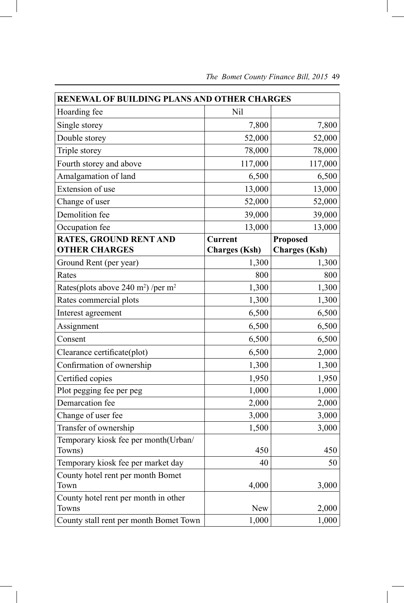| RENEWAL OF BUILDING PLANS AND OTHER CHARGES                |                      |                      |  |  |  |
|------------------------------------------------------------|----------------------|----------------------|--|--|--|
| Hoarding fee                                               | Nil                  |                      |  |  |  |
| Single storey                                              | 7,800                | 7,800                |  |  |  |
| Double storey                                              | 52,000               | 52,000               |  |  |  |
| Triple storey                                              | 78,000               | 78,000               |  |  |  |
| Fourth storey and above                                    | 117,000              | 117,000              |  |  |  |
| Amalgamation of land                                       | 6,500                | 6,500                |  |  |  |
| Extension of use                                           | 13,000               | 13,000               |  |  |  |
| Change of user                                             | 52,000               | 52,000               |  |  |  |
| Demolition fee                                             | 39,000               | 39,000               |  |  |  |
| Occupation fee                                             | 13,000               | 13,000               |  |  |  |
| <b>RATES, GROUND RENT AND</b>                              | <b>Current</b>       | <b>Proposed</b>      |  |  |  |
| <b>OTHER CHARGES</b>                                       | <b>Charges</b> (Ksh) | <b>Charges</b> (Ksh) |  |  |  |
| Ground Rent (per year)                                     | 1,300                | 1,300                |  |  |  |
| Rates                                                      | 800                  | 800                  |  |  |  |
| Rates(plots above 240 m <sup>2</sup> ) /per m <sup>2</sup> | 1,300                | 1,300                |  |  |  |
| Rates commercial plots                                     | 1,300                | 1,300                |  |  |  |
| Interest agreement                                         | 6,500                | 6,500                |  |  |  |
| Assignment                                                 | 6,500                | 6,500                |  |  |  |
| Consent                                                    | 6,500                | 6,500                |  |  |  |
| Clearance certificate(plot)                                | 6,500                | 2,000                |  |  |  |
| Confirmation of ownership                                  | 1,300                | 1,300                |  |  |  |
| Certified copies                                           | 1,950                | 1,950                |  |  |  |
| Plot pegging fee per peg                                   | 1,000                | 1,000                |  |  |  |
| Demarcation fee                                            | 2,000                | 2,000                |  |  |  |
| Change of user fee                                         | 3,000                | 3,000                |  |  |  |
| Transfer of ownership                                      | 1,500                | 3,000                |  |  |  |
| Temporary kiosk fee per month(Urban/                       |                      |                      |  |  |  |
| Towns)                                                     | 450                  | 450                  |  |  |  |
| Temporary kiosk fee per market day                         | 40                   | 50                   |  |  |  |
| County hotel rent per month Bomet                          |                      |                      |  |  |  |
| Town                                                       | 4,000                | 3,000                |  |  |  |
| County hotel rent per month in other                       |                      |                      |  |  |  |
| Towns                                                      | New                  | 2,000                |  |  |  |
| County stall rent per month Bomet Town                     | 1,000                | 1,000                |  |  |  |

 *The Bomet County Finance Bill, 2015* 49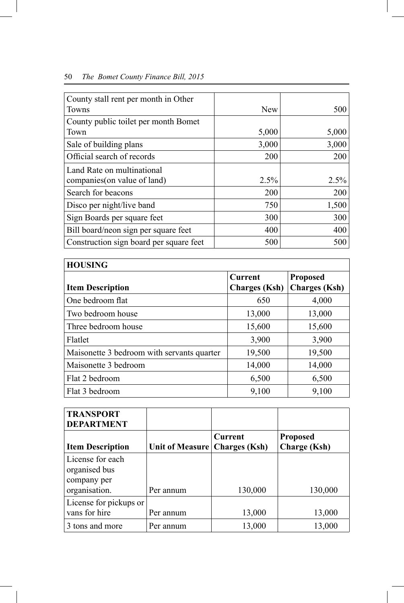| County stall rent per month in Other    |       |       |
|-----------------------------------------|-------|-------|
| Towns                                   | New   | 500   |
| County public toilet per month Bomet    |       |       |
| Town                                    | 5,000 | 5,000 |
| Sale of building plans                  | 3,000 | 3,000 |
| Official search of records              | 200   | 200   |
| Land Rate on multinational              |       |       |
| companies (on value of land)            | 2.5%  | 2.5%  |
| Search for beacons                      | 200   | 200   |
| Disco per night/live band               | 750   | 1,500 |
| Sign Boards per square feet             | 300   | 300   |
| Bill board/neon sign per square feet    | 400   | 400   |
| Construction sign board per square feet | 500   | 500   |

| <b>HOUSING</b>                             |                      |                      |  |  |  |
|--------------------------------------------|----------------------|----------------------|--|--|--|
|                                            | <b>Current</b>       | <b>Proposed</b>      |  |  |  |
| <b>Item Description</b>                    | <b>Charges</b> (Ksh) | <b>Charges</b> (Ksh) |  |  |  |
| One bedroom flat                           | 650                  | 4,000                |  |  |  |
| Two bedroom house                          | 13,000               | 13,000               |  |  |  |
| Three bedroom house                        | 15,600               | 15,600               |  |  |  |
| Flatlet                                    | 3,900                | 3,900                |  |  |  |
| Maisonette 3 bedroom with servants quarter | 19,500               | 19,500               |  |  |  |
| Maisonette 3 bedroom                       | 14,000               | 14,000               |  |  |  |
| Flat 2 bedroom                             | 6,500                | 6,500                |  |  |  |
| Flat 3 bedroom                             | 9,100                | 9,100                |  |  |  |

| <b>TRANSPORT</b><br><b>DEPARTMENT</b>                             |                                 |         |                                        |
|-------------------------------------------------------------------|---------------------------------|---------|----------------------------------------|
| <b>Item Description</b>                                           | Unit of Measure   Charges (Ksh) | Current | <b>Proposed</b><br><b>Charge</b> (Ksh) |
| License for each<br>organised bus<br>company per<br>organisation. | Per annum                       | 130,000 | 130,000                                |
| License for pickups or<br>vans for hire                           | Per annum                       | 13,000  | 13,000                                 |
| 3 tons and more                                                   | Per annum                       | 13,000  | 13,000                                 |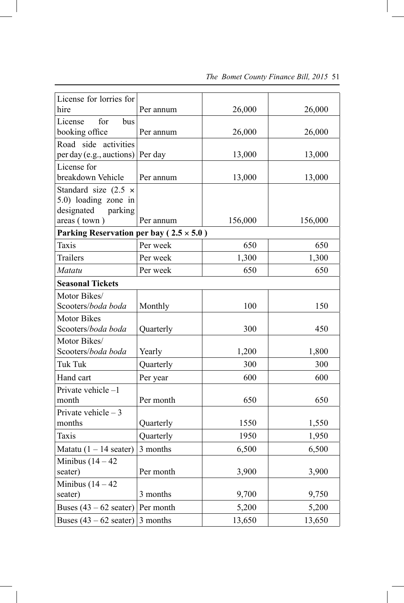| License for lorries for<br>hire                                                              | Per annum | 26,000  | 26,000  |
|----------------------------------------------------------------------------------------------|-----------|---------|---------|
| License<br>for<br>bus                                                                        |           |         |         |
| booking office                                                                               | Per annum | 26,000  | 26,000  |
| Road side activities<br>per day (e.g., auctions) Per day                                     |           | 13,000  | 13,000  |
| License for<br>breakdown Vehicle                                                             | Per annum | 13,000  | 13,000  |
| Standard size $(2.5 \times$<br>5.0) loading zone in<br>designated<br>parking<br>areas (town) | Per annum | 156,000 | 156,000 |
| Parking Reservation per bay ( $2.5 \times 5.0$ )                                             |           |         |         |
| <b>Taxis</b>                                                                                 | Per week  | 650     | 650     |
| <b>Trailers</b>                                                                              | Per week  | 1,300   | 1,300   |
| Matatu                                                                                       | Per week  | 650     | 650     |
| <b>Seasonal Tickets</b>                                                                      |           |         |         |
| Motor Bikes/                                                                                 |           |         |         |
| Scooters/boda boda                                                                           | Monthly   | 100     | 150     |
| <b>Motor Bikes</b><br>Scooters/boda boda                                                     | Quarterly | 300     | 450     |
| Motor Bikes/                                                                                 |           |         |         |
| Scooters/boda boda                                                                           | Yearly    | 1,200   | 1,800   |
| <b>Tuk Tuk</b>                                                                               | Quarterly | 300     | 300     |
| Hand cart                                                                                    | Per year  | 600     | 600     |
| Private vehicle-1<br>month                                                                   | Per month | 650     | 650     |
| Private vehicle $-3$                                                                         |           |         |         |
| months                                                                                       | Quarterly | 1550    | 1,550   |
| <b>Taxis</b>                                                                                 | Quarterly | 1950    | 1,950   |
| Matatu $(1 - 14 \text{ scatter})$                                                            | 3 months  | 6,500   | 6,500   |
| Minibus $(14 – 42)$<br>seater)                                                               | Per month | 3,900   | 3,900   |
| Minibus $(14 – 42)$<br>seater)                                                               | 3 months  | 9,700   | 9,750   |
| Buses $(43 – 62 \text{ scatter})$                                                            | Per month | 5,200   | 5,200   |
| Buses $(43 – 62 \text{ scatter})$                                                            | 3 months  | 13,650  | 13,650  |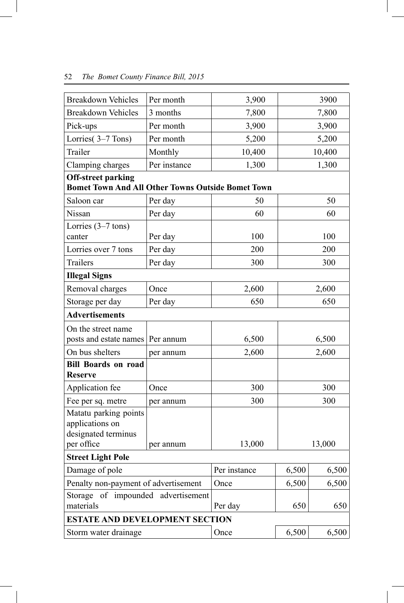| <b>Breakdown Vehicles</b>                                       | Per month                                            | 3,900        |       | 3900   |
|-----------------------------------------------------------------|------------------------------------------------------|--------------|-------|--------|
| <b>Breakdown Vehicles</b>                                       | 3 months                                             | 7,800        |       | 7,800  |
| Pick-ups                                                        | Per month                                            | 3,900        |       | 3,900  |
| Lorries(3-7 Tons)                                               | Per month                                            | 5,200        |       | 5,200  |
| Trailer                                                         | Monthly                                              | 10,400       |       | 10,400 |
| Clamping charges                                                | Per instance                                         | 1,300        |       | 1,300  |
| <b>Off-street parking</b>                                       |                                                      |              |       |        |
| <b>Bomet Town And All Other Towns Outside Bomet Town</b>        |                                                      |              |       |        |
| Saloon car                                                      | Per day                                              | 50           |       | 50     |
| Nissan                                                          | Per day                                              | 60           |       | 60     |
| Lorries $(3-7 \text{ tons})$                                    |                                                      |              |       |        |
| canter                                                          | Per day                                              | 100          |       | 100    |
| Lorries over 7 tons                                             | Per day                                              | 200          |       | 200    |
| <b>Trailers</b>                                                 | Per day                                              | 300          |       | 300    |
| <b>Illegal Signs</b>                                            |                                                      |              |       |        |
| Removal charges                                                 | Once                                                 | 2,600        |       | 2,600  |
| Storage per day                                                 | Per day                                              | 650          |       | 650    |
| <b>Advertisements</b>                                           |                                                      |              |       |        |
| On the street name                                              |                                                      |              |       |        |
| posts and estate names                                          | Per annum                                            | 6,500        |       | 6,500  |
| On bus shelters                                                 | per annum                                            | 2,600        |       | 2,600  |
| <b>Bill Boards on road</b>                                      |                                                      |              |       |        |
| <b>Reserve</b>                                                  |                                                      |              |       |        |
| Application fee                                                 | Once                                                 | 300          |       | 300    |
| Fee per sq. metre                                               | per annum                                            | 300          |       | 300    |
| Matatu parking points<br>applications on<br>designated terminus |                                                      |              |       |        |
| per office                                                      | per annum                                            | 13,000       |       | 13,000 |
| <b>Street Light Pole</b>                                        |                                                      |              |       |        |
| Damage of pole                                                  |                                                      | Per instance | 6,500 | 6,500  |
| Penalty non-payment of advertisement                            |                                                      | Once         | 6,500 | 6,500  |
| materials                                                       | Storage of impounded advertisement<br>Per day<br>650 |              | 650   |        |
| <b>ESTATE AND DEVELOPMENT SECTION</b>                           |                                                      |              |       |        |
| Storm water drainage                                            |                                                      | Once         | 6,500 | 6,500  |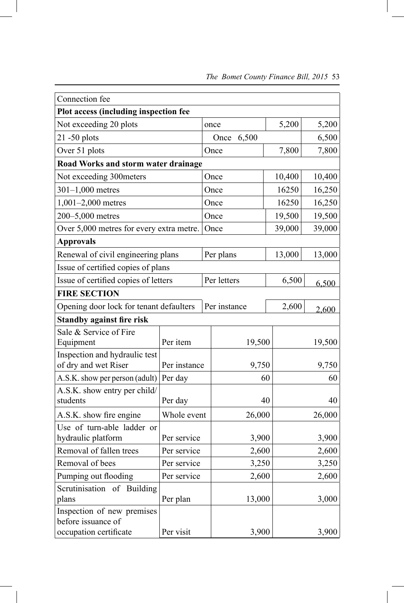| Connection fee                                   |                                       |  |               |        |        |
|--------------------------------------------------|---------------------------------------|--|---------------|--------|--------|
|                                                  | Plot access (including inspection fee |  |               |        |        |
| Not exceeding 20 plots                           |                                       |  | once          | 5,200  | 5,200  |
| $21 - 50$ plots                                  |                                       |  | 6,500<br>Once |        | 6,500  |
| Over 51 plots                                    |                                       |  | 7,800<br>Once |        | 7,800  |
| Road Works and storm water drainage              |                                       |  |               |        |        |
| Not exceeding 300meters                          |                                       |  | Once          | 10,400 | 10,400 |
| $301 - 1,000$ metres                             |                                       |  | Once          | 16250  | 16,250 |
| $1,001-2,000$ metres                             |                                       |  | Once          | 16250  | 16,250 |
| 200-5,000 metres                                 |                                       |  | Once          | 19,500 | 19,500 |
| Over 5,000 metres for every extra metre.         |                                       |  | Once          | 39,000 | 39,000 |
| <b>Approvals</b>                                 |                                       |  |               |        |        |
| Renewal of civil engineering plans               |                                       |  | Per plans     | 13,000 | 13,000 |
| Issue of certified copies of plans               |                                       |  |               |        |        |
| Issue of certified copies of letters             |                                       |  | Per letters   | 6,500  | 6,500  |
| <b>FIRE SECTION</b>                              |                                       |  |               |        |        |
| Opening door lock for tenant defaulters          |                                       |  | Per instance  | 2,600  | 2,600  |
| <b>Standby against fire risk</b>                 |                                       |  |               |        |        |
| Sale & Service of Fire                           |                                       |  |               |        |        |
| Equipment                                        | Per item                              |  | 19,500        |        | 19,500 |
| Inspection and hydraulic test                    |                                       |  |               |        |        |
| of dry and wet Riser                             | Per instance                          |  | 9,750         |        | 9,750  |
| A.S.K. show per person (adult)                   | Per day                               |  | 60            |        | 60     |
| A.S.K. show entry per child/<br>students         | Per day                               |  | 40            |        | 40     |
| A.S.K. show fire engine                          | Whole event                           |  | 26,000        |        | 26,000 |
| Use of turn-able ladder or                       |                                       |  |               |        |        |
| hydraulic platform                               | Per service                           |  | 3,900         |        | 3,900  |
| Removal of fallen trees                          | Per service                           |  | 2,600         |        | 2,600  |
| Removal of bees                                  | Per service                           |  | 3,250         |        | 3,250  |
| Pumping out flooding                             | Per service                           |  | 2,600         |        | 2,600  |
| Scrutinisation of Building                       |                                       |  |               |        |        |
| plans                                            | Per plan                              |  | 13,000        |        | 3,000  |
| Inspection of new premises<br>before issuance of |                                       |  |               |        |        |
| occupation certificate                           | Per visit                             |  | 3,900         |        | 3,900  |

 $\begin{array}{c} \hline \end{array}$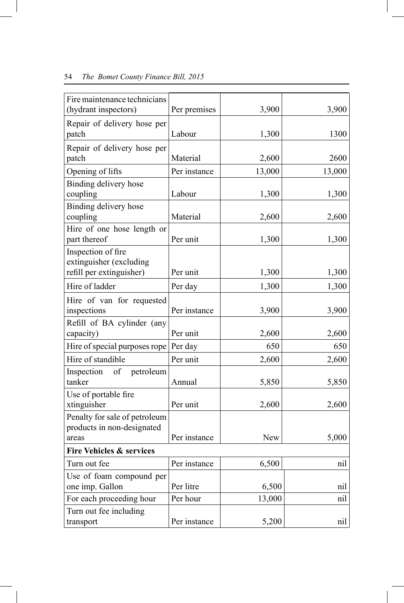| Fire maintenance technicians<br>(hydrant inspectors)        | Per premises | 3,900      | 3,900  |
|-------------------------------------------------------------|--------------|------------|--------|
| Repair of delivery hose per<br>patch                        | Labour       | 1,300      | 1300   |
|                                                             |              |            |        |
| Repair of delivery hose per<br>patch                        | Material     | 2,600      | 2600   |
| Opening of lifts                                            | Per instance | 13,000     | 13,000 |
| Binding delivery hose<br>coupling                           | Labour       | 1,300      | 1,300  |
| Binding delivery hose<br>coupling                           | Material     | 2,600      | 2,600  |
| Hire of one hose length or<br>part thereof                  | Per unit     | 1,300      | 1,300  |
| Inspection of fire<br>extinguisher (excluding               |              |            |        |
| refill per extinguisher)                                    | Per unit     | 1,300      | 1,300  |
| Hire of ladder                                              | Per day      | 1,300      | 1,300  |
| Hire of van for requested<br>inspections                    | Per instance | 3,900      | 3,900  |
| Refill of BA cylinder (any                                  |              |            |        |
| capacity)                                                   | Per unit     | 2,600      | 2,600  |
| Hire of special purposes rope                               | Per day      | 650        | 650    |
| Hire of standible                                           | Per unit     | 2,600      | 2,600  |
| Inspection<br>of<br>petroleum<br>tanker                     | Annual       | 5,850      | 5,850  |
| Use of portable fire<br>xtinguisher                         | Per unit     | 2,600      | 2,600  |
| Penalty for sale of petroleum<br>products in non-designated |              |            |        |
| areas                                                       | Per instance | <b>New</b> | 5,000  |
| <b>Fire Vehicles &amp; services</b>                         |              |            |        |
| Turn out fee                                                | Per instance | 6,500      | nil    |
| Use of foam compound per<br>one imp. Gallon                 | Per litre    | 6,500      | nil    |
| For each proceeding hour                                    | Per hour     | 13,000     | nil    |
| Turn out fee including                                      |              |            |        |
| transport                                                   | Per instance | 5,200      | nil    |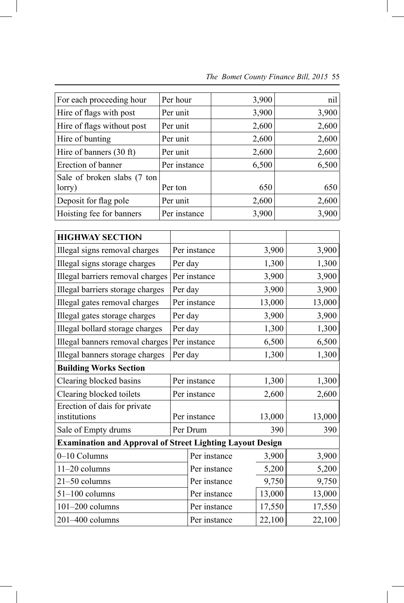| For each proceeding hour    | Per hour     | 3,900 | nil   |
|-----------------------------|--------------|-------|-------|
| Hire of flags with post     | Per unit     | 3,900 | 3,900 |
| Hire of flags without post  | Per unit     | 2,600 | 2,600 |
| Hire of bunting             | Per unit     | 2,600 | 2,600 |
| Hire of banners (30 ft)     | Per unit     | 2,600 | 2,600 |
| Erection of banner          | Per instance | 6,500 | 6,500 |
| Sale of broken slabs (7 ton |              |       |       |
| lorry)                      | Per ton      | 650   | 650   |
| Deposit for flag pole       | Per unit     | 2,600 | 2,600 |
| Hoisting fee for banners    | Per instance | 3,900 | 3,900 |

| <b>HIGHWAY SECTION</b>                                           |              |              |        |        |
|------------------------------------------------------------------|--------------|--------------|--------|--------|
| Illegal signs removal charges                                    | Per instance |              | 3,900  | 3,900  |
| Illegal signs storage charges                                    | Per day      |              | 1,300  | 1,300  |
| Illegal barriers removal charges                                 |              | Per instance | 3,900  | 3,900  |
| Illegal barriers storage charges                                 | Per day      |              | 3,900  | 3,900  |
| Illegal gates removal charges                                    |              | Per instance | 13,000 | 13,000 |
| Illegal gates storage charges                                    | Per day      |              | 3,900  | 3,900  |
| Illegal bollard storage charges                                  | Per day      |              | 1,300  | 1,300  |
| Illegal banners removal charges                                  |              | Per instance | 6,500  | 6,500  |
| Illegal banners storage charges                                  | Per day      |              | 1,300  | 1,300  |
| <b>Building Works Section</b>                                    |              |              |        |        |
| Clearing blocked basins                                          | Per instance |              | 1,300  | 1,300  |
| Clearing blocked toilets                                         | Per instance |              | 2,600  | 2,600  |
| Erection of dais for private                                     |              |              |        |        |
| institutions                                                     |              | Per instance | 13,000 | 13,000 |
| Sale of Empty drums                                              |              | Per Drum     | 390    | 390    |
| <b>Examination and Approval of Street Lighting Layout Design</b> |              |              |        |        |
| 0-10 Columns                                                     |              | Per instance | 3,900  | 3,900  |
| 11-20 columns                                                    |              | Per instance | 5,200  | 5,200  |
| 21-50 columns                                                    | Per instance |              | 9,750  | 9,750  |
| $51-100$ columns                                                 | Per instance |              | 13,000 | 13,000 |
| $101 - 200$ columns                                              |              | Per instance | 17,550 | 17,550 |
| 201-400 columns                                                  |              | Per instance | 22,100 | 22,100 |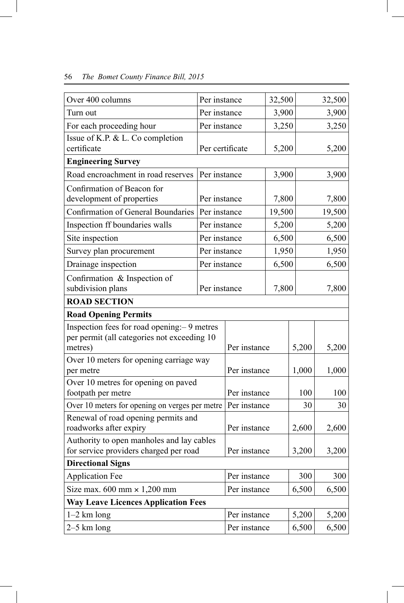| Over 400 columns                                 | Per instance    |                       | 32,500 |       | 32,500 |
|--------------------------------------------------|-----------------|-----------------------|--------|-------|--------|
| Turn out                                         | Per instance    |                       | 3,900  |       | 3,900  |
| For each proceeding hour                         | Per instance    |                       | 3,250  |       | 3,250  |
| Issue of K.P. & L. Co completion                 |                 |                       |        |       |        |
| certificate                                      | Per certificate |                       | 5,200  |       | 5,200  |
| <b>Engineering Survey</b>                        |                 |                       |        |       |        |
| Road encroachment in road reserves               | Per instance    |                       | 3,900  |       | 3,900  |
| Confirmation of Beacon for                       |                 |                       |        |       |        |
| development of properties                        | Per instance    |                       | 7,800  |       | 7,800  |
| <b>Confirmation of General Boundaries</b>        | Per instance    |                       | 19,500 |       | 19,500 |
| Inspection ff boundaries walls                   | Per instance    |                       | 5,200  |       | 5,200  |
| Site inspection                                  | Per instance    |                       | 6,500  |       | 6,500  |
| Survey plan procurement                          | Per instance    |                       | 1,950  |       | 1,950  |
| Drainage inspection                              | Per instance    |                       | 6,500  |       | 6,500  |
| Confirmation & Inspection of                     |                 |                       |        |       |        |
| subdivision plans                                | Per instance    |                       | 7,800  |       | 7,800  |
| <b>ROAD SECTION</b>                              |                 |                       |        |       |        |
| <b>Road Opening Permits</b>                      |                 |                       |        |       |        |
| Inspection fees for road opening: - 9 metres     |                 |                       |        |       |        |
| per permit (all categories not exceeding 10      |                 |                       |        |       |        |
| metres)                                          |                 | Per instance          |        | 5,200 | 5,200  |
| Over 10 meters for opening carriage way          |                 |                       |        |       |        |
| per metre<br>Over 10 metres for opening on paved |                 | Per instance          |        | 1,000 | 1,000  |
| footpath per metre                               |                 | Per instance          |        | 100   | 100    |
| Over 10 meters for opening on verges per metre   |                 | Per instance          |        | 30    | 30     |
| Renewal of road opening permits and              |                 |                       |        |       |        |
| roadworks after expiry                           |                 | Per instance          |        | 2,600 | 2,600  |
| Authority to open manholes and lay cables        |                 |                       |        |       |        |
| for service providers charged per road           |                 | Per instance          |        | 3,200 | 3,200  |
| <b>Directional Signs</b>                         |                 |                       |        |       |        |
| <b>Application Fee</b>                           |                 | Per instance          |        | 300   | 300    |
| Size max. $600$ mm $\times$ 1,200 mm             |                 | Per instance          |        | 6,500 | 6,500  |
| <b>Way Leave Licences Application Fees</b>       |                 |                       |        |       |        |
| $1-2$ km long                                    |                 | Per instance          |        | 5,200 | 5,200  |
| $2-5$ km long                                    |                 | 6,500<br>Per instance |        | 6,500 |        |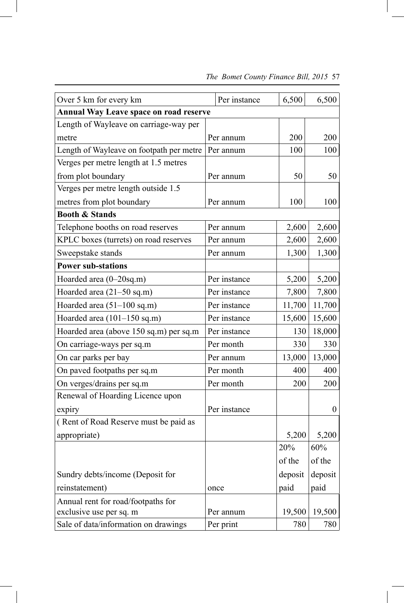| Over 5 km for every km                        |  | Per instance | 6,500   | 6,500            |  |
|-----------------------------------------------|--|--------------|---------|------------------|--|
| <b>Annual Way Leave space on road reserve</b> |  |              |         |                  |  |
| Length of Wayleave on carriage-way per        |  |              |         |                  |  |
| metre                                         |  | Per annum    | 200     | 200              |  |
| Length of Wayleave on footpath per metre      |  | Per annum    | 100     | 100              |  |
| Verges per metre length at 1.5 metres         |  |              |         |                  |  |
| from plot boundary                            |  | Per annum    | 50      | 50               |  |
| Verges per metre length outside 1.5           |  |              |         |                  |  |
| metres from plot boundary                     |  | Per annum    | 100     | 100              |  |
| <b>Booth &amp; Stands</b>                     |  |              |         |                  |  |
| Telephone booths on road reserves             |  | Per annum    | 2,600   | 2,600            |  |
| KPLC boxes (turrets) on road reserves         |  | Per annum    | 2,600   | 2,600            |  |
| Sweepstake stands                             |  | Per annum    | 1,300   | 1,300            |  |
| <b>Power sub-stations</b>                     |  |              |         |                  |  |
| Hoarded area (0-20sq.m)                       |  | Per instance | 5,200   | 5,200            |  |
| Hoarded area (21–50 sq.m)                     |  | Per instance | 7,800   | 7,800            |  |
| Hoarded area $(51-100 \text{ sq.m})$          |  | Per instance | 11,700  | 11,700           |  |
| Hoarded area (101-150 sq.m)                   |  | Per instance | 15,600  | 15,600           |  |
| Hoarded area (above 150 sq.m) per sq.m        |  | Per instance | 130     | 18,000           |  |
| On carriage-ways per sq.m                     |  | Per month    | 330     | 330              |  |
| On car parks per bay                          |  | Per annum    | 13,000  | 13,000           |  |
| On paved footpaths per sq.m                   |  | Per month    | 400     | 400              |  |
| On verges/drains per sq.m                     |  | Per month    | 200     | 200              |  |
| Renewal of Hoarding Licence upon              |  |              |         |                  |  |
| expiry                                        |  | Per instance |         | $\boldsymbol{0}$ |  |
| (Rent of Road Reserve must be paid as         |  |              |         |                  |  |
| appropriate)                                  |  |              | 5,200   | 5,200            |  |
|                                               |  |              | 20%     | 60%              |  |
|                                               |  |              | of the  | of the           |  |
| Sundry debts/income (Deposit for              |  |              | deposit | deposit          |  |
| reinstatement)                                |  | once         | paid    | paid             |  |
| Annual rent for road/footpaths for            |  |              |         |                  |  |
| exclusive use per sq. m                       |  | Per annum    | 19,500  | 19,500           |  |
| Sale of data/information on drawings          |  | Per print    | 780     | 780              |  |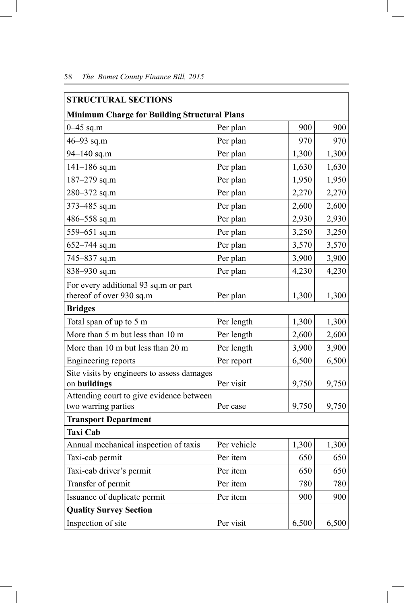| <b>STRUCTURAL SECTIONS</b>                                 |             |       |       |  |  |  |
|------------------------------------------------------------|-------------|-------|-------|--|--|--|
| <b>Minimum Charge for Building Structural Plans</b>        |             |       |       |  |  |  |
| $0 - 45$ sq.m                                              | Per plan    | 900   | 900   |  |  |  |
| $46 - 93$ sq.m                                             | Per plan    | 970   | 970   |  |  |  |
| $94 - 140$ sq.m                                            | Per plan    | 1,300 | 1,300 |  |  |  |
| $141 - 186$ sq.m                                           | Per plan    | 1,630 | 1,630 |  |  |  |
| $187 - 279$ sq.m                                           | Per plan    | 1,950 | 1,950 |  |  |  |
| 280-372 sq.m                                               | Per plan    | 2,270 | 2,270 |  |  |  |
| 373-485 sq.m                                               | Per plan    | 2,600 | 2,600 |  |  |  |
| 486-558 sq.m                                               | Per plan    | 2,930 | 2,930 |  |  |  |
| 559-651 sq.m                                               | Per plan    | 3,250 | 3,250 |  |  |  |
| $652 - 744$ sq.m                                           | Per plan    | 3,570 | 3,570 |  |  |  |
| 745-837 sq.m                                               | Per plan    | 3,900 | 3,900 |  |  |  |
| 838-930 sq.m                                               | Per plan    | 4,230 | 4,230 |  |  |  |
| For every additional 93 sq.m or part                       |             |       |       |  |  |  |
| thereof of over 930 sq.m                                   | Per plan    | 1,300 | 1,300 |  |  |  |
| <b>Bridges</b>                                             |             |       |       |  |  |  |
| Total span of up to 5 m                                    | Per length  | 1,300 | 1,300 |  |  |  |
| More than 5 m but less than 10 m                           | Per length  | 2,600 | 2,600 |  |  |  |
| More than 10 m but less than 20 m                          | Per length  | 3,900 | 3,900 |  |  |  |
| Engineering reports                                        | Per report  | 6,500 | 6,500 |  |  |  |
| Site visits by engineers to assess damages<br>on buildings | Per visit   | 9,750 | 9,750 |  |  |  |
| Attending court to give evidence between                   |             |       |       |  |  |  |
| two warring parties                                        | Per case    | 9,750 | 9,750 |  |  |  |
| <b>Transport Department</b>                                |             |       |       |  |  |  |
| <b>Taxi Cab</b>                                            |             |       |       |  |  |  |
| Annual mechanical inspection of taxis                      | Per vehicle | 1,300 | 1,300 |  |  |  |
| Taxi-cab permit                                            | Per item    | 650   | 650   |  |  |  |
| Taxi-cab driver's permit                                   | Per item    | 650   | 650   |  |  |  |
| Transfer of permit                                         | Per item    | 780   | 780   |  |  |  |
| Issuance of duplicate permit                               | Per item    | 900   | 900   |  |  |  |
| <b>Quality Survey Section</b>                              |             |       |       |  |  |  |
| Inspection of site                                         | Per visit   | 6,500 | 6,500 |  |  |  |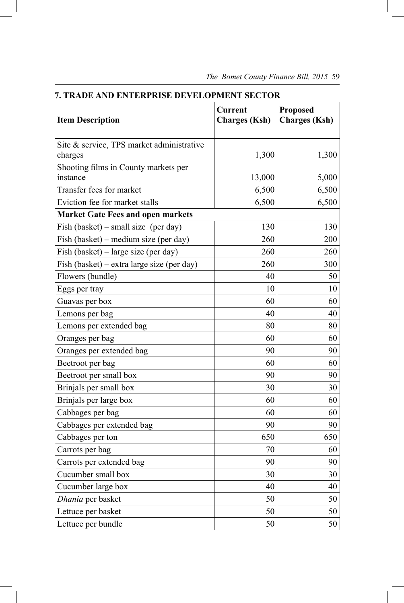| <b>Item Description</b>                              | <b>Current</b><br><b>Charges</b> (Ksh) | <b>Proposed</b><br><b>Charges</b> (Ksh) |
|------------------------------------------------------|----------------------------------------|-----------------------------------------|
|                                                      |                                        |                                         |
| Site & service, TPS market administrative<br>charges | 1,300                                  | 1,300                                   |
| Shooting films in County markets per                 |                                        |                                         |
| instance                                             | 13,000                                 | 5,000                                   |
| Transfer fees for market                             | 6,500                                  | 6,500                                   |
| Eviction fee for market stalls                       | 6,500                                  | 6,500                                   |
| <b>Market Gate Fees and open markets</b>             |                                        |                                         |
| Fish (basket) – small size (per day)                 | 130                                    | 130                                     |
| Fish (basket) – medium size (per day)                | 260                                    | 200                                     |
| Fish (basket) – large size (per day)                 | 260                                    | 260                                     |
| Fish (basket) – extra large size (per day)           | 260                                    | 300                                     |
| Flowers (bundle)                                     | 40                                     | 50                                      |
| Eggs per tray                                        | 10                                     | 10                                      |
| Guavas per box                                       | 60                                     | 60                                      |
| Lemons per bag                                       | 40                                     | 40                                      |
| Lemons per extended bag                              | 80                                     | 80                                      |
| Oranges per bag                                      | 60                                     | 60                                      |
| Oranges per extended bag                             | 90                                     | 90                                      |
| Beetroot per bag                                     | 60                                     | 60                                      |
| Beetroot per small box                               | 90                                     | 90                                      |
| Brinjals per small box                               | 30                                     | 30                                      |
| Brinjals per large box                               | 60                                     | 60                                      |
| Cabbages per bag                                     | 60                                     | 60                                      |
| Cabbages per extended bag                            | 90                                     | 90                                      |
| Cabbages per ton                                     | 650                                    | 650                                     |
| Carrots per bag                                      | $70\,$                                 | 60                                      |
| Carrots per extended bag                             | 90                                     | 90                                      |
| Cucumber small box                                   | 30                                     | 30                                      |
| Cucumber large box                                   | 40                                     | 40                                      |
| Dhania per basket                                    | 50                                     | 50                                      |
| Lettuce per basket                                   | 50                                     | 50                                      |
| Lettuce per bundle                                   | 50                                     | 50                                      |

**7. TRADE AND ENTERPRISE DEVELOPMENT SECTOR**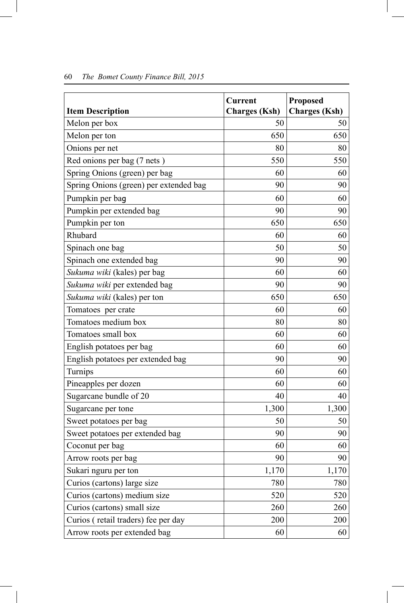|                                        | <b>Current</b>       | Proposed             |
|----------------------------------------|----------------------|----------------------|
| <b>Item Description</b>                | <b>Charges</b> (Ksh) | <b>Charges (Ksh)</b> |
| Melon per box                          | 50                   | 50                   |
| Melon per ton                          | 650                  | 650                  |
| Onions per net                         | 80                   | 80                   |
| Red onions per bag (7 nets)            | 550                  | 550                  |
| Spring Onions (green) per bag          | 60                   | 60                   |
| Spring Onions (green) per extended bag | 90                   | 90                   |
| Pumpkin per baq                        | 60                   | 60                   |
| Pumpkin per extended bag               | 90                   | 90                   |
| Pumpkin per ton                        | 650                  | 650                  |
| Rhubard                                | 60                   | 60                   |
| Spinach one bag                        | 50                   | 50                   |
| Spinach one extended bag               | 90                   | 90                   |
| Sukuma wiki (kales) per bag            | 60                   | 60                   |
| Sukuma wiki per extended bag           | 90                   | 90                   |
| Sukuma wiki (kales) per ton            | 650                  | 650                  |
| Tomatoes per crate                     | 60                   | 60                   |
| Tomatoes medium box                    | 80                   | 80                   |
| Tomatoes small box                     | 60                   | 60                   |
| English potatoes per bag               | 60                   | 60                   |
| English potatoes per extended bag      | 90                   | 90                   |
| Turnips                                | 60                   | 60                   |
| Pineapples per dozen                   | 60                   | 60                   |
| Sugarcane bundle of 20                 | 40                   | 40                   |
| Sugarcane per tone                     | 1,300                | 1,300                |
| Sweet potatoes per bag                 | 50                   | 50                   |
| Sweet potatoes per extended bag        | 90                   | 90                   |
| Coconut per bag                        | 60                   | 60                   |
| Arrow roots per bag                    | 90                   | 90                   |
| Sukari nguru per ton                   | 1,170                | 1,170                |
| Curios (cartons) large size            | 780                  | 780                  |
| Curios (cartons) medium size           | 520                  | 520                  |
| Curios (cartons) small size            | 260                  | 260                  |
| Curios (retail traders) fee per day    | 200                  | 200                  |
| Arrow roots per extended bag           | 60                   | 60                   |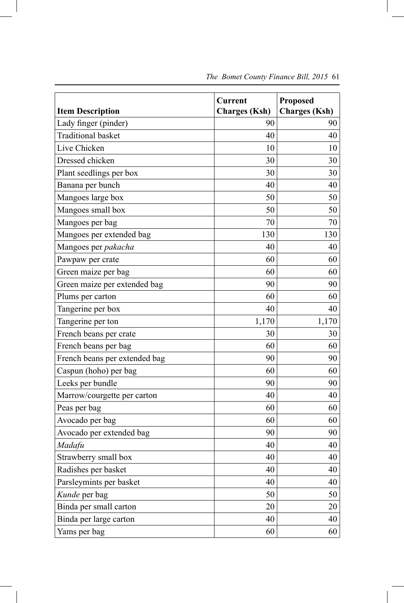| <b>Item Description</b>       | <b>Current</b><br><b>Charges</b> (Ksh) | <b>Proposed</b><br><b>Charges</b> (Ksh) |
|-------------------------------|----------------------------------------|-----------------------------------------|
| Lady finger (pinder)          | 90                                     | 90                                      |
| <b>Traditional basket</b>     | 40                                     | 40                                      |
| Live Chicken                  | 10                                     | 10                                      |
| Dressed chicken               | 30                                     | 30                                      |
| Plant seedlings per box       | 30                                     | 30                                      |
| Banana per bunch              | 40                                     | 40                                      |
| Mangoes large box             | 50                                     | 50                                      |
| Mangoes small box             | 50                                     | 50                                      |
| Mangoes per bag               | 70                                     | 70                                      |
| Mangoes per extended bag      | 130                                    | 130                                     |
| Mangoes per pakacha           | 40                                     | 40                                      |
| Pawpaw per crate              | 60                                     | 60                                      |
| Green maize per bag           | 60                                     | 60                                      |
| Green maize per extended bag  | 90                                     | 90                                      |
| Plums per carton              | 60                                     | 60                                      |
| Tangerine per box             | 40                                     | 40                                      |
| Tangerine per ton             | 1,170                                  | 1,170                                   |
| French beans per crate        | 30                                     | 30                                      |
| French beans per bag          | 60                                     | 60                                      |
| French beans per extended bag | 90                                     | 90                                      |
| Caspun (hoho) per bag         | 60                                     | 60                                      |
| Leeks per bundle              | 90                                     | 90                                      |
| Marrow/courgette per carton   | 40                                     | 40                                      |
| Peas per bag                  | 60                                     | 60                                      |
| Avocado per bag               | 60                                     | 60                                      |
| Avocado per extended bag      | 90                                     | 90                                      |
| Madafu                        | 40                                     | 40                                      |
| Strawberry small box          | 40                                     | 40                                      |
| Radishes per basket           | 40                                     | 40                                      |
| Parsleymints per basket       | 40                                     | 40                                      |
| Kunde per bag                 | 50                                     | 50                                      |
| Binda per small carton        | 20                                     | 20                                      |
| Binda per large carton        | 40                                     | 40                                      |
| Yams per bag                  | 60                                     | 60                                      |

I

 *The Bomet County Finance Bill, 2015* 61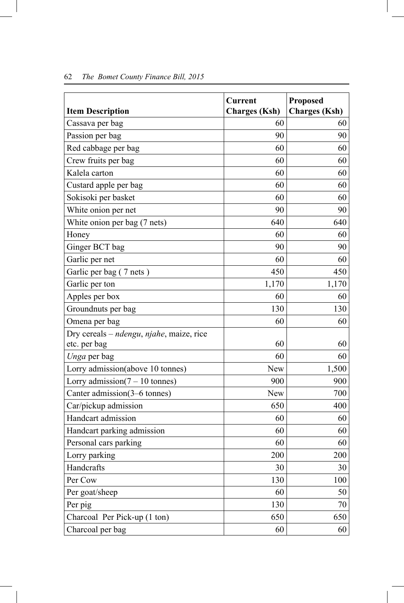| <b>Item Description</b>                                               | <b>Current</b><br><b>Charges</b> (Ksh) | <b>Proposed</b><br><b>Charges</b> (Ksh) |
|-----------------------------------------------------------------------|----------------------------------------|-----------------------------------------|
| Cassava per bag                                                       | 60                                     | 60                                      |
| Passion per bag                                                       | 90                                     | 90                                      |
| Red cabbage per bag                                                   | 60                                     | 60                                      |
| Crew fruits per bag                                                   | 60                                     | 60                                      |
| Kalela carton                                                         | 60                                     | 60                                      |
| Custard apple per bag                                                 | 60                                     | 60                                      |
| Sokisoki per basket                                                   | 60                                     | 60                                      |
| White onion per net                                                   | 90                                     | 90                                      |
| White onion per bag (7 nets)                                          | 640                                    | 640                                     |
| Honey                                                                 | 60                                     | 60                                      |
| Ginger BCT bag                                                        | 90                                     | 90                                      |
| Garlic per net                                                        | 60                                     | 60                                      |
| Garlic per bag (7 nets)                                               | 450                                    | 450                                     |
| Garlic per ton                                                        | 1,170                                  | 1,170                                   |
| Apples per box                                                        | 60                                     | 60                                      |
| Groundnuts per bag                                                    | 130                                    | 130                                     |
| Omena per bag                                                         | 60                                     | 60                                      |
| Dry cereals - ndengu, njahe, maize, rice                              | 60                                     | 60                                      |
| etc. per bag                                                          | 60                                     | 60                                      |
| Unga per bag                                                          | New                                    | 1,500                                   |
| Lorry admission(above 10 tonnes)<br>Lorry admission( $7 - 10$ tonnes) | 900                                    | 900                                     |
| Canter admission(3–6 tonnes)                                          | New                                    | 700                                     |
| Car/pickup admission                                                  | 650                                    | 400                                     |
| Handcart admission                                                    | 60                                     | 60                                      |
| Handcart parking admission                                            | 60                                     | 60                                      |
| Personal cars parking                                                 | 60                                     | 60                                      |
| Lorry parking                                                         | 200                                    | 200                                     |
| Handcrafts                                                            | 30                                     | 30                                      |
| Per Cow                                                               | 130                                    | 100                                     |
| Per goat/sheep                                                        | 60                                     | 50                                      |
| Per pig                                                               | 130                                    | 70                                      |
| Charcoal Per Pick-up (1 ton)                                          | 650                                    | 650                                     |
| Charcoal per bag                                                      | 60                                     | 60                                      |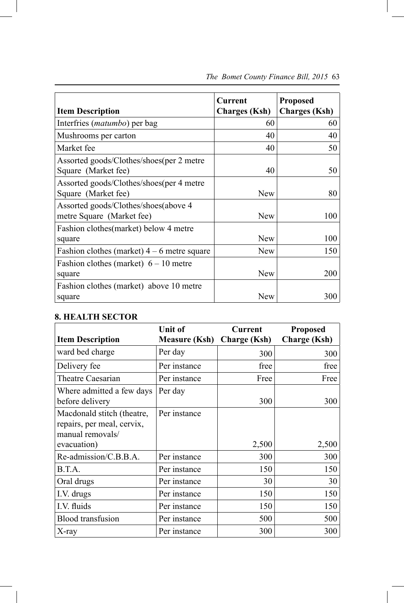| <b>Item Description</b>                                           | Current<br><b>Charges</b> (Ksh) | <b>Proposed</b><br><b>Charges</b> (Ksh) |
|-------------------------------------------------------------------|---------------------------------|-----------------------------------------|
| Interfries <i>(matumbo)</i> per bag                               | 60                              | 60                                      |
| Mushrooms per carton                                              | 40                              | 40                                      |
| Market fee                                                        | 40                              | 50                                      |
| Assorted goods/Clothes/shoes(per 2 metre<br>Square (Market fee)   | 40                              | 50                                      |
| Assorted goods/Clothes/shoes(per 4 metre<br>Square (Market fee)   | <b>New</b>                      | 80                                      |
| Assorted goods/Clothes/shoes(above 4<br>metre Square (Market fee) | <b>New</b>                      | 100                                     |
| Fashion clothes (market) below 4 metre<br>square                  | <b>New</b>                      | 100                                     |
| Fashion clothes (market) $4 - 6$ metre square                     | <b>New</b>                      | 150                                     |
| Fashion clothes (market) $6 - 10$ metre<br>square                 | <b>New</b>                      | 200                                     |
| Fashion clothes (market) above 10 metre<br>square                 | <b>New</b>                      | 300                                     |

### **8. HEALTH SECTOR**

 $\overline{\phantom{a}}$ 

|                                                                              | <b>Unit of</b>       | <b>Current</b>      | <b>Proposed</b>     |
|------------------------------------------------------------------------------|----------------------|---------------------|---------------------|
| <b>Item Description</b>                                                      | <b>Measure (Ksh)</b> | <b>Charge (Ksh)</b> | <b>Charge</b> (Ksh) |
| ward bed charge                                                              | Per day              | 300                 | 300                 |
| Delivery fee                                                                 | Per instance         | free                | free                |
| <b>Theatre Caesarian</b>                                                     | Per instance         | Free                | Free                |
| Where admitted a few days<br>before delivery                                 | Per day              | 300                 | 300                 |
| Macdonald stitch (theatre,<br>repairs, per meal, cervix,<br>manual removals/ | Per instance         |                     |                     |
| evacuation)                                                                  |                      | 2,500               | 2,500               |
| Re-admission/C.B.B.A.                                                        | Per instance         | 300                 | 300                 |
| B.T.A.                                                                       | Per instance         | 150                 | 150                 |
| Oral drugs                                                                   | Per instance         | 30                  | 30                  |
| I.V. drugs                                                                   | Per instance         | 150                 | 150                 |
| I.V. fluids                                                                  | Per instance         | 150                 | 150                 |
| <b>Blood</b> transfusion                                                     | Per instance         | 500                 | 500                 |
| X-ray                                                                        | Per instance         | 300                 | 300                 |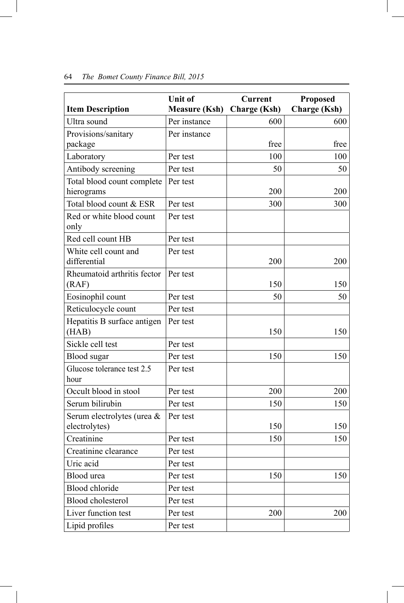| <b>Item Description</b>                     | <b>Unit of</b><br><b>Measure (Ksh)</b> | <b>Current</b><br><b>Charge (Ksh)</b> | <b>Proposed</b><br><b>Charge (Ksh)</b> |
|---------------------------------------------|----------------------------------------|---------------------------------------|----------------------------------------|
| Ultra sound                                 | Per instance                           | 600                                   | 600                                    |
| Provisions/sanitary                         | Per instance                           |                                       |                                        |
| package                                     |                                        | free                                  | free                                   |
| Laboratory                                  | Per test                               | 100                                   | 100                                    |
| Antibody screening                          | Per test                               | 50                                    | 50                                     |
| Total blood count complete<br>hierograms    | Per test                               | 200                                   | 200                                    |
| Total blood count & ESR                     | Per test                               | 300                                   | 300                                    |
| Red or white blood count<br>only            | Per test                               |                                       |                                        |
| Red cell count HB                           | Per test                               |                                       |                                        |
| White cell count and<br>differential        | Per test                               | 200                                   | 200                                    |
| Rheumatoid arthritis fector<br>(RAF)        | Per test                               | 150                                   | 150                                    |
| Eosinophil count                            | Per test                               | 50                                    | 50                                     |
| Reticulocycle count                         | Per test                               |                                       |                                        |
| Hepatitis B surface antigen<br>(HAB)        | Per test                               | 150                                   | 150                                    |
| Sickle cell test                            | Per test                               |                                       |                                        |
| <b>Blood</b> sugar                          | Per test                               | 150                                   | 150                                    |
| Glucose tolerance test 2.5<br>hour          | Per test                               |                                       |                                        |
| Occult blood in stool                       | Per test                               | 200                                   | 200                                    |
| Serum bilirubin                             | Per test                               | 150                                   | 150                                    |
| Serum electrolytes (urea &<br>electrolytes) | Per test                               | 150                                   | 150                                    |
| Creatinine                                  | Per test                               | 150                                   | 150                                    |
| Creatinine clearance                        | Per test                               |                                       |                                        |
| Uric acid                                   | Per test                               |                                       |                                        |
| Blood urea                                  | Per test                               | 150                                   | 150                                    |
| Blood chloride                              | Per test                               |                                       |                                        |
| <b>Blood</b> cholesterol                    | Per test                               |                                       |                                        |
| Liver function test                         | Per test                               | 200                                   | 200                                    |
| Lipid profiles                              | Per test                               |                                       |                                        |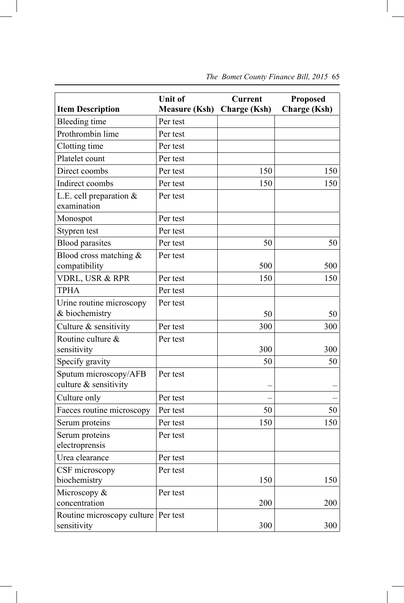|                                                | <b>Unit of</b>       | <b>Current</b>      | <b>Proposed</b>     |
|------------------------------------------------|----------------------|---------------------|---------------------|
| <b>Item Description</b>                        | <b>Measure (Ksh)</b> | <b>Charge (Ksh)</b> | <b>Charge (Ksh)</b> |
| <b>Bleeding time</b>                           | Per test             |                     |                     |
| Prothrombin lime                               | Per test             |                     |                     |
| Clotting time                                  | Per test             |                     |                     |
| Platelet count                                 | Per test             |                     |                     |
| Direct coombs                                  | Per test             | 150                 | 150                 |
| Indirect coombs                                | Per test             | 150                 | 150                 |
| L.E. cell preparation $&$<br>examination       | Per test             |                     |                     |
| Monospot                                       | Per test             |                     |                     |
| Stypren test                                   | Per test             |                     |                     |
| <b>Blood parasites</b>                         | Per test             | 50                  | 50                  |
| Blood cross matching $\&$<br>compatibility     | Per test             | 500                 | 500                 |
| VDRL, USR & RPR                                | Per test             | 150                 | 150                 |
| <b>TPHA</b>                                    | Per test             |                     |                     |
| Urine routine microscopy<br>& biochemistry     | Per test             | 50                  | 50                  |
| Culture & sensitivity                          | Per test             | 300                 | 300                 |
| Routine culture &<br>sensitivity               | Per test             | 300                 | 300                 |
| Specify gravity                                |                      | 50                  | 50                  |
| Sputum microscopy/AFB<br>culture & sensitivity | Per test             |                     |                     |
| Culture only                                   | Per test             |                     |                     |
| Faeces routine microscopy                      | Per test             | 50                  | 50                  |
| Serum proteins                                 | Per test             | 150                 | 150                 |
| Serum proteins<br>electroprensis               | Per test             |                     |                     |
| Urea clearance                                 | Per test             |                     |                     |
| CSF microscopy<br>biochemistry                 | Per test             | 150                 | 150                 |
| Microscopy &<br>concentration                  | Per test             | 200                 | 200                 |
| Routine microscopy culture<br>sensitivity      | Per test             | 300                 | 300                 |

 $\overline{\phantom{a}}$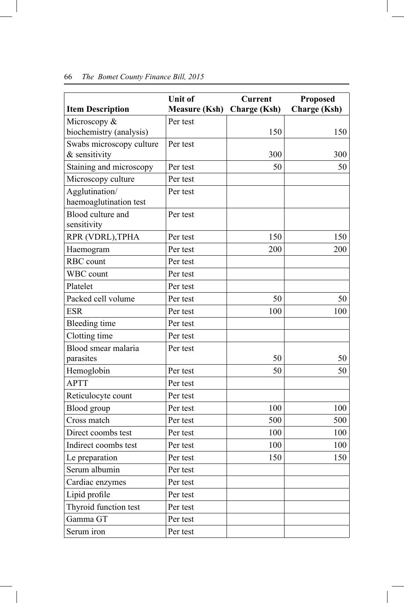|                                          | <b>Unit of</b>       | <b>Current</b>      | <b>Proposed</b>     |
|------------------------------------------|----------------------|---------------------|---------------------|
| <b>Item Description</b>                  | <b>Measure (Ksh)</b> | <b>Charge (Ksh)</b> | <b>Charge (Ksh)</b> |
| Microscopy &<br>biochemistry (analysis)  | Per test             | 150                 | 150                 |
| Swabs microscopy culture                 | Per test             |                     |                     |
| $&$ sensitivity                          |                      | 300                 | 300                 |
| Staining and microscopy                  | Per test             | 50                  | 50                  |
| Microscopy culture                       | Per test             |                     |                     |
| Agglutination/<br>haemoaglutination test | Per test             |                     |                     |
| Blood culture and<br>sensitivity         | Per test             |                     |                     |
| RPR (VDRL), TPHA                         | Per test             | 150                 | 150                 |
| Haemogram                                | Per test             | 200                 | 200                 |
| RBC count                                | Per test             |                     |                     |
| WBC count                                | Per test             |                     |                     |
| Platelet                                 | Per test             |                     |                     |
| Packed cell volume                       | Per test             | 50                  | 50                  |
| <b>ESR</b>                               | Per test             | 100                 | 100                 |
| <b>Bleeding time</b>                     | Per test             |                     |                     |
| Clotting time                            | Per test             |                     |                     |
| Blood smear malaria                      | Per test             |                     |                     |
| parasites                                |                      | 50                  | 50                  |
| Hemoglobin                               | Per test             | 50                  | 50                  |
| <b>APTT</b>                              | Per test             |                     |                     |
| Reticulocyte count                       | Per test             |                     |                     |
| Blood group                              | Per test             | 100                 | 100                 |
| Cross match                              | Per test             | 500                 | 500                 |
| Direct coombs test                       | Per test             | 100                 | 100                 |
| Indirect coombs test                     | Per test             | 100                 | 100                 |
| Le preparation                           | Per test             | 150                 | 150                 |
| Serum albumin                            | Per test             |                     |                     |
| Cardiac enzymes                          | Per test             |                     |                     |
| Lipid profile                            | Per test             |                     |                     |
| Thyroid function test                    | Per test             |                     |                     |
| Gamma GT                                 | Per test             |                     |                     |
| Serum iron                               | Per test             |                     |                     |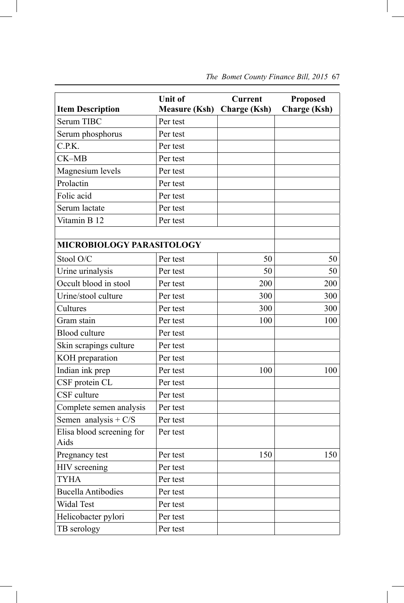|                                   | <b>Unit of</b>       | <b>Current</b>      | <b>Proposed</b>     |
|-----------------------------------|----------------------|---------------------|---------------------|
| <b>Item Description</b>           | <b>Measure (Ksh)</b> | <b>Charge (Ksh)</b> | <b>Charge</b> (Ksh) |
| <b>Serum TIBC</b>                 | Per test             |                     |                     |
| Serum phosphorus                  | Per test             |                     |                     |
| C.P.K.                            | Per test             |                     |                     |
| CK-MB                             | Per test             |                     |                     |
| Magnesium levels                  | Per test             |                     |                     |
| Prolactin                         | Per test             |                     |                     |
| Folic acid                        | Per test             |                     |                     |
| Serum lactate                     | Per test             |                     |                     |
| Vitamin B 12                      | Per test             |                     |                     |
|                                   |                      |                     |                     |
| <b>MICROBIOLOGY PARASITOLOGY</b>  |                      |                     |                     |
| Stool O/C                         | Per test             | 50                  | 50                  |
| Urine urinalysis                  | Per test             | 50                  | 50                  |
| Occult blood in stool             | Per test             | 200                 | 200                 |
| Urine/stool culture               | Per test             | 300                 | 300                 |
| Cultures                          | Per test             | 300                 | 300                 |
| Gram stain                        | Per test             | 100                 | 100                 |
| <b>Blood</b> culture              | Per test             |                     |                     |
| Skin scrapings culture            | Per test             |                     |                     |
| KOH preparation                   | Per test             |                     |                     |
| Indian ink prep                   | Per test             | 100                 | 100                 |
| CSF protein CL                    | Per test             |                     |                     |
| CSF culture                       | Per test             |                     |                     |
| Complete semen analysis           | Per test             |                     |                     |
| Semen analysis + $C/S$            | Per test             |                     |                     |
| Elisa blood screening for<br>Aids | Per test             |                     |                     |
| Pregnancy test                    | Per test             | 150                 | 150                 |
| HIV screening                     | Per test             |                     |                     |
| <b>TYHA</b>                       | Per test             |                     |                     |
| <b>Bucella Antibodies</b>         | Per test             |                     |                     |
| Widal Test                        | Per test             |                     |                     |
| Helicobacter pylori               | Per test             |                     |                     |
| TB serology                       | Per test             |                     |                     |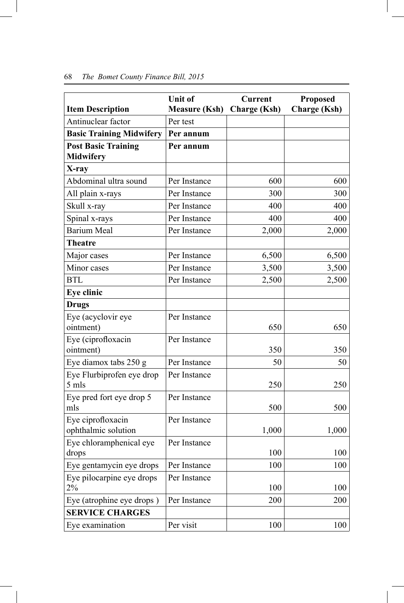|                                                | Unit of              | <b>Current</b>      | <b>Proposed</b>     |
|------------------------------------------------|----------------------|---------------------|---------------------|
| <b>Item Description</b>                        | <b>Measure (Ksh)</b> | <b>Charge (Ksh)</b> | <b>Charge (Ksh)</b> |
| Antinuclear factor                             | Per test             |                     |                     |
| <b>Basic Training Midwifery</b>                | Per annum            |                     |                     |
| <b>Post Basic Training</b><br><b>Midwifery</b> | Per annum            |                     |                     |
| X-ray                                          |                      |                     |                     |
| Abdominal ultra sound                          | Per Instance         | 600                 | 600                 |
| All plain x-rays                               | Per Instance         | 300                 | 300                 |
| Skull x-ray                                    | Per Instance         | 400                 | 400                 |
| Spinal x-rays                                  | Per Instance         | 400                 | 400                 |
| <b>Barium Meal</b>                             | Per Instance         | 2,000               | 2,000               |
| <b>Theatre</b>                                 |                      |                     |                     |
| Major cases                                    | Per Instance         | 6,500               | 6,500               |
| Minor cases                                    | Per Instance         | 3,500               | 3,500               |
| <b>BTL</b>                                     | Per Instance         | 2,500               | 2,500               |
| Eye clinic                                     |                      |                     |                     |
| <b>Drugs</b>                                   |                      |                     |                     |
| Eye (acyclovir eye<br>ointment)                | Per Instance         | 650                 | 650                 |
| Eye (ciprofloxacin<br>ointment)                | Per Instance         | 350                 | 350                 |
| Eye diamox tabs 250 g                          | Per Instance         | 50                  | 50                  |
| Eye Flurbiprofen eye drop<br>5 mls             | Per Instance         | 250                 | 250                 |
| Eye pred fort eye drop 5<br>mls                | Per Instance         | 500                 | 500                 |
| Eye ciprofloxacin<br>ophthalmic solution       | Per Instance         | 1,000               | 1,000               |
| Eye chloramphenical eye<br>drops               | Per Instance         | 100                 | 100                 |
| Eye gentamycin eye drops                       | Per Instance         | 100                 | 100                 |
| Eye pilocarpine eye drops<br>2%                | Per Instance         | 100                 | 100                 |
| Eye (atrophine eye drops)                      | Per Instance         | 200                 | 200                 |
| <b>SERVICE CHARGES</b>                         |                      |                     |                     |
| Eye examination                                | Per visit            | 100                 | 100                 |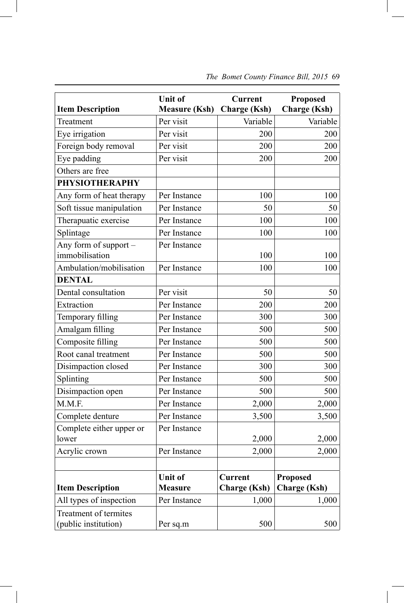|                                                      | <b>Unit of</b>                   | <b>Current</b>                        | <b>Proposed</b>                        |
|------------------------------------------------------|----------------------------------|---------------------------------------|----------------------------------------|
| <b>Item Description</b>                              | <b>Measure (Ksh)</b>             | <b>Charge (Ksh)</b>                   | <b>Charge (Ksh)</b>                    |
| Treatment                                            | Per visit                        | Variable                              | Variable                               |
| Eye irrigation                                       | Per visit                        | 200                                   | 200                                    |
| Foreign body removal                                 | Per visit                        | 200                                   | 200                                    |
| Eye padding                                          | Per visit                        | 200                                   | 200                                    |
| Others are free                                      |                                  |                                       |                                        |
| <b>PHYSIOTHERAPHY</b>                                |                                  |                                       |                                        |
| Any form of heat therapy                             | Per Instance                     | 100                                   | 100                                    |
| Soft tissue manipulation                             | Per Instance                     | 50                                    | 50                                     |
| Therapuatic exercise                                 | Per Instance                     | 100                                   | 100                                    |
| Splintage                                            | Per Instance                     | 100                                   | 100                                    |
| Any form of support -<br>immobilisation              | Per Instance                     | 100                                   | 100                                    |
| Ambulation/mobilisation                              | Per Instance                     | 100                                   | 100                                    |
| <b>DENTAL</b>                                        |                                  |                                       |                                        |
| Dental consultation                                  | Per visit                        | 50                                    | 50                                     |
| Extraction                                           | Per Instance                     | 200                                   | 200                                    |
| Temporary filling                                    | Per Instance                     | 300                                   | 300                                    |
| Amalgam filling                                      | Per Instance                     | 500                                   | 500                                    |
| Composite filling                                    | Per Instance                     | 500                                   | 500                                    |
| Root canal treatment                                 | Per Instance                     | 500                                   | 500                                    |
| Disimpaction closed                                  | Per Instance                     | 300                                   | 300                                    |
| Splinting                                            | Per Instance                     | 500                                   | 500                                    |
| Disimpaction open                                    | Per Instance                     | 500                                   | 500                                    |
| M.M.F.                                               | Per Instance                     | 2,000                                 | 2,000                                  |
| Complete denture                                     | Per Instance                     | 3,500                                 | 3,500                                  |
| Complete either upper or                             | Per Instance                     |                                       |                                        |
| lower                                                |                                  | 2,000                                 | 2,000                                  |
| Acrylic crown                                        | Per Instance                     | 2,000                                 | 2,000                                  |
|                                                      |                                  |                                       |                                        |
| <b>Item Description</b>                              | <b>Unit of</b><br><b>Measure</b> | <b>Current</b><br><b>Charge</b> (Ksh) | <b>Proposed</b><br><b>Charge (Ksh)</b> |
| All types of inspection                              | Per Instance                     | 1,000                                 | 1,000                                  |
| <b>Treatment of termites</b><br>(public institution) | Per sq.m                         | 500                                   | 500                                    |

 $\overline{\phantom{a}}$ 

 *The Bomet County Finance Bill, 2015* 69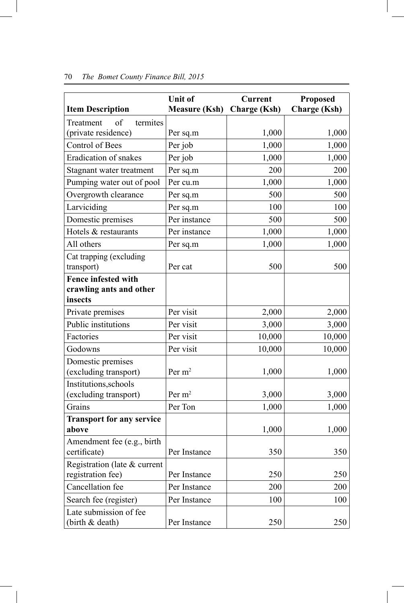| <b>Item Description</b>                           | <b>Unit of</b><br><b>Measure (Ksh)</b> | <b>Current</b><br><b>Charge (Ksh)</b> | <b>Proposed</b><br><b>Charge (Ksh)</b> |
|---------------------------------------------------|----------------------------------------|---------------------------------------|----------------------------------------|
| termites<br>of<br>Treatment                       |                                        |                                       |                                        |
| (private residence)                               | Per sq.m                               | 1,000                                 | 1,000                                  |
| <b>Control of Bees</b>                            | Per job                                | 1,000                                 | 1,000                                  |
| <b>Eradication of snakes</b>                      | Per job                                | 1,000                                 | 1,000                                  |
| Stagnant water treatment                          | Per sq.m                               | 200                                   | 200                                    |
| Pumping water out of pool                         | Per cu.m                               | 1,000                                 | 1,000                                  |
| Overgrowth clearance                              | Per sq.m                               | 500                                   | 500                                    |
| Larviciding                                       | Per sq.m                               | 100                                   | 100                                    |
| Domestic premises                                 | Per instance                           | 500                                   | 500                                    |
| Hotels & restaurants                              | Per instance                           | 1,000                                 | 1,000                                  |
| All others                                        | Per sq.m                               | 1,000                                 | 1,000                                  |
| Cat trapping (excluding<br>transport)             | Per cat                                | 500                                   | 500                                    |
| <b>Fence infested with</b>                        |                                        |                                       |                                        |
| crawling ants and other                           |                                        |                                       |                                        |
| insects                                           |                                        |                                       |                                        |
| Private premises                                  | Per visit                              | 2,000                                 | 2,000                                  |
| Public institutions                               | Per visit                              | 3,000                                 | 3,000                                  |
| Factories                                         | Per visit                              | 10,000                                | 10,000                                 |
| Godowns                                           | Per visit                              | 10,000                                | 10,000                                 |
| Domestic premises<br>(excluding transport)        | Per $m2$                               | 1,000                                 | 1,000                                  |
| Institutions, schools<br>(excluding transport)    | Per $m2$                               | 3,000                                 | 3,000                                  |
| Grains                                            | Per Ton                                | 1,000                                 | 1,000                                  |
| <b>Transport for any service</b>                  |                                        |                                       |                                        |
| above                                             |                                        | 1,000                                 | 1,000                                  |
| Amendment fee (e.g., birth<br>certificate)        | Per Instance                           | 350                                   | 350                                    |
| Registration (late & current<br>registration fee) | Per Instance                           | 250                                   | 250                                    |
| Cancellation fee                                  | Per Instance                           | 200                                   | 200                                    |
| Search fee (register)                             | Per Instance                           | 100                                   | 100                                    |
| Late submission of fee<br>(birth & death)         | Per Instance                           | 250                                   | 250                                    |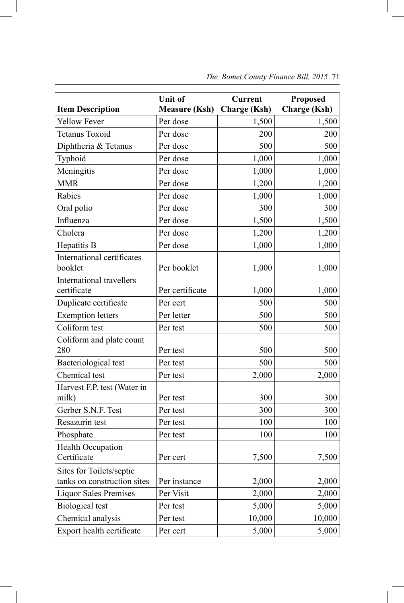|                                                         | <b>Unit of</b>       | <b>Current</b>      | <b>Proposed</b>     |
|---------------------------------------------------------|----------------------|---------------------|---------------------|
| <b>Item Description</b>                                 | <b>Measure (Ksh)</b> | <b>Charge (Ksh)</b> | <b>Charge (Ksh)</b> |
| <b>Yellow Fever</b>                                     | Per dose             | 1,500               | 1,500               |
| <b>Tetanus Toxoid</b>                                   | Per dose             | 200                 | 200                 |
| Diphtheria & Tetanus                                    | Per dose             | 500                 | 500                 |
| Typhoid                                                 | Per dose             | 1,000               | 1,000               |
| Meningitis                                              | Per dose             | 1,000               | 1,000               |
| <b>MMR</b>                                              | Per dose             | 1,200               | 1,200               |
| Rabies                                                  | Per dose             | 1,000               | 1,000               |
| Oral polio                                              | Per dose             | 300                 | 300                 |
| Influenza                                               | Per dose             | 1,500               | 1,500               |
| Cholera                                                 | Per dose             | 1,200               | 1,200               |
| Hepatitis B                                             | Per dose             | 1,000               | 1,000               |
| International certificates<br>booklet                   | Per booklet          | 1,000               | 1,000               |
| <b>International travellers</b>                         |                      |                     |                     |
| certificate                                             | Per certificate      | 1,000               | 1,000               |
| Duplicate certificate                                   | Per cert             | 500                 | 500                 |
| <b>Exemption letters</b>                                | Per letter           | 500                 | 500                 |
| Coliform test                                           | Per test             | 500                 | 500                 |
| Coliform and plate count                                |                      |                     |                     |
| 280                                                     | Per test             | 500                 | 500                 |
| <b>Bacteriological test</b>                             | Per test             | 500                 | 500                 |
| Chemical test                                           | Per test             | 2,000               | 2,000               |
| Harvest F.P. test (Water in<br>milk)                    | Per test             | 300                 | 300                 |
| Gerber S.N.F. Test                                      | Per test             | 300                 | 300                 |
| Resazurin test                                          | Per test             | 100                 | 100                 |
| Phosphate                                               | Per test             | 100                 | 100                 |
| <b>Health Occupation</b>                                |                      |                     |                     |
| Certificate                                             | Per cert             | 7,500               | 7,500               |
| Sites for Toilets/septic<br>tanks on construction sites | Per instance         | 2,000               | 2,000               |
| <b>Liquor Sales Premises</b>                            | Per Visit            | 2,000               | 2,000               |
| <b>Biological</b> test                                  | Per test             | 5,000               | 5,000               |
| Chemical analysis                                       | Per test             | 10,000              | 10,000              |
| Export health certificate                               | Per cert             | 5,000               | 5,000               |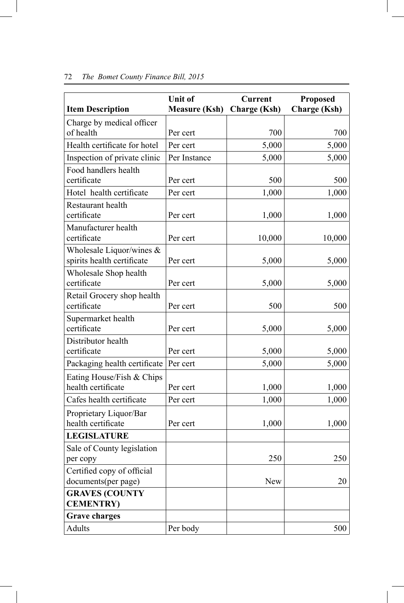| <b>Item Description</b>                                  | <b>Unit of</b><br><b>Measure (Ksh)</b> | <b>Current</b><br><b>Charge (Ksh)</b> | <b>Proposed</b><br><b>Charge (Ksh)</b> |
|----------------------------------------------------------|----------------------------------------|---------------------------------------|----------------------------------------|
| Charge by medical officer                                |                                        |                                       |                                        |
| of health                                                | Per cert                               | 700                                   | 700                                    |
| Health certificate for hotel                             | Per cert                               | 5,000                                 | 5,000                                  |
| Inspection of private clinic                             | Per Instance                           | 5,000                                 | 5,000                                  |
| Food handlers health<br>certificate                      | Per cert                               | 500                                   | 500                                    |
| Hotel health certificate                                 | Per cert                               | 1,000                                 | 1,000                                  |
| <b>Restaurant</b> health<br>certificate                  | Per cert                               | 1,000                                 | 1,000                                  |
| Manufacturer health<br>certificate                       | Per cert                               | 10,000                                | 10,000                                 |
| Wholesale Liquor/wines $&$<br>spirits health certificate | Per cert                               | 5,000                                 | 5,000                                  |
| Wholesale Shop health<br>certificate                     | Per cert                               | 5,000                                 | 5,000                                  |
| Retail Grocery shop health<br>certificate                | Per cert                               | 500                                   | 500                                    |
| Supermarket health<br>certificate                        | Per cert                               | 5,000                                 | 5,000                                  |
| Distributor health<br>certificate                        | Per cert                               | 5,000                                 | 5,000                                  |
| Packaging health certificate                             | Per cert                               | 5,000                                 | 5,000                                  |
| Eating House/Fish & Chips<br>health certificate          | Per cert                               | 1,000                                 | 1,000                                  |
| Cafes health certificate                                 | Per cert                               | 1,000                                 | 1,000                                  |
| Proprietary Liquor/Bar<br>health certificate             | Per cert                               | 1,000                                 | 1,000                                  |
| <b>LEGISLATURE</b>                                       |                                        |                                       |                                        |
| Sale of County legislation<br>per copy                   |                                        | 250                                   | 250                                    |
| Certified copy of official<br>documents(per page)        |                                        | New                                   | 20                                     |
| <b>GRAVES (COUNTY</b><br><b>CEMENTRY)</b>                |                                        |                                       |                                        |
| <b>Grave charges</b>                                     |                                        |                                       |                                        |
| Adults                                                   | Per body                               |                                       | 500                                    |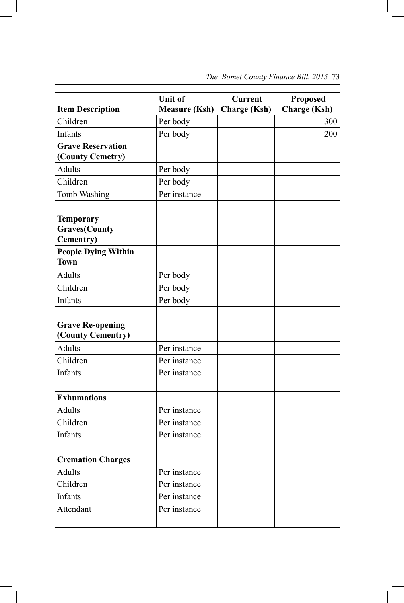|                                                               | <b>Unit of</b>       | <b>Current</b>      | <b>Proposed</b>     |
|---------------------------------------------------------------|----------------------|---------------------|---------------------|
| <b>Item Description</b>                                       | <b>Measure (Ksh)</b> | <b>Charge (Ksh)</b> | <b>Charge (Ksh)</b> |
| Children                                                      | Per body             |                     | 300                 |
| Infants                                                       | Per body             |                     | 200                 |
| <b>Grave Reservation</b><br>(County Cemetry)                  |                      |                     |                     |
| Adults                                                        | Per body             |                     |                     |
| Children                                                      | Per body             |                     |                     |
| Tomb Washing                                                  | Per instance         |                     |                     |
| <b>Temporary</b><br><b>Graves(County</b><br><b>Cementry</b> ) |                      |                     |                     |
| <b>People Dying Within</b><br><b>Town</b>                     |                      |                     |                     |
| <b>Adults</b>                                                 | Per body             |                     |                     |
| Children                                                      | Per body             |                     |                     |
| <b>Infants</b>                                                | Per body             |                     |                     |
| <b>Grave Re-opening</b><br>(County Cementry)                  |                      |                     |                     |
| <b>Adults</b>                                                 | Per instance         |                     |                     |
| Children                                                      | Per instance         |                     |                     |
| Infants                                                       | Per instance         |                     |                     |
| <b>Exhumations</b>                                            |                      |                     |                     |
| <b>Adults</b>                                                 | Per instance         |                     |                     |
| Children                                                      | Per instance         |                     |                     |
| Infants                                                       | Per instance         |                     |                     |
| <b>Cremation Charges</b>                                      |                      |                     |                     |
| Adults                                                        | Per instance         |                     |                     |
| Children                                                      | Per instance         |                     |                     |
| Infants                                                       | Per instance         |                     |                     |
| Attendant                                                     | Per instance         |                     |                     |
|                                                               |                      |                     |                     |

 $\overline{\phantom{a}}$ 

# *The Bomet County Finance Bill, 2015* 73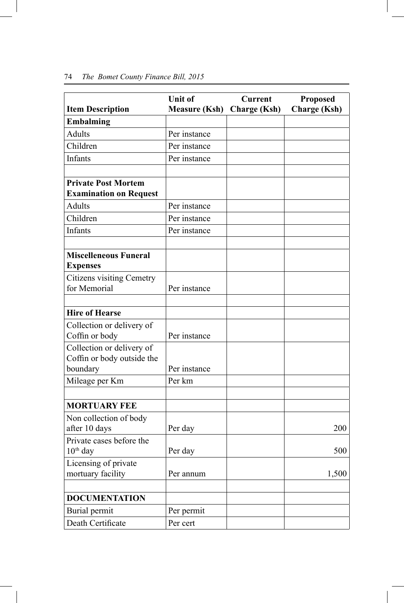| <b>Item Description</b>                                             | <b>Unit of</b><br><b>Measure (Ksh)</b> | <b>Current</b><br><b>Charge (Ksh)</b> | <b>Proposed</b><br><b>Charge (Ksh)</b> |
|---------------------------------------------------------------------|----------------------------------------|---------------------------------------|----------------------------------------|
| <b>Embalming</b>                                                    |                                        |                                       |                                        |
| <b>Adults</b>                                                       | Per instance                           |                                       |                                        |
| Children                                                            | Per instance                           |                                       |                                        |
| Infants                                                             | Per instance                           |                                       |                                        |
|                                                                     |                                        |                                       |                                        |
| <b>Private Post Mortem</b><br><b>Examination on Request</b>         |                                        |                                       |                                        |
| <b>Adults</b>                                                       | Per instance                           |                                       |                                        |
| Children                                                            | Per instance                           |                                       |                                        |
| Infants                                                             | Per instance                           |                                       |                                        |
| <b>Miscelleneous Funeral</b><br><b>Expenses</b>                     |                                        |                                       |                                        |
| <b>Citizens visiting Cemetry</b>                                    |                                        |                                       |                                        |
| for Memorial                                                        | Per instance                           |                                       |                                        |
| <b>Hire of Hearse</b>                                               |                                        |                                       |                                        |
| Collection or delivery of                                           |                                        |                                       |                                        |
| Coffin or body                                                      | Per instance                           |                                       |                                        |
| Collection or delivery of<br>Coffin or body outside the<br>boundary | Per instance                           |                                       |                                        |
| Mileage per Km                                                      | Per km                                 |                                       |                                        |
|                                                                     |                                        |                                       |                                        |
| <b>MORTUARY FEE</b>                                                 |                                        |                                       |                                        |
| Non collection of body                                              |                                        |                                       |                                        |
| after 10 days                                                       | Per day                                |                                       | 200                                    |
| Private cases before the<br>$10th$ day                              | Per day                                |                                       | 500                                    |
| Licensing of private<br>mortuary facility                           | Per annum                              |                                       | 1,500                                  |
| <b>DOCUMENTATION</b>                                                |                                        |                                       |                                        |
| Burial permit                                                       | Per permit                             |                                       |                                        |
| Death Certificate                                                   | Per cert                               |                                       |                                        |

#### 74 *The Bomet County Finance Bill, 2015*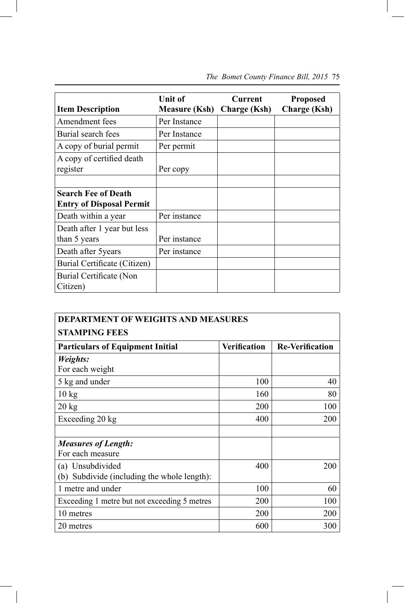| <b>Item Description</b>                                       | <b>Unit of</b><br><b>Measure (Ksh)</b> | Current<br><b>Charge</b> (Ksh) | <b>Proposed</b><br><b>Charge</b> (Ksh) |
|---------------------------------------------------------------|----------------------------------------|--------------------------------|----------------------------------------|
| Amendment fees                                                | Per Instance                           |                                |                                        |
| Burial search fees                                            | Per Instance                           |                                |                                        |
| A copy of burial permit                                       | Per permit                             |                                |                                        |
| A copy of certified death<br>register                         | Per copy                               |                                |                                        |
| <b>Search Fee of Death</b><br><b>Entry of Disposal Permit</b> |                                        |                                |                                        |
| Death within a year                                           | Per instance                           |                                |                                        |
| Death after 1 year but less<br>than 5 years                   | Per instance                           |                                |                                        |
| Death after 5 years                                           | Per instance                           |                                |                                        |
| Burial Certificate (Citizen)                                  |                                        |                                |                                        |
| Burial Certificate (Non<br>Citizen)                           |                                        |                                |                                        |

# *The Bomet County Finance Bill, 2015* 75

| <b>DEPARTMENT OF WEIGHTS AND MEASURES</b>    |                     |                        |  |
|----------------------------------------------|---------------------|------------------------|--|
| <b>STAMPING FEES</b>                         |                     |                        |  |
| <b>Particulars of Equipment Initial</b>      | <b>Verification</b> | <b>Re-Verification</b> |  |
| Weights:                                     |                     |                        |  |
| For each weight                              |                     |                        |  |
| 5 kg and under                               | 100                 | 40                     |  |
| $10 \text{ kg}$                              | 160                 | 80                     |  |
| $20 \text{ kg}$                              | <b>200</b>          | 100                    |  |
| Exceeding 20 kg                              | 400                 | 200                    |  |
|                                              |                     |                        |  |
| <b>Measures of Length:</b>                   |                     |                        |  |
| For each measure                             |                     |                        |  |
| (a) Unsubdivided                             | 400                 | 200                    |  |
| (b) Subdivide (including the whole length):  |                     |                        |  |
| 1 metre and under                            | 100                 | 60                     |  |
| Exceeding 1 metre but not exceeding 5 metres | 200                 | 100                    |  |
| 10 metres                                    | 200                 | 200                    |  |
| 20 metres                                    | 600                 | 300                    |  |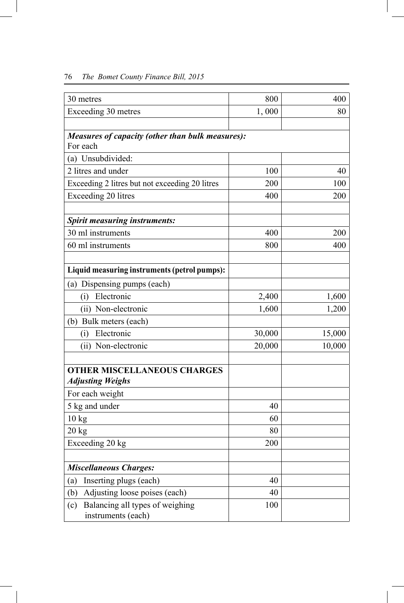| 30 metres                                                     | 800    | 400    |
|---------------------------------------------------------------|--------|--------|
| Exceeding 30 metres                                           | 1,000  | 80     |
|                                                               |        |        |
| Measures of capacity (other than bulk measures):              |        |        |
| For each                                                      |        |        |
| (a) Unsubdivided:                                             |        |        |
| 2 litres and under                                            | 100    | 40     |
| Exceeding 2 litres but not exceeding 20 litres                | 200    | 100    |
| Exceeding 20 litres                                           | 400    | 200    |
| <b>Spirit measuring instruments:</b>                          |        |        |
| 30 ml instruments                                             | 400    | 200    |
| 60 ml instruments                                             | 800    | 400    |
| Liquid measuring instruments (petrol pumps):                  |        |        |
| (a) Dispensing pumps (each)                                   |        |        |
| Electronic<br>(i)                                             | 2,400  | 1,600  |
| (ii) Non-electronic                                           | 1,600  | 1,200  |
| (b) Bulk meters (each)                                        |        |        |
| Electronic<br>(i)                                             | 30,000 | 15,000 |
| (ii) Non-electronic                                           | 20,000 | 10,000 |
| <b>OTHER MISCELLANEOUS CHARGES</b><br><b>Adjusting Weighs</b> |        |        |
| For each weight                                               |        |        |
| 5 kg and under                                                | 40     |        |
| 10 <sub>kg</sub>                                              | 60     |        |
| 20 kg                                                         | 80     |        |
| Exceeding 20 kg                                               | 200    |        |
| <b>Miscellaneous Charges:</b>                                 |        |        |
| Inserting plugs (each)<br>(a)                                 | 40     |        |
| Adjusting loose poises (each)<br>(b)                          | 40     |        |
| Balancing all types of weighing<br>(c)<br>instruments (each)  | 100    |        |

# 76 *The Bomet County Finance Bill, 2015*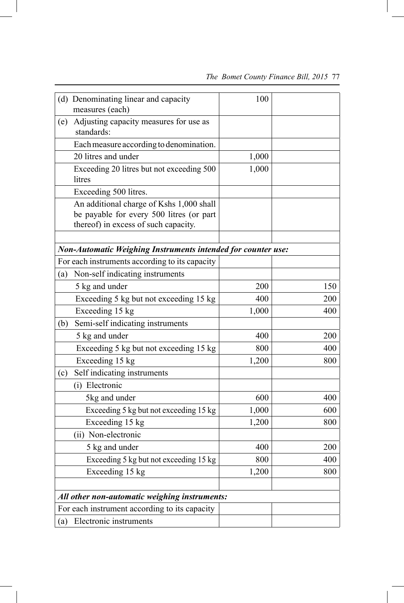|  |  |  | The Bomet County Finance Bill, 2015 77 |  |  |  |
|--|--|--|----------------------------------------|--|--|--|
|--|--|--|----------------------------------------|--|--|--|

| (d) Denominating linear and capacity<br>measures (each)                                                                      | 100   |     |
|------------------------------------------------------------------------------------------------------------------------------|-------|-----|
| Adjusting capacity measures for use as<br>(e)<br>standards:                                                                  |       |     |
| Each measure according to denomination.                                                                                      |       |     |
| 20 litres and under                                                                                                          | 1,000 |     |
| Exceeding 20 litres but not exceeding 500<br>litres                                                                          | 1,000 |     |
| Exceeding 500 litres.                                                                                                        |       |     |
| An additional charge of Kshs 1,000 shall<br>be payable for every 500 litres (or part<br>thereof) in excess of such capacity. |       |     |
| <b>Non-Automatic Weighing Instruments intended for counter use:</b>                                                          |       |     |
| For each instruments according to its capacity                                                                               |       |     |
| Non-self indicating instruments<br>(a)                                                                                       |       |     |
| 5 kg and under                                                                                                               | 200   | 150 |
| Exceeding 5 kg but not exceeding 15 kg                                                                                       | 400   | 200 |
| Exceeding 15 kg                                                                                                              | 1,000 | 400 |
| Semi-self indicating instruments<br>(b)                                                                                      |       |     |
| 5 kg and under                                                                                                               | 400   | 200 |
| Exceeding 5 kg but not exceeding 15 kg                                                                                       | 800   | 400 |
| Exceeding 15 kg                                                                                                              | 1,200 | 800 |
| Self indicating instruments<br>(c)                                                                                           |       |     |
| (i) Electronic                                                                                                               |       |     |
| 5kg and under                                                                                                                | 600   | 400 |
| Exceeding 5 kg but not exceeding 15 kg                                                                                       | 1,000 | 600 |
| Exceeding 15 kg                                                                                                              | 1,200 | 800 |
| (ii) Non-electronic                                                                                                          |       |     |
| 5 kg and under                                                                                                               | 400   | 200 |
| Exceeding 5 kg but not exceeding 15 kg                                                                                       | 800   | 400 |
| Exceeding 15 kg                                                                                                              | 1,200 | 800 |
| All other non-automatic weighing instruments:                                                                                |       |     |
| For each instrument according to its capacity                                                                                |       |     |
| Electronic instruments<br>(a)                                                                                                |       |     |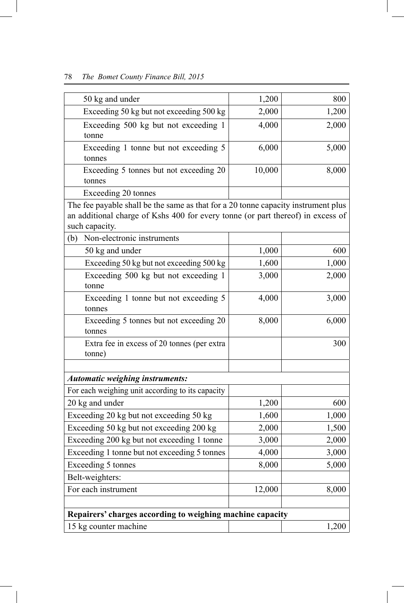# 78 *The Bomet County Finance Bill, 2015*

| 50 kg and under                                                                                                                                                                        | 1,200  | 800   |
|----------------------------------------------------------------------------------------------------------------------------------------------------------------------------------------|--------|-------|
| Exceeding 50 kg but not exceeding 500 kg                                                                                                                                               | 2,000  | 1,200 |
| Exceeding 500 kg but not exceeding 1<br>tonne                                                                                                                                          | 4,000  | 2,000 |
| Exceeding 1 tonne but not exceeding 5<br>tonnes                                                                                                                                        | 6,000  | 5,000 |
| Exceeding 5 tonnes but not exceeding 20<br>tonnes                                                                                                                                      | 10,000 | 8,000 |
| Exceeding 20 tonnes                                                                                                                                                                    |        |       |
| The fee payable shall be the same as that for a 20 tonne capacity instrument plus<br>an additional charge of Kshs 400 for every tonne (or part thereof) in excess of<br>such capacity. |        |       |
| Non-electronic instruments<br>(b)                                                                                                                                                      |        |       |
| 50 kg and under                                                                                                                                                                        | 1,000  | 600   |
| Exceeding 50 kg but not exceeding 500 kg                                                                                                                                               | 1,600  | 1,000 |
| Exceeding 500 kg but not exceeding 1<br>tonne                                                                                                                                          | 3,000  | 2,000 |
| Exceeding 1 tonne but not exceeding 5<br>tonnes                                                                                                                                        | 4,000  | 3,000 |
| Exceeding 5 tonnes but not exceeding 20<br>tonnes                                                                                                                                      | 8,000  | 6,000 |
| Extra fee in excess of 20 tonnes (per extra<br>tonne)                                                                                                                                  |        | 300   |
|                                                                                                                                                                                        |        |       |
| <b>Automatic weighing instruments:</b>                                                                                                                                                 |        |       |
| For each weighing unit according to its capacity                                                                                                                                       |        |       |
| 20 kg and under                                                                                                                                                                        | 1,200  | 600   |
| Exceeding 20 kg but not exceeding 50 kg                                                                                                                                                | 1,600  | 1,000 |
| Exceeding 50 kg but not exceeding 200 kg                                                                                                                                               | 2,000  | 1,500 |
| Exceeding 200 kg but not exceeding 1 tonne                                                                                                                                             | 3,000  | 2,000 |
| Exceeding 1 tonne but not exceeding 5 tonnes                                                                                                                                           | 4,000  | 3,000 |
| Exceeding 5 tonnes                                                                                                                                                                     | 8,000  | 5,000 |
| Belt-weighters:                                                                                                                                                                        |        |       |
| For each instrument                                                                                                                                                                    | 12,000 | 8,000 |
| Repairers' charges according to weighing machine capacity                                                                                                                              |        |       |
| 15 kg counter machine                                                                                                                                                                  |        | 1,200 |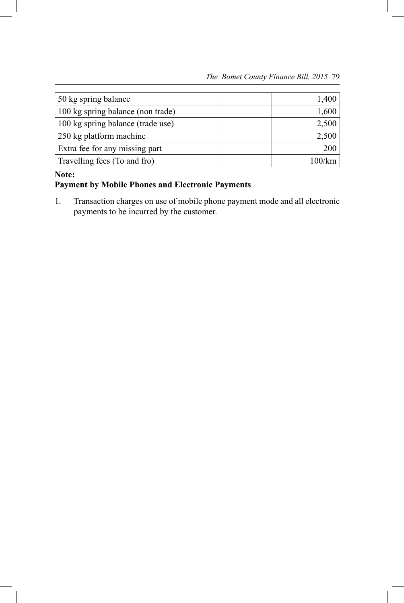| 50 kg spring balance              | 1,400  |
|-----------------------------------|--------|
| 100 kg spring balance (non trade) | 1,600  |
| 100 kg spring balance (trade use) | 2,500  |
| 250 kg platform machine           | 2,500  |
| Extra fee for any missing part    | 200    |
| Travelling fees (To and fro)      | 100/km |

#### **Note:**

# **Payment by Mobile Phones and Electronic Payments**

1. Transaction charges on use of mobile phone payment mode and all electronic payments to be incurred by the customer.